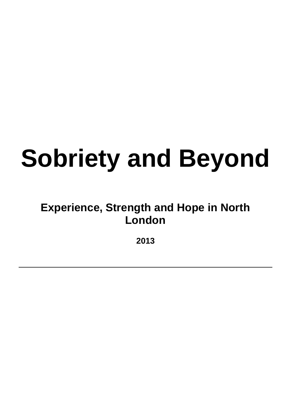# **Sobriety and Beyond**

## **Experience, Strength and Hope in North London**

**2013**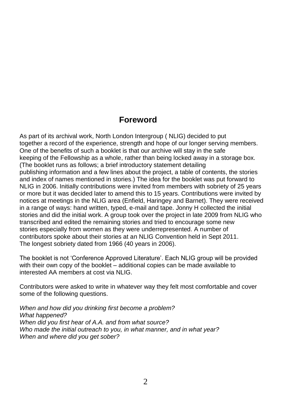### **Foreword**

As part of its archival work, North London Intergroup ( NLIG) decided to put together a record of the experience, strength and hope of our longer serving members. One of the benefits of such a booklet is that our archive will stay in the safe keeping of the Fellowship as a whole, rather than being locked away in a storage box. (The booklet runs as follows; a brief introductory statement detailing publishing information and a few lines about the project, a table of contents, the stories and index of names mentioned in stories.) The idea for the booklet was put forward to NLIG in 2006. Initially contributions were invited from members with sobriety of 25 years or more but it was decided later to amend this to 15 years. Contributions were invited by notices at meetings in the NLIG area (Enfield, Haringey and Barnet). They were received in a range of ways: hand written, typed, e-mail and tape. Jonny H collected the initial stories and did the initial work. A group took over the project in late 2009 from NLIG who transcribed and edited the remaining stories and tried to encourage some new stories especially from women as they were underrepresented. A number of contributors spoke about their stories at an NLIG Convention held in Sept 2011. The longest sobriety dated from 1966 (40 years in 2006).

The booklet is not 'Conference Approved Literature'. Each NLIG group will be provided with their own copy of the booklet – additional copies can be made available to interested AA members at cost via NLIG.

Contributors were asked to write in whatever way they felt most comfortable and cover some of the following questions.

*When and how did you drinking first become a problem? What happened? When did you first hear of A.A. and from what source? Who made the initial outreach to you, in what manner, and in what year? When and where did you get sober?*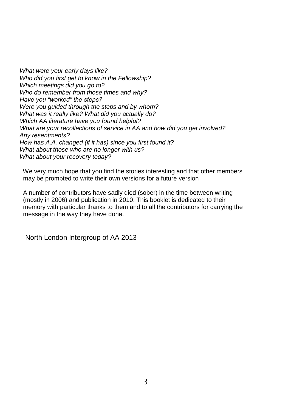*What were your early days like? Who did you first get to know in the Fellowship? Which meetings did you go to? Who do remember from those times and why? Have you "worked" the steps? Were you guided through the steps and by whom? What was it really like? What did you actually do? Which AA literature have you found helpful? What are your recollections of service in AA and how did you get involved? Any resentments? How has A.A. changed (if it has) since you first found it? What about those who are no longer with us? What about your recovery today?*

 We very much hope that you find the stories interesting and that other members may be prompted to write their own versions for a future version

A number of contributors have sadly died (sober) in the time between writing (mostly in 2006) and publication in 2010. This booklet is dedicated to their memory with particular thanks to them and to all the contributors for carrying the message in the way they have done.

North London Intergroup of AA 2013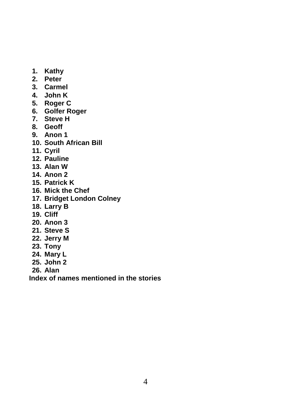- **1. Kathy**
- **2. Peter**
- **3. Carmel**
- **4. John K**
- **5. Roger C**
- **6. Golfer Roger**
- **7. Steve H**
- **8. Geoff**
- **9. Anon 1**
- **10. South African Bill**
- **11. Cyril**
- **12. Pauline**
- **13. Alan W**
- **14. Anon 2**
- **15. Patrick K**
- **16. Mick the Chef**
- **17. Bridget London Colney**
- **18. Larry B**
- **19. Cliff**
- **20. Anon 3**
- **21. Steve S**
- **22. Jerry M**
- **23. Tony**
- **24. Mary L**
- **25. John 2**
- **26. Alan**

 **Index of names mentioned in the stories**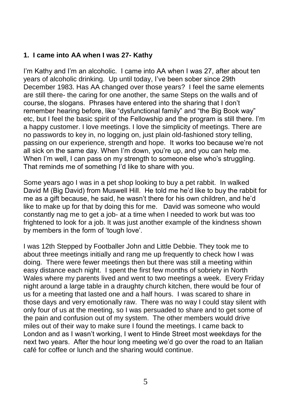#### **1. I came into AA when I was 27- Kathy**

I'm Kathy and I'm an alcoholic. I came into AA when I was 27, after about ten years of alcoholic drinking. Up until today, I've been sober since 29th December 1983. Has AA changed over those years? I feel the same elements are still there- the caring for one another, the same Steps on the walls and of course, the slogans. Phrases have entered into the sharing that I don't remember hearing before, like "dysfunctional family" and "the Big Book way" etc, but I feel the basic spirit of the Fellowship and the program is still there. I'm a happy customer. I love meetings. I love the simplicity of meetings. There are no passwords to key in, no logging on, just plain old-fashioned story telling, passing on our experience, strength and hope. It works too because we're not all sick on the same day. When I'm down, you're up, and you can help me. When I'm well, I can pass on my strength to someone else who's struggling. That reminds me of something I'd like to share with you.

Some years ago I was in a pet shop looking to buy a pet rabbit. In walked David M (Big David) from Muswell Hill. He told me he'd like to buy the rabbit for me as a gift because, he said, he wasn't there for his own children, and he'd like to make up for that by doing this for me. David was someone who would constantly nag me to get a job- at a time when I needed to work but was too frightened to look for a job. It was just another example of the kindness shown by members in the form of 'tough love'.

I was 12th Stepped by Footballer John and Little Debbie. They took me to about three meetings initially and rang me up frequently to check how I was doing. There were fewer meetings then but there was still a meeting within easy distance each night. I spent the first few months of sobriety in North Wales where my parents lived and went to two meetings a week. Every Friday night around a large table in a draughty church kitchen, there would be four of us for a meeting that lasted one and a half hours. I was scared to share in those days and very emotionally raw. There was no way I could stay silent with only four of us at the meeting, so I was persuaded to share and to get some of the pain and confusion out of my system. The other members would drive miles out of their way to make sure I found the meetings. I came back to London and as I wasn't working, I went to Hinde Street most weekdays for the next two years. After the hour long meeting we'd go over the road to an Italian café for coffee or lunch and the sharing would continue.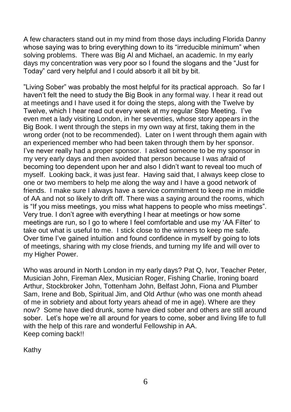A few characters stand out in my mind from those days including Florida Danny whose saying was to bring everything down to its "irreducible minimum" when solving problems. There was Big AI and Michael, an academic. In my early days my concentration was very poor so I found the slogans and the "Just for Today" card very helpful and I could absorb it all bit by bit.

"Living Sober" was probably the most helpful for its practical approach. So far I haven't felt the need to study the Big Book in any formal way. I hear it read out at meetings and I have used it for doing the steps, along with the Twelve by Twelve, which I hear read out every week at my regular Step Meeting. I've even met a lady visiting London, in her seventies, whose story appears in the Big Book. I went through the steps in my own way at first, taking them in the wrong order (not to be recommended). Later on I went through them again with an experienced member who had been taken through them by her sponsor. I've never really had a proper sponsor. I asked someone to be my sponsor in my very early days and then avoided that person because I was afraid of becoming too dependent upon her and also I didn't want to reveal too much of myself. Looking back, it was just fear. Having said that, I always keep close to one or two members to help me along the way and I have a good network of friends. I make sure I always have a service commitment to keep me in middle of AA and not so likely to drift off. There was a saying around the rooms, which is "If you miss meetings, you miss what happens to people who miss meetings". Very true. I don't agree with everything I hear at meetings or how some meetings are run, so I go to where I feel comfortable and use my 'AA Filter' to take out what is useful to me. I stick close to the winners to keep me safe. Over time I've gained intuition and found confidence in myself by going to lots of meetings, sharing with my close friends, and turning my life and will over to my Higher Power.

Who was around in North London in my early days? Pat Q, Ivor, Teacher Peter, Musician John, Fireman Alex, Musician Roger, Fishing Charlie, Ironing board Arthur, Stockbroker John, Tottenham John, Belfast John, Fiona and Plumber Sam, Irene and Bob, Spiritual Jim, and Old Arthur (who was one month ahead of me in sobriety and about forty years ahead of me in age). Where are they now? Some have died drunk, some have died sober and others are still around sober. Let's hope we're all around for years to come, sober and living life to full with the help of this rare and wonderful Fellowship in AA. Keep coming back!!

Kathy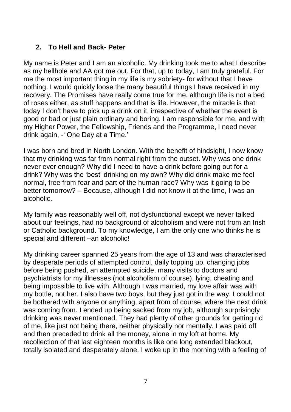#### **2. To Hell and Back- Peter**

My name is Peter and I am an alcoholic. My drinking took me to what I describe as my hellhole and AA got me out. For that, up to today, I am truly grateful. For me the most important thing in my life is my sobriety- for without that I have nothing. I would quickly loose the many beautiful things I have received in my recovery. The Promises have really come true for me, although life is not a bed of roses either, as stuff happens and that is life. However, the miracle is that today I don't have to pick up a drink on it, irrespective of whether the event is good or bad or just plain ordinary and boring. I am responsible for me, and with my Higher Power, the Fellowship, Friends and the Programme, I need never drink again, -' One Day at a Time.'

I was born and bred in North London. With the benefit of hindsight, I now know that my drinking was far from normal right from the outset. Why was one drink never ever enough? Why did I need to have a drink before going out for a drink? Why was the 'best' drinking on my own? Why did drink make me feel normal, free from fear and part of the human race? Why was it going to be better tomorrow? – Because, although I did not know it at the time, I was an alcoholic.

My family was reasonably well off, not dysfunctional except we never talked about our feelings, had no background of alcoholism and were not from an Irish or Catholic background. To my knowledge, I am the only one who thinks he is special and different –an alcoholic!

My drinking career spanned 25 years from the age of 13 and was characterised by desperate periods of attempted control, daily topping up, changing jobs before being pushed, an attempted suicide, many visits to doctors and psychiatrists for my illnesses (not alcoholism of course), lying, cheating and being impossible to live with. Although I was married, my love affair was with my bottle, not her. I also have two boys, but they just got in the way. I could not be bothered with anyone or anything, apart from of course, where the next drink was coming from. I ended up being sacked from my job, although surprisingly drinking was never mentioned. They had plenty of other grounds for getting rid of me, like just not being there, neither physically nor mentally. I was paid off and then preceded to drink all the money, alone in my loft at home. My recollection of that last eighteen months is like one long extended blackout, totally isolated and desperately alone. I woke up in the morning with a feeling of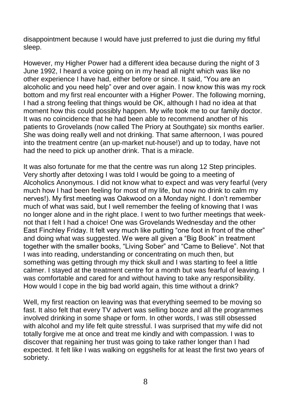disappointment because I would have just preferred to just die during my fitful sleep.

However, my Higher Power had a different idea because during the night of 3 June 1992, I heard a voice going on in my head all night which was like no other experience I have had, either before or since. It said, "You are an alcoholic and you need help" over and over again. I now know this was my rock bottom and my first real encounter with a Higher Power. The following morning, I had a strong feeling that things would be OK, although I had no idea at that moment how this could possibly happen. My wife took me to our family doctor. It was no coincidence that he had been able to recommend another of his patients to Grovelands (now called The Priory at Southgate) six months earlier. She was doing really well and not drinking. That same afternoon, I was poured into the treatment centre (an up-market nut-house!) and up to today, have not had the need to pick up another drink. That is a miracle.

It was also fortunate for me that the centre was run along 12 Step principles. Very shortly after detoxing I was told I would be going to a meeting of Alcoholics Anonymous. I did not know what to expect and was very fearful (very much how I had been feeling for most of my life, but now no drink to calm my nerves!). My first meeting was Oakwood on a Monday night. I don't remember much of what was said, but I well remember the feeling of knowing that I was no longer alone and in the right place. I went to two further meetings that weeknot that I felt I had a choice! One was Grovelands Wednesday and the other East Finchley Friday. It felt very much like putting "one foot in front of the other" and doing what was suggested. We were all given a "Big Book" in treatment together with the smaller books, "Living Sober" and "Came to Believe". Not that I was into reading, understanding or concentrating on much then, but something was getting through my thick skull and I was starting to feel a little calmer. I stayed at the treatment centre for a month but was fearful of leaving. I was comfortable and cared for and without having to take any responsibility. How would I cope in the big bad world again, this time without a drink?

Well, my first reaction on leaving was that everything seemed to be moving so fast. It also felt that every TV advert was selling booze and all the programmes involved drinking in some shape or form. In other words, I was still obsessed with alcohol and my life felt quite stressful. I was surprised that my wife did not totally forgive me at once and treat me kindly and with compassion. I was to discover that regaining her trust was going to take rather longer than I had expected. It felt like I was walking on eggshells for at least the first two years of sobriety.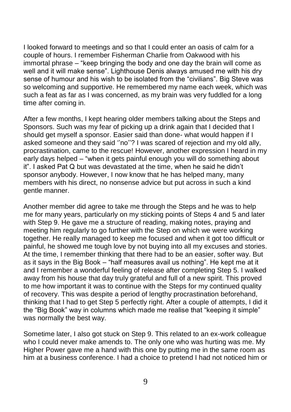I looked forward to meetings and so that I could enter an oasis of calm for a couple of hours. I remember Fisherman Charlie from Oakwood with his immortal phrase – "keep bringing the body and one day the brain will come as well and it will make sense". Lighthouse Denis always amused me with his dry sense of humour and his wish to be isolated from the "civilians". Big Steve was so welcoming and supportive. He remembered my name each week, which was such a feat as far as I was concerned, as my brain was very fuddled for a long time after coming in.

After a few months, I kept hearing older members talking about the Steps and Sponsors. Such was my fear of picking up a drink again that I decided that I should get myself a sponsor. Easier said than done- what would happen if I asked someone and they said ''no''? I was scared of rejection and my old ally, procrastination, came to the rescue! However, another expression I heard in my early days helped – "when it gets painful enough you will do something about it". I asked Pat Q but was devastated at the time, when he said he didn't sponsor anybody. However, I now know that he has helped many, many members with his direct, no nonsense advice but put across in such a kind gentle manner.

Another member did agree to take me through the Steps and he was to help me for many years, particularly on my sticking points of Steps 4 and 5 and later with Step 9. He gave me a structure of reading, making notes, praying and meeting him regularly to go further with the Step on which we were working together. He really managed to keep me focused and when it got too difficult or painful, he showed me tough love by not buying into all my excuses and stories. At the time, I remember thinking that there had to be an easier, softer way. But as it says in the Big Book – "half measures avail us nothing". He kept me at it and I remember a wonderful feeling of release after completing Step 5. I walked away from his house that day truly grateful and full of a new spirit. This proved to me how important it was to continue with the Steps for my continued quality of recovery. This was despite a period of lengthy procrastination beforehand, thinking that I had to get Step 5 perfectly right. After a couple of attempts, I did it the "Big Book" way in columns which made me realise that "keeping it simple" was normally the best way.

Sometime later, I also got stuck on Step 9. This related to an ex-work colleague who I could never make amends to. The only one who was hurting was me. My Higher Power gave me a hand with this one by putting me in the same room as him at a business conference. I had a choice to pretend I had not noticed him or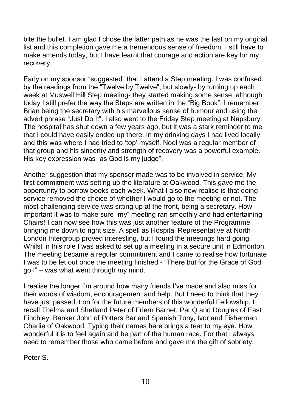bite the bullet. I am glad I chose the latter path as he was the last on my original list and this completion gave me a tremendous sense of freedom. I still have to make amends today, but I have learnt that courage and action are key for my recovery.

Early on my sponsor "suggested" that I attend a Step meeting. I was confused by the readings from the "Twelve by Twelve", but slowly- by turning up each week at Muswell Hill Step meeting- they started making some sense, although today I still prefer the way the Steps are written in the "Big Book". I remember Brian being the secretary with his marvellous sense of humour and using the advert phrase "Just Do It". I also went to the Friday Step meeting at Napsbury. The hospital has shut down a few years ago, but it was a stark reminder to me that I could have easily ended up there. In my drinking days I had lived locally and this was where I had tried to 'top' myself. Noel was a regular member of that group and his sincerity and strength of recovery was a powerful example. His key expression was "as God is my judge".

Another suggestion that my sponsor made was to be involved in service. My first commitment was setting up the literature at Oakwood. This gave me the opportunity to borrow books each week. What I also now realise is that doing service removed the choice of whether I would go to the meeting or not. The most challenging service was sitting up at the front, being a secretary. How important it was to make sure "my" meeting ran smoothly and had entertaining Chairs! I can now see how this was just another feature of the Programme bringing me down to right size. A spell as Hospital Representative at North London Intergroup proved interesting, but I found the meetings hard going. Whilst in this role I was asked to set up a meeting in a secure unit in Edmonton. The meeting became a regular commitment and I came to realise how fortunate I was to be let out once the meeting finished - "There but for the Grace of God go I" – was what went through my mind.

I realise the longer I'm around how many friends I've made and also miss for their words of wisdom, encouragement and help. But I need to think that they have just passed it on for the future members of this wonderful Fellowship. I recall Thelma and Shetland Peter of Friern Barnet, Pat Q and Douglas of East Finchley, Banker John of Potters Bar and Spanish Tony, Ivor and Fisherman Charlie of Oakwood. Typing their names here brings a tear to my eye. How wonderful it is to feel again and be part of the human race. For that I always need to remember those who came before and gave me the gift of sobriety.

Peter S.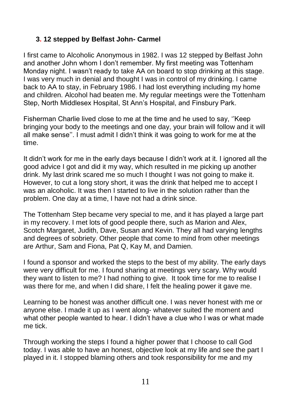#### **3. 12 stepped by Belfast John- Carmel**

I first came to Alcoholic Anonymous in 1982. I was 12 stepped by Belfast John and another John whom I don't remember. My first meeting was Tottenham Monday night. I wasn't ready to take AA on board to stop drinking at this stage. I was very much in denial and thought I was in control of my drinking. I came back to AA to stay, in February 1986. I had lost everything including my home and children. Alcohol had beaten me. My regular meetings were the Tottenham Step, North Middlesex Hospital, St Ann's Hospital, and Finsbury Park.

Fisherman Charlie lived close to me at the time and he used to say, ''Keep bringing your body to the meetings and one day, your brain will follow and it will all make sense''. I must admit I didn't think it was going to work for me at the time.

It didn't work for me in the early days because I didn't work at it. I ignored all the good advice I got and did it my way, which resulted in me picking up another drink. My last drink scared me so much I thought I was not going to make it. However, to cut a long story short, it was the drink that helped me to accept I was an alcoholic. It was then I started to live in the solution rather than the problem. One day at a time, I have not had a drink since.

The Tottenham Step became very special to me, and it has played a large part in my recovery. I met lots of good people there, such as Marion and Alex, Scotch Margaret, Judith, Dave, Susan and Kevin. They all had varying lengths and degrees of sobriety. Other people that come to mind from other meetings are Arthur, Sam and Fiona, Pat Q, Kay M, and Damien.

I found a sponsor and worked the steps to the best of my ability. The early days were very difficult for me. I found sharing at meetings very scary. Why would they want to listen to me? I had nothing to give. It took time for me to realise I was there for me, and when I did share, I felt the healing power it gave me.

Learning to be honest was another difficult one. I was never honest with me or anyone else. I made it up as I went along- whatever suited the moment and what other people wanted to hear. I didn't have a clue who I was or what made me tick.

Through working the steps I found a higher power that I choose to call God today. I was able to have an honest, objective look at my life and see the part I played in it. I stopped blaming others and took responsibility for me and my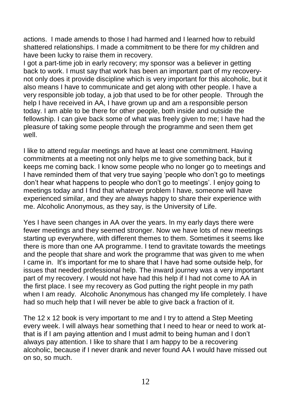actions. I made amends to those I had harmed and I learned how to rebuild shattered relationships. I made a commitment to be there for my children and have been lucky to raise them in recovery.

I got a part-time job in early recovery; my sponsor was a believer in getting back to work. I must say that work has been an important part of my recoverynot only does it provide discipline which is very important for this alcoholic, but it also means I have to communicate and get along with other people. I have a very responsible job today, a job that used to be for other people. Through the help I have received in AA, I have grown up and am a responsible person today. I am able to be there for other people, both inside and outside the fellowship. I can give back some of what was freely given to me; I have had the pleasure of taking some people through the programme and seen them get well.

I like to attend regular meetings and have at least one commitment. Having commitments at a meeting not only helps me to give something back, but it keeps me coming back. I know some people who no longer go to meetings and I have reminded them of that very true saying 'people who don't go to meetings don't hear what happens to people who don't go to meetings'. I enjoy going to meetings today and I find that whatever problem I have, someone will have experienced similar, and they are always happy to share their experience with me. Alcoholic Anonymous, as they say, is the University of Life.

Yes I have seen changes in AA over the years. In my early days there were fewer meetings and they seemed stronger. Now we have lots of new meetings starting up everywhere, with different themes to them. Sometimes it seems like there is more than one AA programme. I tend to gravitate towards the meetings and the people that share and work the programme that was given to me when I came in. It's important for me to share that I have had some outside help, for issues that needed professional help. The inward journey was a very important part of my recovery. I would not have had this help if I had not come to AA in the first place. I see my recovery as God putting the right people in my path when I am ready. Alcoholic Anonymous has changed my life completely. I have had so much help that I will never be able to give back a fraction of it.

The 12 x 12 book is very important to me and I try to attend a Step Meeting every week. I will always hear something that I need to hear or need to work atthat is if I am paying attention and I must admit to being human and I don't always pay attention. I like to share that I am happy to be a recovering alcoholic, because if I never drank and never found AA I would have missed out on so, so much.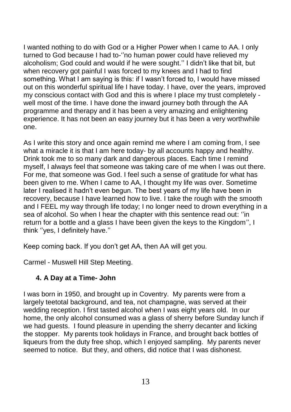I wanted nothing to do with God or a Higher Power when I came to AA. I only turned to God because I had to-''no human power could have relieved my alcoholism; God could and would if he were sought.'' I didn't like that bit, but when recovery got painful I was forced to my knees and I had to find something. What I am saying is this: if I wasn't forced to, I would have missed out on this wonderful spiritual life I have today. I have, over the years, improved my conscious contact with God and this is where I place my trust completely well most of the time. I have done the inward journey both through the AA programme and therapy and it has been a very amazing and enlightening experience. It has not been an easy journey but it has been a very worthwhile one.

As I write this story and once again remind me where I am coming from, I see what a miracle it is that I am here today- by all accounts happy and healthy. Drink took me to so many dark and dangerous places. Each time I remind myself, I always feel that someone was taking care of me when I was out there. For me, that someone was God. I feel such a sense of gratitude for what has been given to me. When I came to AA, I thought my life was over. Sometime later I realised it hadn't even begun. The best years of my life have been in recovery, because I have learned how to live. I take the rough with the smooth and I FEEL my way through life today; I no longer need to drown everything in a sea of alcohol. So when I hear the chapter with this sentence read out: ''in return for a bottle and a glass I have been given the keys to the Kingdom'', I think ''yes, I definitely have.''

Keep coming back. If you don't get AA, then AA will get you.

Carmel - Muswell Hill Step Meeting.

#### **4. A Day at a Time- John**

I was born in 1950, and brought up in Coventry. My parents were from a largely teetotal background, and tea, not champagne, was served at their wedding reception. I first tasted alcohol when I was eight years old. In our home, the only alcohol consumed was a glass of sherry before Sunday lunch if we had guests. I found pleasure in upending the sherry decanter and licking the stopper. My parents took holidays in France, and brought back bottles of liqueurs from the duty free shop, which I enjoyed sampling. My parents never seemed to notice. But they, and others, did notice that I was dishonest.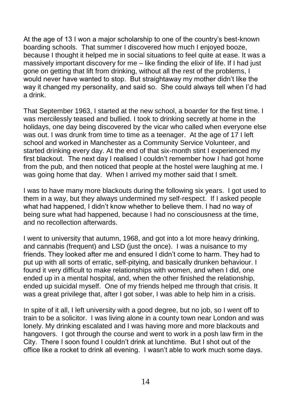At the age of 13 I won a major scholarship to one of the country's best-known boarding schools. That summer I discovered how much I enjoyed booze, because I thought it helped me in social situations to feel quite at ease. It was a massively important discovery for me – like finding the elixir of life. If I had just gone on getting that lift from drinking, without all the rest of the problems, I would never have wanted to stop. But straightaway my mother didn't like the way it changed my personality, and said so. She could always tell when I'd had a drink.

That September 1963, I started at the new school, a boarder for the first time. I was mercilessly teased and bullied. I took to drinking secretly at home in the holidays, one day being discovered by the vicar who called when everyone else was out. I was drunk from time to time as a teenager. At the age of 17 I left school and worked in Manchester as a Community Service Volunteer, and started drinking every day. At the end of that six-month stint I experienced my first blackout. The next day I realised I couldn't remember how I had got home from the pub, and then noticed that people at the hostel were laughing at me. I was going home that day. When I arrived my mother said that I smelt.

I was to have many more blackouts during the following six years. I got used to them in a way, but they always undermined my self-respect. If I asked people what had happened, I didn't know whether to believe them. I had no way of being sure what had happened, because I had no consciousness at the time, and no recollection afterwards.

I went to university that autumn, 1968, and got into a lot more heavy drinking, and cannabis (frequent) and LSD (just the once). I was a nuisance to my friends. They looked after me and ensured I didn't come to harm. They had to put up with all sorts of erratic, self-pitying, and basically drunken behaviour. I found it very difficult to make relationships with women, and when I did, one ended up in a mental hospital, and, when the other finished the relationship, ended up suicidal myself. One of my friends helped me through that crisis. It was a great privilege that, after I got sober, I was able to help him in a crisis.

In spite of it all, I left university with a good degree, but no job, so I went off to train to be a solicitor. I was living alone in a county town near London and was lonely. My drinking escalated and I was having more and more blackouts and hangovers. I got through the course and went to work in a posh law firm in the City. There I soon found I couldn't drink at lunchtime. But I shot out of the office like a rocket to drink all evening. I wasn't able to work much some days.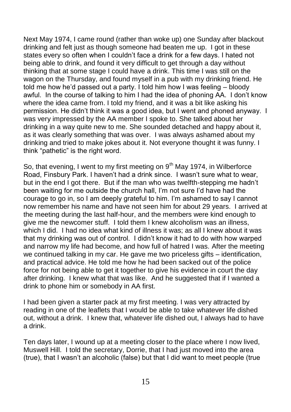Next May 1974, I came round (rather than woke up) one Sunday after blackout drinking and felt just as though someone had beaten me up. I got in these states every so often when I couldn't face a drink for a few days. I hated not being able to drink, and found it very difficult to get through a day without thinking that at some stage I could have a drink. This time I was still on the wagon on the Thursday, and found myself in a pub with my drinking friend. He told me how he'd passed out a party. I told him how I was feeling – bloody awful. In the course of talking to him I had the idea of phoning AA. I don't know where the idea came from. I told my friend, and it was a bit like asking his permission. He didn't think it was a good idea, but I went and phoned anyway. I was very impressed by the AA member I spoke to. She talked about her drinking in a way quite new to me. She sounded detached and happy about it, as it was clearly something that was over. I was always ashamed about my drinking and tried to make jokes about it. Not everyone thought it was funny. I think "pathetic" is the right word.

So, that evening, I went to my first meeting on 9<sup>th</sup> May 1974, in Wilberforce Road, Finsbury Park. I haven't had a drink since. I wasn't sure what to wear, but in the end I got there. But if the man who was twelfth-stepping me hadn't been waiting for me outside the church hall, I'm not sure I'd have had the courage to go in, so I am deeply grateful to him. I'm ashamed to say I cannot now remember his name and have not seen him for about 29 years. I arrived at the meeting during the last half-hour, and the members were kind enough to give me the newcomer stuff. I told them I knew alcoholism was an illness, which I did. I had no idea what kind of illness it was; as all I knew about it was that my drinking was out of control. I didn't know it had to do with how warped and narrow my life had become, and how full of hatred I was. After the meeting we continued talking in my car. He gave me two priceless gifts – identification, and practical advice. He told me how he had been sacked out of the police force for not being able to get it together to give his evidence in court the day after drinking. I knew what that was like. And he suggested that if I wanted a drink to phone him or somebody in AA first.

I had been given a starter pack at my first meeting. I was very attracted by reading in one of the leaflets that I would be able to take whatever life dished out, without a drink. I knew that, whatever life dished out, I always had to have a drink.

Ten days later, I wound up at a meeting closer to the place where I now lived, Muswell Hill. I told the secretary, Dorrie, that I had just moved into the area (true), that I wasn't an alcoholic (false) but that I did want to meet people (true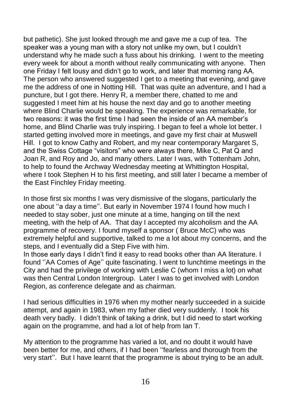but pathetic). She just looked through me and gave me a cup of tea. The speaker was a young man with a story not unlike my own, but I couldn't understand why he made such a fuss about his drinking. I went to the meeting every week for about a month without really communicating with anyone. Then one Friday I felt lousy and didn't go to work, and later that morning rang AA. The person who answered suggested I get to a meeting that evening, and gave me the address of one in Notting Hill. That was quite an adventure, and I had a puncture, but I got there. Henry R, a member there, chatted to me and suggested I meet him at his house the next day and go to another meeting where Blind Charlie would be speaking. The experience was remarkable, for two reasons: it was the first time I had seen the inside of an AA member's home, and Blind Charlie was truly inspiring. I began to feel a whole lot better. I started getting involved more in meetings, and gave my first chair at Muswell Hill. I got to know Cathy and Robert, and my near contemporary Margaret S, and the Swiss Cottage "visitors" who were always there, Mike C, Pat Q and Joan R, and Roy and Jo, and many others. Later I was, with Tottenham John, to help to found the Archway Wednesday meeting at Whittington Hospital, where I took Stephen H to his first meeting, and still later I became a member of the East Finchley Friday meeting.

In those first six months I was very dismissive of the slogans, particularly the one about ''a day a time''. But early in November 1974 I found how much I needed to stay sober, just one minute at a time, hanging on till the next meeting, with the help of AA. That day I accepted my alcoholism and the AA programme of recovery. I found myself a sponsor ( Bruce McC) who was extremely helpful and supportive, talked to me a lot about my concerns, and the steps, and I eventually did a Step Five with him.

In those early days I didn't find it easy to read books other than AA literature. I found ''AA Comes of Age'' quite fascinating. I went to lunchtime meetings in the City and had the privilege of working with Leslie C (whom I miss a lot) on what was then Central London Intergroup. Later I was to get involved with London Region, as conference delegate and as chairman.

I had serious difficulties in 1976 when my mother nearly succeeded in a suicide attempt, and again in 1983, when my father died very suddenly. I took his death very badly. I didn't think of taking a drink, but I did need to start working again on the programme, and had a lot of help from Ian T.

My attention to the programme has varied a lot, and no doubt it would have been better for me, and others, if I had been ''fearless and thorough from the very start''. But I have learnt that the programme is about trying to be an adult.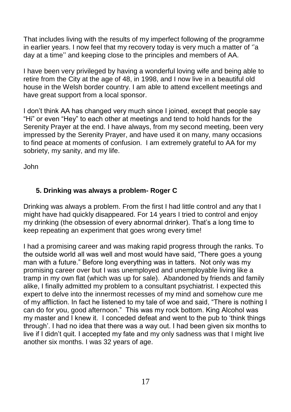That includes living with the results of my imperfect following of the programme in earlier years. I now feel that my recovery today is very much a matter of ''a day at a time'' and keeping close to the principles and members of AA.

I have been very privileged by having a wonderful loving wife and being able to retire from the City at the age of 48, in 1998, and I now live in a beautiful old house in the Welsh border country. I am able to attend excellent meetings and have great support from a local sponsor.

I don't think AA has changed very much since I joined, except that people say "Hi" or even "Hey" to each other at meetings and tend to hold hands for the Serenity Prayer at the end. I have always, from my second meeting, been very impressed by the Serenity Prayer, and have used it on many, many occasions to find peace at moments of confusion. I am extremely grateful to AA for my sobriety, my sanity, and my life.

John

#### **5. Drinking was always a problem- Roger C**

Drinking was always a problem. From the first I had little control and any that I might have had quickly disappeared. For 14 years I tried to control and enjoy my drinking (the obsession of every abnormal drinker). That's a long time to keep repeating an experiment that goes wrong every time!

I had a promising career and was making rapid progress through the ranks. To the outside world all was well and most would have said, "There goes a young man with a future." Before long everything was in tatters. Not only was my promising career over but I was unemployed and unemployable living like a tramp in my own flat (which was up for sale). Abandoned by friends and family alike, I finally admitted my problem to a consultant psychiatrist. I expected this expert to delve into the innermost recesses of my mind and somehow cure me of my affliction. In fact he listened to my tale of woe and said, "There is nothing I can do for you, good afternoon." This was my rock bottom. King Alcohol was my master and I knew it. I conceded defeat and went to the pub to 'think things through'. I had no idea that there was a way out. I had been given six months to live if I didn't quit. I accepted my fate and my only sadness was that I might live another six months. I was 32 years of age.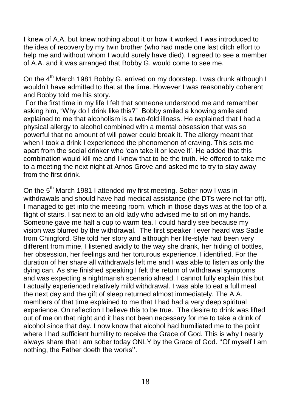I knew of A.A. but knew nothing about it or how it worked. I was introduced to the idea of recovery by my twin brother (who had made one last ditch effort to help me and without whom I would surely have died). I agreed to see a member of A.A. and it was arranged that Bobby G. would come to see me.

On the 4<sup>th</sup> March 1981 Bobby G. arrived on my doorstep. I was drunk although I wouldn't have admitted to that at the time. However I was reasonably coherent and Bobby told me his story.

For the first time in my life I felt that someone understood me and remember asking him, "Why do I drink like this?" Bobby smiled a knowing smile and explained to me that alcoholism is a two-fold illness. He explained that I had a physical allergy to alcohol combined with a mental obsession that was so powerful that no amount of will power could break it. The allergy meant that when I took a drink I experienced the phenomenon of craving. This sets me apart from the social drinker who 'can take it or leave it'. He added that this combination would kill me and I knew that to be the truth. He offered to take me to a meeting the next night at Arnos Grove and asked me to try to stay away from the first drink.

On the 5<sup>th</sup> March 1981 I attended my first meeting. Sober now I was in withdrawals and should have had medical assistance (the DTs were not far off). I managed to get into the meeting room, which in those days was at the top of a flight of stairs. I sat next to an old lady who advised me to sit on my hands. Someone gave me half a cup to warm tea. I could hardly see because my vision was blurred by the withdrawal. The first speaker I ever heard was Sadie from Chingford. She told her story and although her life-style had been very different from mine, I listened avidly to the way she drank, her hiding of bottles, her obsession, her feelings and her torturous experience. I identified. For the duration of her share all withdrawals left me and I was able to listen as only the dying can. As she finished speaking I felt the return of withdrawal symptoms and was expecting a nightmarish scenario ahead. I cannot fully explain this but I actually experienced relatively mild withdrawal. I was able to eat a full meal the next day and the gift of sleep returned almost immediately. The A.A. members of that time explained to me that I had had a very deep spiritual experience. On reflection I believe this to be true. The desire to drink was lifted out of me on that night and it has not been necessary for me to take a drink of alcohol since that day. I now know that alcohol had humiliated me to the point where I had sufficient humility to receive the Grace of God. This is why I nearly always share that I am sober today ONLY by the Grace of God. ''Of myself I am nothing, the Father doeth the works''.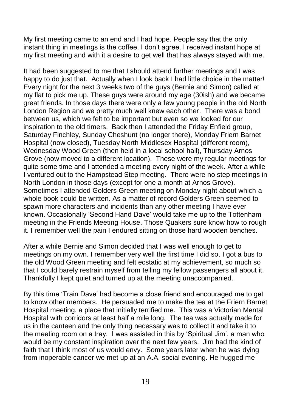My first meeting came to an end and I had hope. People say that the only instant thing in meetings is the coffee. I don't agree. I received instant hope at my first meeting and with it a desire to get well that has always stayed with me.

It had been suggested to me that I should attend further meetings and I was happy to do just that. Actually when I look back I had little choice in the matter! Every night for the next 3 weeks two of the guys (Bernie and Simon) called at my flat to pick me up. These guys were around my age (30ish) and we became great friends. In those days there were only a few young people in the old North London Region and we pretty much well knew each other. There was a bond between us, which we felt to be important but even so we looked for our inspiration to the old timers. Back then I attended the Friday Enfield group, Saturday Finchley, Sunday Cheshunt (no longer there), Monday Friern Barnet Hospital (now closed), Tuesday North Middlesex Hospital (different room), Wednesday Wood Green (then held in a local school hall), Thursday Arnos Grove (now moved to a different location). These were my regular meetings for quite some time and I attended a meeting every night of the week. After a while I ventured out to the Hampstead Step meeting. There were no step meetings in North London in those days (except for one a month at Arnos Grove). Sometimes I attended Golders Green meeting on Monday night about which a whole book could be written. As a matter of record Golders Green seemed to spawn more characters and incidents than any other meeting I have ever known. Occasionally 'Second Hand Dave' would take me up to the Tottenham meeting in the Friends Meeting House. Those Quakers sure know how to rough it. I remember well the pain I endured sitting on those hard wooden benches.

After a while Bernie and Simon decided that I was well enough to get to meetings on my own. I remember very well the first time I did so. I got a bus to the old Wood Green meeting and felt ecstatic at my achievement, so much so that I could barely restrain myself from telling my fellow passengers all about it. Thankfully I kept quiet and turned up at the meeting unaccompanied.

By this time 'Train Dave' had become a close friend and encouraged me to get to know other members. He persuaded me to make the tea at the Friern Barnet Hospital meeting, a place that initially terrified me. This was a Victorian Mental Hospital with corridors at least half a mile long. The tea was actually made for us in the canteen and the only thing necessary was to collect it and take it to the meeting room on a tray. I was assisted in this by 'Spiritual Jim', a man who would be my constant inspiration over the next few years. Jim had the kind of faith that I think most of us would envy. Some years later when he was dying from inoperable cancer we met up at an A.A. social evening. He hugged me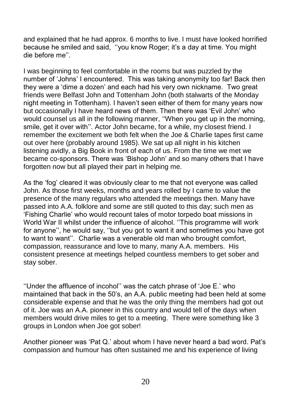and explained that he had approx. 6 months to live. I must have looked horrified because he smiled and said, ''you know Roger; it's a day at time. You might die before me''.

I was beginning to feel comfortable in the rooms but was puzzled by the number of 'Johns' I encountered. This was taking anonymity too far! Back then they were a 'dime a dozen' and each had his very own nickname. Two great friends were Belfast John and Tottenham John (both stalwarts of the Monday night meeting in Tottenham). I haven't seen either of them for many vears now but occasionally I have heard news of them. Then there was 'Evil John' who would counsel us all in the following manner, ''When you get up in the morning, smile, get it over with". Actor John became, for a while, my closest friend. I remember the excitement we both felt when the Joe & Charlie tapes first came out over here (probably around 1985). We sat up all night in his kitchen listening avidly, a Big Book in front of each of us. From the time we met we became co-sponsors. There was 'Bishop John' and so many others that I have forgotten now but all played their part in helping me.

As the 'fog' cleared it was obviously clear to me that not everyone was called John. As those first weeks, months and years rolled by I came to value the presence of the many regulars who attended the meetings then. Many have passed into A.A. folklore and some are still quoted to this day; such men as 'Fishing Charlie' who would recount tales of motor torpedo boat missions in World War II whilst under the influence of alcohol. "This programme will work for anyone'', he would say, ''but you got to want it and sometimes you have got to want to want''. Charlie was a venerable old man who brought comfort, compassion, reassurance and love to many, many A.A. members. His consistent presence at meetings helped countless members to get sober and stay sober.

''Under the affluence of incohol'' was the catch phrase of 'Joe E.' who maintained that back in the 50's, an A.A. public meeting had been held at some considerable expense and that he was the only thing the members had got out of it. Joe was an A.A. pioneer in this country and would tell of the days when members would drive miles to get to a meeting. There were something like 3 groups in London when Joe got sober!

Another pioneer was 'Pat Q.' about whom I have never heard a bad word. Pat's compassion and humour has often sustained me and his experience of living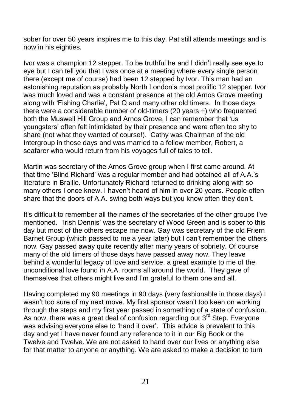sober for over 50 years inspires me to this day. Pat still attends meetings and is now in his eighties.

Ivor was a champion 12 stepper. To be truthful he and I didn't really see eye to eye but I can tell you that I was once at a meeting where every single person there (except me of course) had been 12 stepped by Ivor. This man had an astonishing reputation as probably North London's most prolific 12 stepper. Ivor was much loved and was a constant presence at the old Arnos Grove meeting along with 'Fishing Charlie', Pat Q and many other old timers. In those days there were a considerable number of old-timers (20 years +) who frequented both the Muswell Hill Group and Arnos Grove. I can remember that 'us youngsters' often felt intimidated by their presence and were often too shy to share (not what they wanted of course!). Cathy was Chairman of the old Intergroup in those days and was married to a fellow member, Robert, a seafarer who would return from his voyages full of tales to tell.

Martin was secretary of the Arnos Grove group when I first came around. At that time 'Blind Richard' was a regular member and had obtained all of A.A.'s literature in Braille. Unfortunately Richard returned to drinking along with so many others I once knew. I haven't heard of him in over 20 years. People often share that the doors of A.A. swing both ways but you know often they don't.

It's difficult to remember all the names of the secretaries of the other groups I've mentioned. 'Irish Dennis' was the secretary of Wood Green and is sober to this day but most of the others escape me now. Gay was secretary of the old Friern Barnet Group (which passed to me a year later) but I can't remember the others now. Gay passed away quite recently after many years of sobriety. Of course many of the old timers of those days have passed away now. They leave behind a wonderful legacy of love and service, a great example to me of the unconditional love found in A.A. rooms all around the world. They gave of themselves that others might live and I'm grateful to them one and all.

Having completed my 90 meetings in 90 days (very fashionable in those days) I wasn't too sure of my next move. My first sponsor wasn't too keen on working through the steps and my first year passed in something of a state of confusion. As now, there was a great deal of confusion regarding our  $3^{rd}$  Step. Everyone was advising everyone else to 'hand it over'. This advice is prevalent to this day and yet I have never found any reference to it in our Big Book or the Twelve and Twelve. We are not asked to hand over our lives or anything else for that matter to anyone or anything. We are asked to make a decision to turn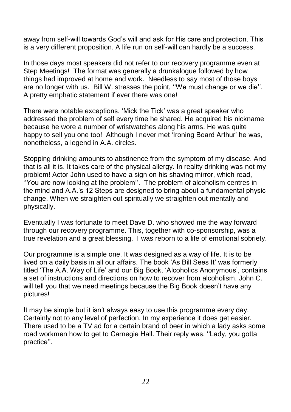away from self-will towards God's will and ask for His care and protection. This is a very different proposition. A life run on self-will can hardly be a success.

In those days most speakers did not refer to our recovery programme even at Step Meetings! The format was generally a drunkalogue followed by how things had improved at home and work. Needless to say most of those boys are no longer with us. Bill W. stresses the point, ''We must change or we die''. A pretty emphatic statement if ever there was one!

There were notable exceptions. 'Mick the Tick' was a great speaker who addressed the problem of self every time he shared. He acquired his nickname because he wore a number of wristwatches along his arms. He was quite happy to sell you one too! Although I never met 'Ironing Board Arthur' he was, nonetheless, a legend in A.A. circles.

Stopping drinking amounts to abstinence from the symptom of my disease. And that is all it is. It takes care of the physical allergy. In reality drinking was not my problem! Actor John used to have a sign on his shaving mirror, which read, ''You are now looking at the problem''. The problem of alcoholism centres in the mind and A.A.'s 12 Steps are designed to bring about a fundamental physic change. When we straighten out spiritually we straighten out mentally and physically.

Eventually I was fortunate to meet Dave D. who showed me the way forward through our recovery programme. This, together with co-sponsorship, was a true revelation and a great blessing. I was reborn to a life of emotional sobriety.

Our programme is a simple one. It was designed as a way of life. It is to be lived on a daily basis in all our affairs. The book 'As Bill Sees It' was formerly titled 'The A.A. Way of Life' and our Big Book, 'Alcoholics Anonymous', contains a set of instructions and directions on how to recover from alcoholism. John C. will tell you that we need meetings because the Big Book doesn't have any pictures!

It may be simple but it isn't always easy to use this programme every day. Certainly not to any level of perfection. In my experience it does get easier. There used to be a TV ad for a certain brand of beer in which a lady asks some road workmen how to get to Carnegie Hall. Their reply was, ''Lady, you gotta practice''.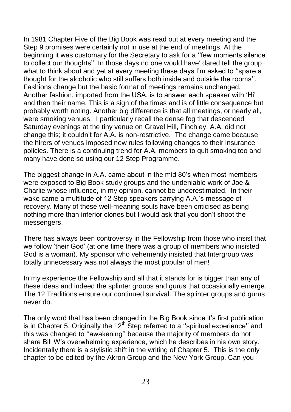In 1981 Chapter Five of the Big Book was read out at every meeting and the Step 9 promises were certainly not in use at the end of meetings. At the beginning it was customary for the Secretary to ask for a ''few moments silence to collect our thoughts''. In those days no one would have' dared tell the group what to think about and yet at every meeting these days I'm asked to "spare a thought for the alcoholic who still suffers both inside and outside the rooms''. Fashions change but the basic format of meetings remains unchanged. Another fashion, imported from the USA, is to answer each speaker with 'Hi' and then their name. This is a sign of the times and is of little consequence but probably worth noting. Another big difference is that all meetings, or nearly all, were smoking venues. I particularly recall the dense fog that descended Saturday evenings at the tiny venue on Gravel Hill, Finchley. A.A. did not change this; it couldn't for A.A. is non-restrictive. The change came because the hirers of venues imposed new rules following changes to their insurance policies. There is a continuing trend for A.A. members to quit smoking too and many have done so using our 12 Step Programme.

The biggest change in A.A. came about in the mid 80's when most members were exposed to Big Book study groups and the undeniable work of Joe & Charlie whose influence, in my opinion, cannot be underestimated. In their wake came a multitude of 12 Step speakers carrying A.A.'s message of recovery. Many of these well-meaning souls have been criticised as being nothing more than inferior clones but I would ask that you don't shoot the messengers.

There has always been controversy in the Fellowship from those who insist that we follow 'their God' (at one time there was a group of members who insisted God is a woman). My sponsor who vehemently insisted that Intergroup was totally unnecessary was not always the most popular of men!

In my experience the Fellowship and all that it stands for is bigger than any of these ideas and indeed the splinter groups and gurus that occasionally emerge. The 12 Traditions ensure our continued survival. The splinter groups and gurus never do.

The only word that has been changed in the Big Book since it's first publication is in Chapter 5. Originally the 12<sup>th</sup> Step referred to a "spiritual experience" and this was changed to ''awakening'' because the majority of members do not share Bill W's overwhelming experience, which he describes in his own story. Incidentally there is a stylistic shift in the writing of Chapter 5. This is the only chapter to be edited by the Akron Group and the New York Group. Can you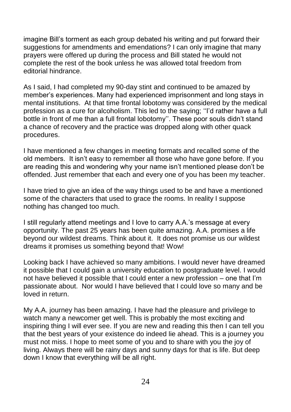imagine Bill's torment as each group debated his writing and put forward their suggestions for amendments and emendations? I can only imagine that many prayers were offered up during the process and Bill stated he would not complete the rest of the book unless he was allowed total freedom from editorial hindrance.

As I said, I had completed my 90-day stint and continued to be amazed by member's experiences. Many had experienced imprisonment and long stays in mental institutions. At that time frontal lobotomy was considered by the medical profession as a cure for alcoholism. This led to the saying; ''I'd rather have a full bottle in front of me than a full frontal lobotomy''. These poor souls didn't stand a chance of recovery and the practice was dropped along with other quack procedures.

I have mentioned a few changes in meeting formats and recalled some of the old members. It isn't easy to remember all those who have gone before. If you are reading this and wondering why your name isn't mentioned please don't be offended. Just remember that each and every one of you has been my teacher.

I have tried to give an idea of the way things used to be and have a mentioned some of the characters that used to grace the rooms. In reality I suppose nothing has changed too much.

I still regularly attend meetings and I love to carry A.A.'s message at every opportunity. The past 25 years has been quite amazing. A.A. promises a life beyond our wildest dreams. Think about it. It does not promise us our wildest dreams it promises us something beyond that! Wow!

Looking back I have achieved so many ambitions. I would never have dreamed it possible that I could gain a university education to postgraduate level. I would not have believed it possible that I could enter a new profession – one that I'm passionate about. Nor would I have believed that I could love so many and be loved in return.

My A.A. journey has been amazing. I have had the pleasure and privilege to watch many a newcomer get well. This is probably the most exciting and inspiring thing I will ever see. If you are new and reading this then I can tell you that the best years of your existence do indeed lie ahead. This is a journey you must not miss. I hope to meet some of you and to share with you the joy of living. Always there will be rainy days and sunny days for that is life. But deep down I know that everything will be all right.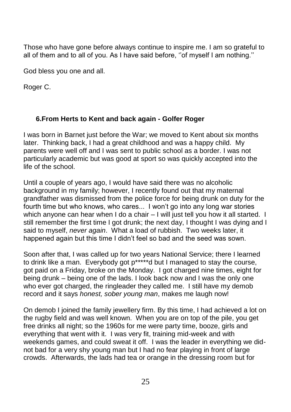Those who have gone before always continue to inspire me. I am so grateful to all of them and to all of you. As I have said before, ''of myself I am nothing.''

God bless you one and all.

Roger C.

#### **6.From Herts to Kent and back again - Golfer Roger**

I was born in Barnet just before the War; we moved to Kent about six months later. Thinking back, I had a great childhood and was a happy child. My parents were well off and I was sent to public school as a border. I was not particularly academic but was good at sport so was quickly accepted into the life of the school.

Until a couple of years ago, I would have said there was no alcoholic background in my family; however, I recently found out that my maternal grandfather was dismissed from the police force for being drunk on duty for the fourth time but who knows, who cares... I won't go into any long war stories which anyone can hear when I do a chair – I will just tell you how it all started. I still remember the first time I got drunk; the next day, I thought I was dying and I said to myself, *never again*. What a load of rubbish. Two weeks later, it happened again but this time I didn't feel so bad and the seed was sown.

Soon after that, I was called up for two years National Service; there I learned to drink like a man. Everybody got p\*\*\*\*\*d but I managed to stay the course, got paid on a Friday, broke on the Monday. I got charged nine times, eight for being drunk – being one of the lads. I look back now and I was the only one who ever got charged, the ringleader they called me. I still have my demob record and it says *honest, sober young man*, makes me laugh now!

On demob I joined the family jewellery firm. By this time, I had achieved a lot on the rugby field and was well known. When you are on top of the pile, you get free drinks all night; so the 1960s for me were party time, booze, girls and everything that went with it. I was very fit, training mid-week and with weekends games, and could sweat it off. I was the leader in everything we didnot bad for a very shy young man but I had no fear playing in front of large crowds. Afterwards, the lads had tea or orange in the dressing room but for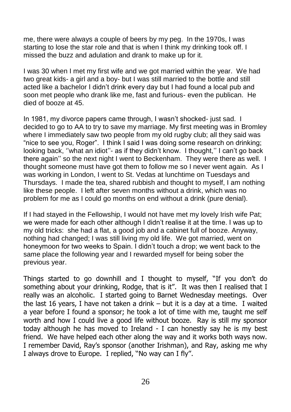me, there were always a couple of beers by my peg. In the 1970s, I was starting to lose the star role and that is when I think my drinking took off. I missed the buzz and adulation and drank to make up for it.

I was 30 when I met my first wife and we got married within the year. We had two great kids- a girl and a boy- but I was still married to the bottle and still acted like a bachelor I didn't drink every day but I had found a local pub and soon met people who drank like me, fast and furious- even the publican. He died of booze at 45.

In 1981, my divorce papers came through, I wasn't shocked- just sad. I decided to go to AA to try to save my marriage. My first meeting was in Bromley where I immediately saw two people from my old rugby club; all they said was "nice to see you, Roger". I think I said I was doing some research on drinking; looking back, ''what an idiot''- as if they didn't know. I thought,'' I can't go back there again'' so the next night I went to Beckenham. They were there as well. I thought someone must have got them to follow me so I never went again. As I was working in London, I went to St. Vedas at lunchtime on Tuesdays and Thursdays. I made the tea, shared rubbish and thought to myself, I am nothing like these people. I left after seven months without a drink, which was no problem for me as I could go months on end without a drink (pure denial).

If I had stayed in the Fellowship, I would not have met my lovely Irish wife Pat; we were made for each other although I didn't realise it at the time. I was up to my old tricks: she had a flat, a good job and a cabinet full of booze. Anyway, nothing had changed; I was still living my old life. We got married, went on honeymoon for two weeks to Spain. I didn't touch a drop; we went back to the same place the following year and I rewarded myself for being sober the previous year.

Things started to go downhill and I thought to myself, "If you don't do something about your drinking, Rodge, that is it". It was then I realised that I really was an alcoholic. I started going to Barnet Wednesday meetings. Over the last 16 years, I have not taken a drink – but it is a day at a time. I waited a year before I found a sponsor; he took a lot of time with me, taught me self worth and how I could live a good life without booze. Ray is still my sponsor today although he has moved to Ireland - I can honestly say he is my best friend. We have helped each other along the way and it works both ways now. I remember David, Ray's sponsor (another Irishman), and Ray, asking me why I always drove to Europe. I replied, ''No way can I fly''.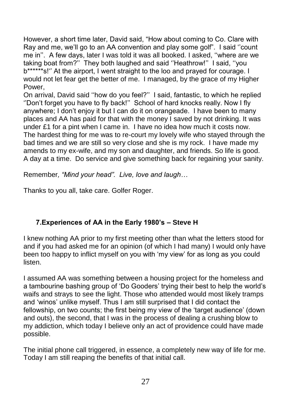However, a short time later, David said, "How about coming to Co. Clare with Ray and me, we'll go to an AA convention and play some golf". I said ''count me in''. A few days, later I was told it was all booked. I asked, ''where are we taking boat from?'' They both laughed and said ''Heathrow!'' I said, ''you b\*\*\*\*\*\*s!'' At the airport, I went straight to the loo and prayed for courage. I would not let fear get the better of me. I managed, by the grace of my Higher Power

On arrival, David said ''how do you feel?'' I said, fantastic, to which he replied ''Don't forget you have to fly back!'' School of hard knocks really. Now I fly anywhere; I don't enjoy it but I can do it on orangeade. I have been to many places and AA has paid for that with the money I saved by not drinking. It was under £1 for a pint when I came in. I have no idea how much it costs now. The hardest thing for me was to re-court my lovely wife who stayed through the bad times and we are still so very close and she is my rock. I have made my amends to my ex-wife, and my son and daughter, and friends. So life is good. A day at a time. Do service and give something back for regaining your sanity.

Remember*, "Mind your head". Live, love and laugh…*

Thanks to you all, take care. Golfer Roger.

#### **7.Experiences of AA in the Early 1980's – Steve H**

I knew nothing AA prior to my first meeting other than what the letters stood for and if you had asked me for an opinion (of which I had many) I would only have been too happy to inflict myself on you with 'my view' for as long as you could listen.

I assumed AA was something between a housing project for the homeless and a tambourine bashing group of 'Do Gooders' trying their best to help the world's waifs and strays to see the light. Those who attended would most likely tramps and 'winos' unlike myself. Thus I am still surprised that I did contact the fellowship, on two counts; the first being my view of the 'target audience' (down and outs), the second, that I was in the process of dealing a crushing blow to my addiction, which today I believe only an act of providence could have made possible.

The initial phone call triggered, in essence, a completely new way of life for me. Today I am still reaping the benefits of that initial call.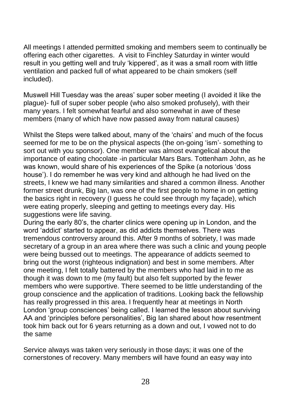All meetings I attended permitted smoking and members seem to continually be offering each other cigarettes. A visit to Finchley Saturday in winter would result in you getting well and truly 'kippered', as it was a small room with little ventilation and packed full of what appeared to be chain smokers (self included).

Muswell Hill Tuesday was the areas' super sober meeting (I avoided it like the plague)- full of super sober people (who also smoked profusely), with their many years. I felt somewhat fearful and also somewhat in awe of these members (many of which have now passed away from natural causes)

Whilst the Steps were talked about, many of the 'chairs' and much of the focus seemed for me to be on the physical aspects (the on-going 'ism'- something to sort out with you sponsor). One member was almost evangelical about the importance of eating chocolate -in particular Mars Bars. Tottenham John, as he was known, would share of his experiences of the Spike (a notorious 'doss house'). I do remember he was very kind and although he had lived on the streets, I knew we had many similarities and shared a common illness. Another former street drunk, Big Ian, was one of the first people to home in on getting the basics right in recovery (I guess he could see through my façade), which were eating properly, sleeping and getting to meetings every day. His suggestions were life saving.

During the early 80's, the charter clinics were opening up in London, and the word 'addict' started to appear, as did addicts themselves. There was tremendous controversy around this. After 9 months of sobriety, I was made secretary of a group in an area where there was such a clinic and young people were being bussed out to meetings. The appearance of addicts seemed to bring out the worst (righteous indignation) and best in some members. After one meeting, I felt totally battered by the members who had laid in to me as though it was down to me (my fault) but also felt supported by the fewer members who were supportive. There seemed to be little understanding of the group conscience and the application of traditions. Looking back the fellowship has really progressed in this area. I frequently hear at meetings in North London 'group consciences' being called. I learned the lesson about surviving AA and 'principles before personalities', Big Ian shared about how resentment took him back out for 6 years returning as a down and out, I vowed not to do the same

Service always was taken very seriously in those days; it was one of the cornerstones of recovery. Many members will have found an easy way into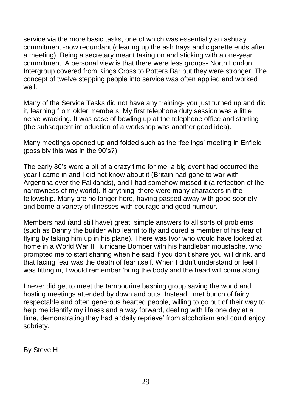service via the more basic tasks, one of which was essentially an ashtray commitment -now redundant (clearing up the ash trays and cigarette ends after a meeting). Being a secretary meant taking on and sticking with a one-year commitment. A personal view is that there were less groups- North London Intergroup covered from Kings Cross to Potters Bar but they were stronger. The concept of twelve stepping people into service was often applied and worked well.

Many of the Service Tasks did not have any training- you just turned up and did it, learning from older members. My first telephone duty session was a little nerve wracking. It was case of bowling up at the telephone office and starting (the subsequent introduction of a workshop was another good idea).

Many meetings opened up and folded such as the 'feelings' meeting in Enfield (possibly this was in the 90's?).

The early 80's were a bit of a crazy time for me, a big event had occurred the year I came in and I did not know about it (Britain had gone to war with Argentina over the Falklands), and I had somehow missed it (a reflection of the narrowness of my world). If anything, there were many characters in the fellowship. Many are no longer here, having passed away with good sobriety and borne a variety of illnesses with courage and good humour.

Members had (and still have) great, simple answers to all sorts of problems (such as Danny the builder who learnt to fly and cured a member of his fear of flying by taking him up in his plane). There was Ivor who would have looked at home in a World War II Hurricane Bomber with his handlebar moustache, who prompted me to start sharing when he said if you don't share you will drink, and that facing fear was the death of fear itself. When I didn't understand or feel I was fitting in, I would remember 'bring the body and the head will come along'.

I never did get to meet the tambourine bashing group saving the world and hosting meetings attended by down and outs. Instead I met bunch of fairly respectable and often generous hearted people, willing to go out of their way to help me identify my illness and a way forward, dealing with life one day at a time, demonstrating they had a 'daily reprieve' from alcoholism and could enjoy sobriety.

By Steve H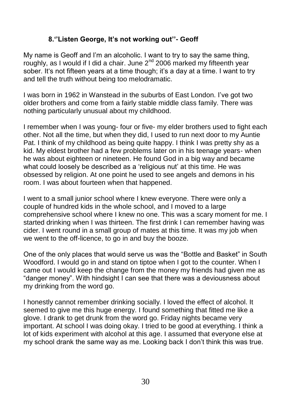#### **8.''Listen George, It's not working out''- Geoff**

My name is Geoff and I'm an alcoholic. I want to try to say the same thing, roughly, as I would if I did a chair. June  $2^{nd}$  2006 marked my fifteenth year sober. It's not fifteen years at a time though; it's a day at a time. I want to try and tell the truth without being too melodramatic.

I was born in 1962 in Wanstead in the suburbs of East London. I've got two older brothers and come from a fairly stable middle class family. There was nothing particularly unusual about my childhood.

I remember when I was young- four or five- my elder brothers used to fight each other. Not all the time, but when they did, I used to run next door to my Auntie Pat. I think of my childhood as being quite happy. I think I was pretty shy as a kid. My eldest brother had a few problems later on in his teenage years- when he was about eighteen or nineteen. He found God in a big way and became what could loosely be described as a 'religious nut' at this time. He was obsessed by religion. At one point he used to see angels and demons in his room. I was about fourteen when that happened.

I went to a small junior school where I knew everyone. There were only a couple of hundred kids in the whole school, and I moved to a large comprehensive school where I knew no one. This was a scary moment for me. I started drinking when I was thirteen. The first drink I can remember having was cider. I went round in a small group of mates at this time. It was my job when we went to the off-licence, to go in and buy the booze.

One of the only places that would serve us was the "Bottle and Basket" in South Woodford. I would go in and stand on tiptoe when I got to the counter. When I came out I would keep the change from the money my friends had given me as "danger money". With hindsight I can see that there was a deviousness about my drinking from the word go.

I honestly cannot remember drinking socially. I loved the effect of alcohol. It seemed to give me this huge energy. I found something that fitted me like a glove. I drank to get drunk from the word go. Friday nights became very important. At school I was doing okay. I tried to be good at everything. I think a lot of kids experiment with alcohol at this age. I assumed that everyone else at my school drank the same way as me. Looking back I don't think this was true.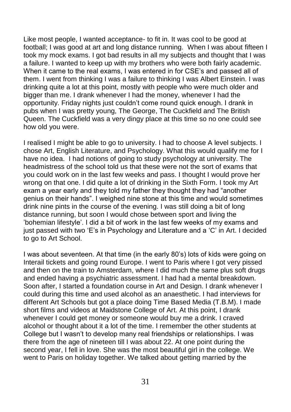Like most people, I wanted acceptance- to fit in. It was cool to be good at football; I was good at art and long distance running. When I was about fifteen I took my mock exams. I got bad results in all my subjects and thought that I was a failure. I wanted to keep up with my brothers who were both fairly academic. When it came to the real exams, I was entered in for CSE's and passed all of them. I went from thinking I was a failure to thinking I was Albert Einstein. I was drinking quite a lot at this point, mostly with people who were much older and bigger than me. I drank whenever I had the money, whenever I had the opportunity. Friday nights just couldn't come round quick enough. I drank in pubs when I was pretty young, The George, The Cuckfield and The British Queen. The Cuckfield was a very dingy place at this time so no one could see how old you were.

I realised I might be able to go to university. I had to choose A level subjects. I chose Art, English Literature, and Psychology. What this would qualify me for I have no idea. I had notions of going to study psychology at university. The headmistress of the school told us that these were not the sort of exams that you could work on in the last few weeks and pass. I thought I would prove her wrong on that one. I did quite a lot of drinking in the Sixth Form. I took my Art exam a year early and they told my father they thought they had "another genius on their hands". I weighed nine stone at this time and would sometimes drink nine pints in the course of the evening. I was still doing a bit of long distance running, but soon I would chose between sport and living the 'bohemian lifestyle'. I did a bit of work in the last few weeks of my exams and just passed with two 'E's in Psychology and Literature and a 'C' in Art. I decided to go to Art School.

I was about seventeen. At that time (in the early 80's) lots of kids were going on Interail tickets and going round Europe. I went to Paris where I got very pissed and then on the train to Amsterdam, where I did much the same plus soft drugs and ended having a psychiatric assessment. I had had a mental breakdown. Soon after, I started a foundation course in Art and Design. I drank whenever I could during this time and used alcohol as an anaesthetic. I had interviews for different Art Schools but got a place doing Time Based Media (T.B.M). I made short films and videos at Maidstone College of Art. At this point, I drank whenever I could get money or someone would buy me a drink. I craved alcohol or thought about it a lot of the time. I remember the other students at College but I wasn't to develop many real friendships or relationships. I was there from the age of nineteen till I was about 22. At one point during the second year, I fell in love. She was the most beautiful girl in the college. We went to Paris on holiday together. We talked about getting married by the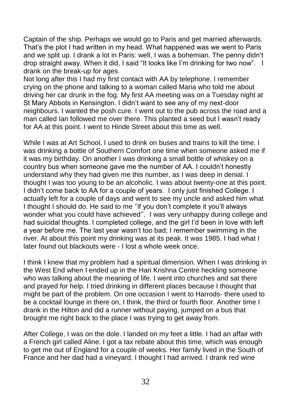Captain of the ship. Perhaps we would go to Paris and get married afterwards. That's the plot I had written in my head. What happened was we went to Paris and we split up. I drank a lot in Paris: well, I was a bohemian. The penny didn't drop straight away. When it did, I said "It looks like I'm drinking for two now". I drank on the break-up for ages.

Not long after this I had my first contact with AA by telephone. I remember crying on the phone and talking to a woman called Maria who told me about driving her car drunk in the fog. My first AA meeting was on a Tuesday night at St Mary Abbots in Kensington. I didn't want to see any of my next-door neighbours. I wanted the posh cure. I went out to the pub across the road and a man called Ian followed me over there. This planted a seed but I wasn't ready for AA at this point. I went to Hinde Street about this time as well.

While I was at Art School, I used to drink on buses and trains to kill the time. I was drinking a bottle of Southern Comfort one time when someone asked me if it was my birthday. On another I was drinking a small bottle of whiskey on a country bus when someone gave me the number of AA. I couldn't honestly understand why they had given me this number, as I was deep in denial. I thought I was too young to be an alcoholic. I was about twenty-one at this point. I didn't come back to AA for a couple of years. I only just finished College. I actually left for a couple of days and went to see my uncle and asked him what I thought I should do. He said to me ''if you don't complete it you'll always wonder what you could have achieved". I was very unhappy during college and had suicidal thoughts. I completed college, and the girl I'd been in love with left a year before me. The last year wasn't too bad; I remember swimming in the river. At about this point my drinking was at its peak. It was 1985. I had what I later found out blackouts were - I lost a whole week once.

I think I knew that my problem had a spiritual dimension. When I was drinking in the West End when I ended up in the Hari Krishna Centre heckling someone who was talking about the meaning of life. I went into churches and sat there and prayed for help. I tried drinking in different places because I thought that might be part of the problem. On one occasion I went to Harrods- there used to be a cocktail lounge in there on, I think, the third or fourth floor. Another time I drank in the Hilton and did a runner without paying, jumped on a bus that brought me right back to the place I was trying to get away from.

After College, I was on the dole. I landed on my feet a little. I had an affair with a French girl called Aline. I got a tax rebate about this time, which was enough to get me out of England for a couple of weeks. Her family lived in the South of France and her dad had a vineyard. I thought I had arrived. I drank red wine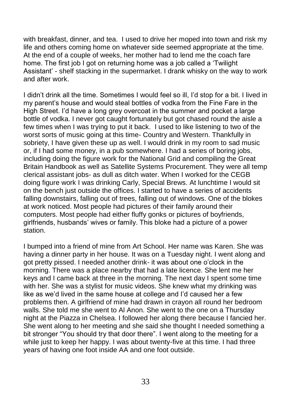with breakfast, dinner, and tea. I used to drive her moped into town and risk my life and others coming home on whatever side seemed appropriate at the time. At the end of a couple of weeks, her mother had to lend me the coach fare home. The first job I got on returning home was a job called a 'Twilight Assistant' - shelf stacking in the supermarket. I drank whisky on the way to work and after work.

I didn't drink all the time. Sometimes I would feel so ill, I'd stop for a bit. I lived in my parent's house and would steal bottles of vodka from the Fine Fare in the High Street. I'd have a long grey overcoat in the summer and pocket a large bottle of vodka. I never got caught fortunately but got chased round the aisle a few times when I was trying to put it back. I used to like listening to two of the worst sorts of music going at this time- Country and Western. Thankfully in sobriety, I have given these up as well. I would drink in my room to sad music or, if I had some money, in a pub somewhere. I had a series of boring jobs, including doing the figure work for the National Grid and compiling the Great Britain Handbook as well as Satellite Systems Procurement. They were all temp clerical assistant jobs- as dull as ditch water. When I worked for the CEGB doing figure work I was drinking Carly, Special Brews. At lunchtime I would sit on the bench just outside the offices. I started to have a series of accidents falling downstairs, falling out of trees, falling out of windows. One of the blokes at work noticed. Most people had pictures of their family around their computers. Most people had either fluffy gonks or pictures of boyfriends, girlfriends, husbands' wives or family. This bloke had a picture of a power station.

I bumped into a friend of mine from Art School. Her name was Karen. She was having a dinner party in her house. It was on a Tuesday night. I went along and got pretty pissed. I needed another drink- it was about one o'clock in the morning. There was a place nearby that had a late licence. She lent me her keys and I came back at three in the morning. The next day I spent some time with her. She was a stylist for music videos. She knew what my drinking was like as we'd lived in the same house at college and I'd caused her a few problems then. A girlfriend of mine had drawn in crayon all round her bedroom walls. She told me she went to Al Anon. She went to the one on a Thursday night at the Piazza in Chelsea. I followed her along there because I fancied her. She went along to her meeting and she said she thought I needed something a bit stronger "You should try that door there". I went along to the meeting for a while just to keep her happy. I was about twenty-five at this time. I had three years of having one foot inside AA and one foot outside.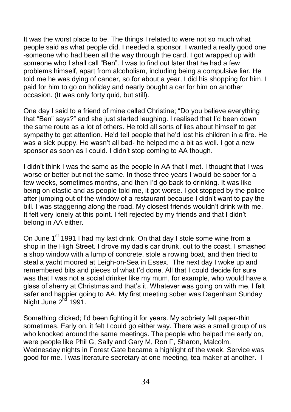It was the worst place to be. The things I related to were not so much what people said as what people did. I needed a sponsor. I wanted a really good one -someone who had been all the way through the card. I got wrapped up with someone who I shall call "Ben". I was to find out later that he had a few problems himself, apart from alcoholism, including being a compulsive liar. He told me he was dying of cancer, so for about a year, I did his shopping for him. I paid for him to go on holiday and nearly bought a car for him on another occasion. (It was only forty quid, but still).

One day I said to a friend of mine called Christine; "Do you believe everything that "Ben" says?" and she just started laughing. I realised that I'd been down the same route as a lot of others. He told all sorts of lies about himself to get sympathy to get attention. He'd tell people that he'd lost his children in a fire. He was a sick puppy. He wasn't all bad- he helped me a bit as well. I got a new sponsor as soon as I could. I didn't stop coming to AA though.

I didn't think I was the same as the people in AA that I met. I thought that I was worse or better but not the same. In those three years I would be sober for a few weeks, sometimes months, and then I'd go back to drinking. It was like being on elastic and as people told me, it got worse. I got stopped by the police after jumping out of the window of a restaurant because I didn't want to pay the bill. I was staggering along the road. My closest friends wouldn't drink with me. It felt very lonely at this point. I felt rejected by my friends and that I didn't belong in AA either.

On June 1<sup>st</sup> 1991 I had my last drink. On that day I stole some wine from a shop in the High Street. I drove my dad's car drunk, out to the coast. I smashed a shop window with a lump of concrete, stole a rowing boat, and then tried to steal a yacht moored at Leigh-on-Sea in Essex. The next day I woke up and remembered bits and pieces of what I'd done. All that I could decide for sure was that I was not a social drinker like my mum, for example, who would have a glass of sherry at Christmas and that's it. Whatever was going on with me, I felt safer and happier going to AA. My first meeting sober was Dagenham Sunday Night June 2<sup>nd</sup> 1991.

Something clicked; I'd been fighting it for years. My sobriety felt paper-thin sometimes. Early on, it felt I could go either way. There was a small group of us who knocked around the same meetings. The people who helped me early on, were people like Phil G, Sally and Gary M, Ron F, Sharon, Malcolm. Wednesday nights in Forest Gate became a highlight of the week. Service was good for me. I was literature secretary at one meeting, tea maker at another. I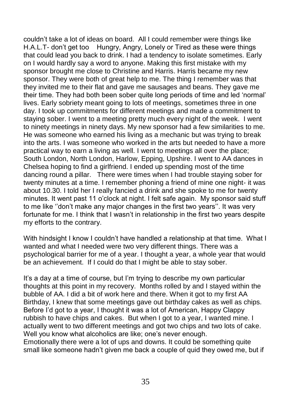couldn't take a lot of ideas on board. All I could remember were things like H.A.L.T- don't get too Hungry, Angry, Lonely or Tired as these were things that could lead you back to drink. I had a tendency to isolate sometimes. Early on I would hardly say a word to anyone. Making this first mistake with my sponsor brought me close to Christine and Harris. Harris became my new sponsor. They were both of great help to me. The thing I remember was that they invited me to their flat and gave me sausages and beans. They gave me their time. They had both been sober quite long periods of time and led 'normal' lives. Early sobriety meant going to lots of meetings, sometimes three in one day. I took up commitments for different meetings and made a commitment to staying sober. I went to a meeting pretty much every night of the week. I went to ninety meetings in ninety days. My new sponsor had a few similarities to me. He was someone who earned his living as a mechanic but was trying to break into the arts. I was someone who worked in the arts but needed to have a more practical way to earn a living as well. I went to meetings all over the place; South London, North London, Harlow, Epping, Upshire. I went to AA dances in Chelsea hoping to find a girlfriend. I ended up spending most of the time dancing round a pillar. There were times when I had trouble staying sober for twenty minutes at a time. I remember phoning a friend of mine one night- it was about 10.30. I told her I really fancied a drink and she spoke to me for twenty minutes. It went past 11 o'clock at night. I felt safe again. My sponsor said stuff to me like ''don't make any major changes in the first two years''. It was very fortunate for me. I think that I wasn't in relationship in the first two years despite my efforts to the contrary.

With hindsight I know I couldn't have handled a relationship at that time. What I wanted and what I needed were two very different things. There was a psychological barrier for me of a year. I thought a year, a whole year that would be an achievement. If I could do that I might be able to stay sober.

It's a day at a time of course, but I'm trying to describe my own particular thoughts at this point in my recovery. Months rolled by and I stayed within the bubble of AA. I did a bit of work here and there. When it got to my first AA Birthday, I knew that some meetings gave out birthday cakes as well as chips. Before I'd got to a year, I thought it was a lot of American, Happy Clappy rubbish to have chips and cakes. But when I got to a year, I wanted mine. I actually went to two different meetings and got two chips and two lots of cake. Well you know what alcoholics are like; one's never enough.

Emotionally there were a lot of ups and downs. It could be something quite small like someone hadn't given me back a couple of quid they owed me, but if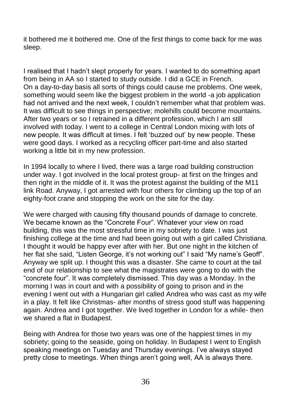it bothered me it bothered me. One of the first things to come back for me was sleep.

I realised that I hadn't slept properly for years. I wanted to do something apart from being in AA so I started to study outside. I did a GCE in French. On a day-to-day basis all sorts of things could cause me problems. One week, something would seem like the biggest problem in the world -a job application had not arrived and the next week, I couldn't remember what that problem was. It was difficult to see things in perspective; molehills could become mountains. After two years or so I retrained in a different profession, which I am still involved with today. I went to a college in Central London mixing with lots of new people. It was difficult at times. I felt 'buzzed out' by new people. These were good days. I worked as a recycling officer part-time and also started working a little bit in my new profession.

In 1994 locally to where I lived, there was a large road building construction under way. I got involved in the local protest group- at first on the fringes and then right in the middle of it. It was the protest against the building of the M11 link Road. Anyway, I got arrested with four others for climbing up the top of an eighty-foot crane and stopping the work on the site for the day.

We were charged with causing fifty thousand pounds of damage to concrete. We became known as the "Concrete Four". Whatever your view on road building, this was the most stressful time in my sobriety to date. I was just finishing college at the time and had been going out with a girl called Christiana. I thought it would be happy ever after with her. But one night in the kitchen of her flat she said, "Listen George, it's not working out" I said "My name's Geoff". Anyway we split up. I thought this was a disaster. She came to court at the tail end of our relationship to see what the magistrates were gong to do with the "concrete four". It was completely dismissed. This day was a Monday. In the morning I was in court and with a possibility of going to prison and in the evening I went out with a Hungarian girl called Andrea who was cast as my wife in a play. It felt like Christmas- after months of stress good stuff was happening again. Andrea and I got together. We lived together in London for a while- then we shared a flat in Budapest.

Being with Andrea for those two years was one of the happiest times in my sobriety; going to the seaside, going on holiday. In Budapest I went to English speaking meetings on Tuesday and Thursday evenings. I've always stayed pretty close to meetings. When things aren't going well, AA is always there.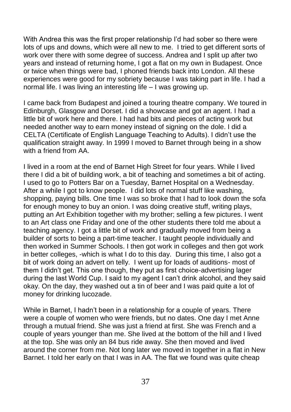With Andrea this was the first proper relationship I'd had sober so there were lots of ups and downs, which were all new to me. I tried to get different sorts of work over there with some degree of success. Andrea and I split up after two years and instead of returning home, I got a flat on my own in Budapest. Once or twice when things were bad, I phoned friends back into London. All these experiences were good for my sobriety because I was taking part in life. I had a normal life. I was living an interesting life – I was growing up.

I came back from Budapest and joined a touring theatre company. We toured in Edinburgh, Glasgow and Dorset. I did a showcase and got an agent. I had a little bit of work here and there. I had had bits and pieces of acting work but needed another way to earn money instead of signing on the dole. I did a CELTA (Certificate of English Language Teaching to Adults). I didn't use the qualification straight away. In 1999 I moved to Barnet through being in a show with a friend from AA

I lived in a room at the end of Barnet High Street for four years. While I lived there I did a bit of building work, a bit of teaching and sometimes a bit of acting. I used to go to Potters Bar on a Tuesday, Barnet Hospital on a Wednesday. After a while I got to know people. I did lots of normal stuff like washing, shopping, paying bills. One time I was so broke that I had to look down the sofa for enough money to buy an onion. I was doing creative stuff, writing plays, putting an Art Exhibition together with my brother; selling a few pictures. I went to an Art class one Friday and one of the other students there told me about a teaching agency. I got a little bit of work and gradually moved from being a builder of sorts to being a part-time teacher. I taught people individually and then worked in Summer Schools. I then got work in colleges and then got work in better colleges, -which is what I do to this day. During this time, I also got a bit of work doing an advert on telly. I went up for loads of auditions- most of them I didn't get. This one though, they put as first choice-advertising lager during the last World Cup. I said to my agent I can't drink alcohol, and they said okay. On the day, they washed out a tin of beer and I was paid quite a lot of money for drinking lucozade.

While in Barnet, I hadn't been in a relationship for a couple of years. There were a couple of women who were friends, but no dates. One day I met Anne through a mutual friend. She was just a friend at first. She was French and a couple of years younger than me. She lived at the bottom of the hill and I lived at the top. She was only an 84 bus ride away. She then moved and lived around the corner from me. Not long later we moved in together in a flat in New Barnet. I told her early on that I was in AA. The flat we found was quite cheap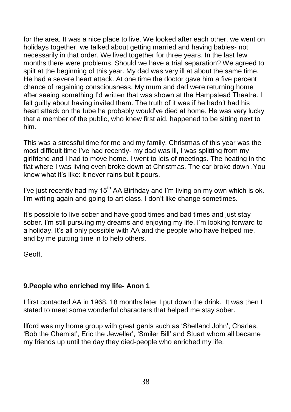for the area. It was a nice place to live. We looked after each other, we went on holidays together, we talked about getting married and having babies- not necessarily in that order. We lived together for three years. In the last few months there were problems. Should we have a trial separation? We agreed to spilt at the beginning of this year. My dad was very ill at about the same time. He had a severe heart attack. At one time the doctor gave him a five percent chance of regaining consciousness. My mum and dad were returning home after seeing something I'd written that was shown at the Hampstead Theatre. I felt guilty about having invited them. The truth of it was if he hadn't had his heart attack on the tube he probably would've died at home. He was very lucky that a member of the public, who knew first aid, happened to be sitting next to him.

This was a stressful time for me and my family. Christmas of this year was the most difficult time I've had recently- my dad was ill, I was splitting from my girlfriend and I had to move home. I went to lots of meetings. The heating in the flat where I was living even broke down at Christmas. The car broke down .You know what it's like: it never rains but it pours.

I've just recently had my  $15<sup>th</sup>$  AA Birthday and I'm living on my own which is ok. I'm writing again and going to art class. I don't like change sometimes.

It's possible to live sober and have good times and bad times and just stay sober. I'm still pursuing my dreams and enjoying my life. I'm looking forward to a holiday. It's all only possible with AA and the people who have helped me, and by me putting time in to help others.

Geoff.

#### **9.People who enriched my life- Anon 1**

I first contacted AA in 1968. 18 months later I put down the drink. It was then I stated to meet some wonderful characters that helped me stay sober.

Ilford was my home group with great gents such as 'Shetland John', Charles, 'Bob the Chemist', Eric the Jeweller', 'Smiler Bill' and Stuart whom all became my friends up until the day they died-people who enriched my life.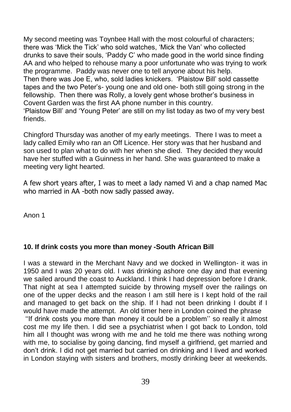My second meeting was Toynbee Hall with the most colourful of characters; there was 'Mick the Tick' who sold watches, 'Mick the Van' who collected drunks to save their souls, 'Paddy C' who made good in the world since finding AA and who helped to rehouse many a poor unfortunate who was trying to work the programme. Paddy was never one to tell anyone about his help. Then there was Joe E, who, sold ladies knickers. 'Plaistow Bill' sold cassette tapes and the two Peter's- young one and old one- both still going strong in the fellowship. Then there was Rolly, a lovely gent whose brother's business in Covent Garden was the first AA phone number in this country. 'Plaistow Bill' and 'Young Peter' are still on my list today as two of my very best friends.

Chingford Thursday was another of my early meetings. There I was to meet a lady called Emily who ran an Off Licence. Her story was that her husband and son used to plan what to do with her when she died. They decided they would have her stuffed with a Guinness in her hand. She was guaranteed to make a meeting very light hearted.

A few short years after, I was to meet a lady named Vi and a chap named Mac who married in AA -both now sadly passed away.

Anon 1

#### **10. If drink costs you more than money -South African Bill**

I was a steward in the Merchant Navy and we docked in Wellington- it was in 1950 and I was 20 years old. I was drinking ashore one day and that evening we sailed around the coast to Auckland. I think I had depression before I drank. That night at sea I attempted suicide by throwing myself over the railings on one of the upper decks and the reason I am still here is I kept hold of the rail and managed to get back on the ship. If I had not been drinking I doubt if I would have made the attempt. An old timer here in London coined the phrase ''If drink costs you more than money it could be a problem'' so really it almost cost me my life then. I did see a psychiatrist when I got back to London, told him all I thought was wrong with me and he told me there was nothing wrong with me, to socialise by going dancing, find myself a girlfriend, get married and don't drink. I did not get married but carried on drinking and I lived and worked in London staying with sisters and brothers, mostly drinking beer at weekends.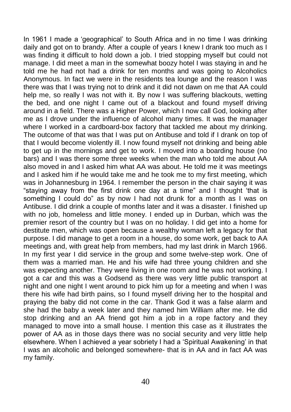In 1961 I made a 'geographical' to South Africa and in no time I was drinking daily and got on to brandy. After a couple of years I knew I drank too much as I was finding it difficult to hold down a job. I tried stopping myself but could not manage. I did meet a man in the somewhat boozy hotel I was staying in and he told me he had not had a drink for ten months and was going to Alcoholics Anonymous. In fact we were in the residents tea lounge and the reason I was there was that I was trying not to drink and it did not dawn on me that AA could help me, so really I was not with it. By now I was suffering blackouts, wetting the bed, and one night I came out of a blackout and found myself driving around in a field. There was a Higher Power, which I now call God, looking after me as I drove under the influence of alcohol many times. It was the manager where I worked in a cardboard-box factory that tackled me about my drinking. The outcome of that was that I was put on Antibuse and told if I drank on top of that I would become violently ill. I now found myself not drinking and being able to get up in the mornings and get to work. I moved into a boarding house (no bars) and I was there some three weeks when the man who told me about AA also moved in and I asked him what AA was about. He told me it was meetings and I asked him if he would take me and he took me to my first meeting, which was in Johannesburg in 1964. I remember the person in the chair saying it was "staying away from the first drink one day at a time" and I thought 'that is something I could do" as by now I had not drunk for a month as I was on Antibuse. I did drink a couple of months later and it was a disaster. I finished up with no job, homeless and little money. I ended up in Durban, which was the premier resort of the country but I was on no holiday. I did get into a home for destitute men, which was open because a wealthy woman left a legacy for that purpose. I did manage to get a room in a house, do some work, get back to AA meetings and, with great help from members, had my last drink in March 1966. In my first year I did service in the group and some twelve-step work. One of them was a married man. He and his wife had three young children and she was expecting another. They were living in one room and he was not working. I got a car and this was a Godsend as there was very little public transport at night and one night I went around to pick him up for a meeting and when I was there his wife had birth pains, so I found myself driving her to the hospital and praying the baby did not come in the car. Thank God it was a false alarm and she had the baby a week later and they named him William after me. He did stop drinking and an AA friend got him a job in a rope factory and they managed to move into a small house. I mention this case as it illustrates the power of AA as in those days there was no social security and very little help elsewhere. When I achieved a year sobriety I had a 'Spiritual Awakening' in that I was an alcoholic and belonged somewhere- that is in AA and in fact AA was my family.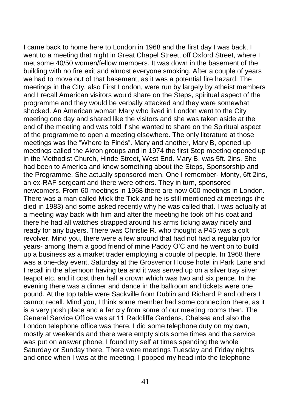I came back to home here to London in 1968 and the first day I was back, I went to a meeting that night in Great Chapel Street, off Oxford Street, where I met some 40/50 women/fellow members. It was down in the basement of the building with no fire exit and almost everyone smoking. After a couple of years we had to move out of that basement, as it was a potential fire hazard. The meetings in the City, also First London, were run by largely by atheist members and I recall American visitors would share on the Steps, spiritual aspect of the programme and they would be verbally attacked and they were somewhat shocked. An American woman Mary who lived in London went to the City meeting one day and shared like the visitors and she was taken aside at the end of the meeting and was told if she wanted to share on the Spiritual aspect of the programme to open a meeting elsewhere. The only literature at those meetings was the "Where to Finds". Mary and another, Mary B, opened up meetings called the Akron groups and in 1974 the first Step meeting opened up in the Methodist Church, Hinde Street, West End. Mary B. was 5ft. 2ins. She had been to America and knew something about the Steps, Sponsorship and the Programme. She actually sponsored men. One I remember- Monty, 6ft 2ins, an ex-RAF sergeant and there were others. They in turn, sponsored newcomers. From 60 meetings in 1968 there are now 600 meetings in London. There was a man called Mick the Tick and he is still mentioned at meetings (he died in 1983) and some asked recently why he was called that. I was actually at a meeting way back with him and after the meeting he took off his coat and there he had all watches strapped around his arms ticking away nicely and ready for any buyers. There was Christie R. who thought a P45 was a colt revolver. Mind you, there were a few around that had not had a regular job for years- among them a good friend of mine Paddy O'C and he went on to build up a business as a market trader employing a couple of people. In 1968 there was a one-day event, Saturday at the Grosvenor House hotel in Park Lane and I recall in the afternoon having tea and it was served up on a silver tray silver teapot etc. and it cost then half a crown which was two and six pence. In the evening there was a dinner and dance in the ballroom and tickets were one pound. At the top table were Sackville from Dublin and Richard P and others I cannot recall. Mind you, I think some member had some connection there, as it is a very posh place and a far cry from some of our meeting rooms then. The General Service Office was at 11 Redcliffe Gardens, Chelsea and also the London telephone office was there. I did some telephone duty on my own, mostly at weekends and there were empty slots some times and the service was put on answer phone. I found my self at times spending the whole Saturday or Sunday there. There were meetings Tuesday and Friday nights and once when I was at the meeting, I popped my head into the telephone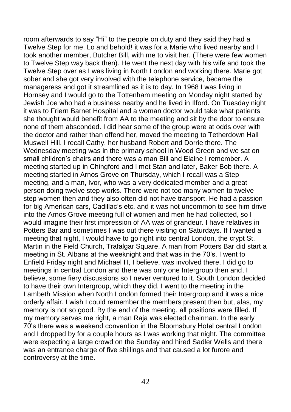room afterwards to say "Hi" to the people on duty and they said they had a Twelve Step for me. Lo and behold! it was for a Marie who lived nearby and I took another member, Butcher Bill, with me to visit her. (There were few women to Twelve Step way back then). He went the next day with his wife and took the Twelve Step over as I was living in North London and working there. Marie got sober and she got very involved with the telephone service, became the manageress and got it streamlined as it is to day. In 1968 I was living in Hornsey and I would go to the Tottenham meeting on Monday night started by Jewish Joe who had a business nearby and he lived in Ilford. On Tuesday night it was to Friern Barnet Hospital and a woman doctor would take what patients she thought would benefit from AA to the meeting and sit by the door to ensure none of them absconded. I did hear some of the group were at odds over with the doctor and rather than offend her, moved the meeting to Tetherdown Hall Muswell Hill. I recall Cathy, her husband Robert and Dorrie there. The Wednesday meeting was in the primary school in Wood Green and we sat on small children's chairs and there was a man Bill and Elaine I remember. A meeting started up in Chingford and I met Stan and later, Baker Bob there. A meeting started in Arnos Grove on Thursday, which I recall was a Step meeting, and a man, Ivor, who was a very dedicated member and a great person doing twelve step works. There were not too many women to twelve step women then and they also often did not have transport. He had a passion for big American cars, Cadillac's etc. and it was not uncommon to see him drive into the Arnos Grove meeting full of women and men he had collected, so I would imagine their first impression of AA was of grandeur. I have relatives in Potters Bar and sometimes I was out there visiting on Saturdays. If I wanted a meeting that night, I would have to go right into central London, the crypt St. Martin in the Field Church, Trafalgar Square. A man from Potters Bar did start a meeting in St. Albans at the weeknight and that was in the 70's. I went to Enfield Friday night and Michael H, I believe, was involved there. I did go to meetings in central London and there was only one Intergroup then and, I believe, some fiery discussions so I never ventured to it. South London decided to have their own Intergroup, which they did. I went to the meeting in the Lambeth Mission when North London formed their Intergroup and it was a nice orderly affair. I wish I could remember the members present then but, alas, my memory is not so good. By the end of the meeting, all positions were filled. If my memory serves me right, a man Raja was elected chairman. In the early 70's there was a weekend convention in the Bloomsbury Hotel central London and I dropped by for a couple hours as I was working that night. The committee were expecting a large crowd on the Sunday and hired Sadler Wells and there was an entrance charge of five shillings and that caused a lot furore and controversy at the time.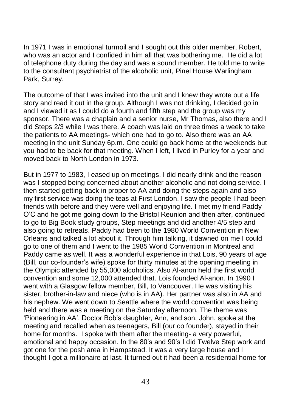In 1971 I was in emotional turmoil and I sought out this older member, Robert, who was an actor and I confided in him all that was bothering me. He did a lot of telephone duty during the day and was a sound member. He told me to write to the consultant psychiatrist of the alcoholic unit, Pinel House Warlingham Park, Surrey.

The outcome of that I was invited into the unit and I knew they wrote out a life story and read it out in the group. Although I was not drinking, I decided go in and I viewed it as I could do a fourth and fifth step and the group was my sponsor. There was a chaplain and a senior nurse, Mr Thomas, also there and I did Steps 2/3 while I was there. A coach was laid on three times a week to take the patients to AA meetings- which one had to go to. Also there was an AA meeting in the unit Sunday 6p.m. One could go back home at the weekends but you had to be back for that meeting. When I left, I lived in Purley for a year and moved back to North London in 1973.

But in 1977 to 1983, I eased up on meetings. I did nearly drink and the reason was I stopped being concerned about another alcoholic and not doing service. I then started getting back in proper to AA and doing the steps again and also my first service was doing the teas at First London. I saw the people I had been friends with before and they were well and enjoying life. I met my friend Paddy O'C and he got me going down to the Bristol Reunion and then after, continued to go to Big Book study groups, Step meetings and did another 4/5 step and also going to retreats. Paddy had been to the 1980 World Convention in New Orleans and talked a lot about it. Through him talking, it dawned on me I could go to one of them and I went to the 1985 World Convention in Montreal and Paddy came as well. It was a wonderful experience in that Lois, 90 years of age (Bill, our co-founder's wife) spoke for thirty minutes at the opening meeting in the Olympic attended by 55,000 alcoholics. Also Al-anon held the first world convention and some 12,000 attended that. Lois founded Al-anon. In 1990 I went with a Glasgow fellow member, Bill, to Vancouver. He was visiting his sister, brother-in-law and niece (who is in AA). Her partner was also in AA and his nephew. We went down to Seattle where the world convention was being held and there was a meeting on the Saturday afternoon. The theme was 'Pioneering in AA'. Doctor Bob's daughter, Ann, and son, John, spoke at the meeting and recalled when as teenagers, Bill (our co founder), stayed in their home for months. I spoke with them after the meeting- a very powerful, emotional and happy occasion. In the 80's and 90's I did Twelve Step work and got one for the posh area in Hampstead. It was a very large house and I thought I got a millionaire at last. It turned out it had been a residential home for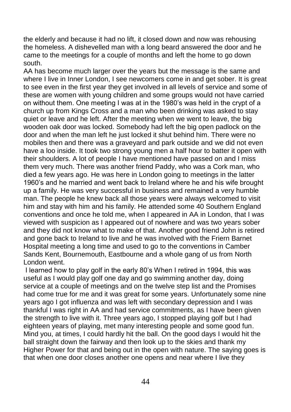the elderly and because it had no lift, it closed down and now was rehousing the homeless. A dishevelled man with a long beard answered the door and he came to the meetings for a couple of months and left the home to go down south.

AA has become much larger over the years but the message is the same and where I live in Inner London, I see newcomers come in and get sober. It is great to see even in the first year they get involved in all levels of service and some of these are women with young children and some groups would not have carried on without them. One meeting I was at in the 1980's was held in the crypt of a church up from Kings Cross and a man who been drinking was asked to stay quiet or leave and he left. After the meeting when we went to leave, the big wooden oak door was locked. Somebody had left the big open padlock on the door and when the man left he just locked it shut behind him. There were no mobiles then and there was a graveyard and park outside and we did not even have a loo inside. It took two strong young men a half hour to batter it open with their shoulders. A lot of people I have mentioned have passed on and I miss them very much. There was another friend Paddy, who was a Cork man, who died a few years ago. He was here in London going to meetings in the latter 1960's and he married and went back to Ireland where he and his wife brought up a family. He was very successful in business and remained a very humble man. The people he knew back all those years were always welcomed to visit him and stay with him and his family. He attended some 40 Southern England conventions and once he told me, when I appeared in AA in London, that I was viewed with suspicion as I appeared out of nowhere and was two years sober and they did not know what to make of that. Another good friend John is retired and gone back to Ireland to live and he was involved with the Friern Barnet Hospital meeting a long time and used to go to the conventions in Camber Sands Kent, Bournemouth, Eastbourne and a whole gang of us from North London went.

I learned how to play golf in the early 80's When I retired in 1994, this was useful as I would play golf one day and go swimming another day, doing service at a couple of meetings and on the twelve step list and the Promises had come true for me and it was great for some years. Unfortunately some nine years ago I got influenza and was left with secondary depression and I was thankful I was right in AA and had service commitments, as I have been given the strength to live with it. Three years ago, I stopped playing golf but I had eighteen years of playing, met many interesting people and some good fun. Mind you, at times, I could hardly hit the ball. On the good days I would hit the ball straight down the fairway and then look up to the skies and thank my Higher Power for that and being out in the open with nature. The saying goes is that when one door closes another one opens and near where I live they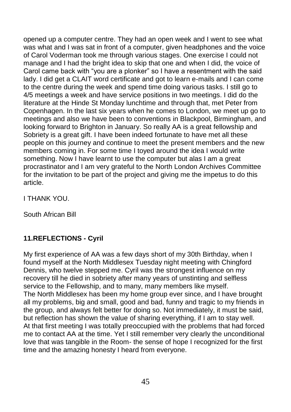opened up a computer centre. They had an open week and I went to see what was what and I was sat in front of a computer, given headphones and the voice of Carol Voderman took me through various stages. One exercise I could not manage and I had the bright idea to skip that one and when I did, the voice of Carol came back with "you are a plonker" so I have a resentment with the said lady. I did get a CLAIT word certificate and got to learn e-mails and I can come to the centre during the week and spend time doing various tasks. I still go to 4/5 meetings a week and have service positions in two meetings. I did do the literature at the Hinde St Monday lunchtime and through that, met Peter from Copenhagen. In the last six years when he comes to London, we meet up go to meetings and also we have been to conventions in Blackpool, Birmingham, and looking forward to Brighton in January. So really AA is a great fellowship and Sobriety is a great gift. I have been indeed fortunate to have met all these people on this journey and continue to meet the present members and the new members coming in. For some time I toyed around the idea I would write something. Now I have learnt to use the computer but alas I am a great procrastinator and I am very grateful to the North London Archives Committee for the invitation to be part of the project and giving me the impetus to do this article.

I THANK YOU.

South African Bill

# **11.REFLECTIONS - Cyril**

My first experience of AA was a few days short of my 30th Birthday, when I found myself at the North Middlesex Tuesday night meeting with Chingford Dennis, who twelve stepped me. Cyril was the strongest influence on my recovery till he died in sobriety after many years of unstinting and selfless service to the Fellowship, and to many, many members like myself. The North Middlesex has been my home group ever since, and I have brought all my problems, big and small, good and bad, funny and tragic to my friends in the group, and always felt better for doing so. Not immediately, it must be said, but reflection has shown the value of sharing everything, if I am to stay well. At that first meeting I was totally preoccupied with the problems that had forced me to contact AA at the time. Yet I still remember very clearly the unconditional love that was tangible in the Room- the sense of hope I recognized for the first time and the amazing honesty I heard from everyone.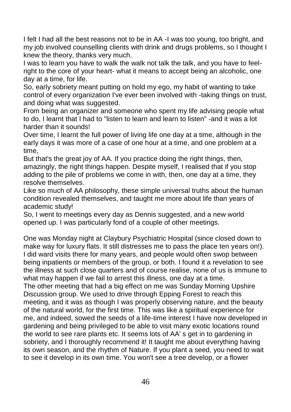I felt I had all the best reasons not to be in AA -I was too young, too bright, and my job involved counselling clients with drink and drugs problems, so I thought I knew the theory, thanks very much.

I was to learn you have to walk the walk not talk the talk, and you have to feelright to the core of your heart- what it means to accept being an alcoholic, one day at a time, for life.

So, early sobriety meant putting on hold my ego, my habit of wanting to take control of every organization I've ever been involved with -taking things on trust, and doing what was suggested.

From being an organizer and someone who spent my life advising people what to do, I learnt that I had to "listen to learn and learn to listen" -and it was a lot harder than it sounds!

Over time, I learnt the full power of living life one day at a time, although in the early days it was more of a case of one hour at a time, and one problem at a time,

But that's the great joy of AA. If you practice doing the right things, then, amazingly, the right things happen. Despite myself, I realised that if you stop adding to the pile of problems we come in with, then, one day at a time, they resolve themselves.

Like so much of AA philosophy, these simple universal truths about the human condition revealed themselves, and taught me more about life than years of academic study!

So, I went to meetings every day as Dennis suggested, and a new world opened up. I was particularly fond of a couple of other meetings.

One was Monday night at Claybury Psychiatric Hospital (since closed down to make way for luxury flats. It still distresses me to pass the place ten years on!). I did ward visits there for many years, and people would often swop between being inpatients or members of the group, or both. I found it a revelation to see the illness at such close quarters and of course realise, none of us is immune to what may happen if we fail to arrest this illness, one day at a time.

The other meeting that had a big effect on me was Sunday Morning Upshire Discussion group. We used to drive through Epping Forest to reach this meeting, and it was as though I was properly observing nature, and the beauty of the natural world, for the first time. This was like a spiritual experience for me, and indeed, sowed the seeds of a life-time interest I have now developed in gardening and being privileged to be able to visit many exotic locations round the world to see rare plants etc. It seems lots of AA' s get in to gardening in sobriety, and I thoroughly recommend it! It taught me about everything having its own season, and the rhythm of Nature. If you plant a seed, you need to wait to see it develop in its own time. You won't see a tree develop, or a flower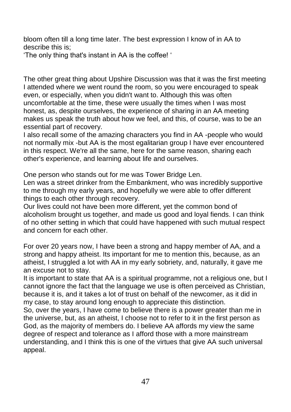bloom often till a long time later. The best expression I know of in AA to describe this is;

'The only thing that's instant in AA is the coffee! '

The other great thing about Upshire Discussion was that it was the first meeting I attended where we went round the room, so you were encouraged to speak even, or especially, when you didn't want to. Although this was often uncomfortable at the time, these were usually the times when I was most honest, as, despite ourselves, the experience of sharing in an AA meeting makes us speak the truth about how we feel, and this, of course, was to be an essential part of recovery.

I also recall some of the amazing characters you find in AA -people who would not normally mix -but AA is the most egalitarian group I have ever encountered in this respect. We're all the same, here for the same reason, sharing each other's experience, and learning about life and ourselves.

One person who stands out for me was Tower Bridge Len.

Len was a street drinker from the Embankment, who was incredibly supportive to me through my early years, and hopefully we were able to offer different things to each other through recovery.

Our lives could not have been more different, yet the common bond of alcoholism brought us together, and made us good and loyal fiends. I can think of no other setting in which that could have happened with such mutual respect and concern for each other.

For over 20 years now, I have been a strong and happy member of AA, and a strong and happy atheist. Its important for me to mention this, because, as an atheist, I struggled a lot with AA in my early sobriety, and, naturally, it gave me an excuse not to stay.

It is important to state that AA is a spiritual programme, not a religious one, but I cannot ignore the fact that the language we use is often perceived as Christian, because it is, and it takes a lot of trust on behalf of the newcomer, as it did in my case, to stay around long enough to appreciate this distinction.

So, over the years, I have come to believe there is a power greater than me in the universe, but, as an atheist, I choose not to refer to it in the first person as God, as the majority of members do. I believe AA affords my view the same degree of respect and tolerance as I afford those with a more mainstream understanding, and I think this is one of the virtues that give AA such universal appeal.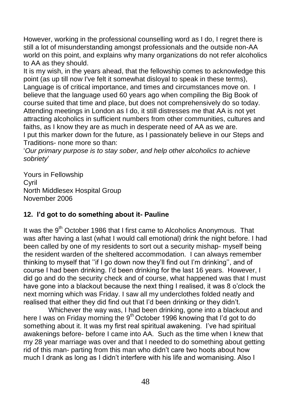However, working in the professional counselling word as I do, I regret there is still a lot of misunderstanding amongst professionals and the outside non-AA world on this point, and explains why many organizations do not refer alcoholics to AA as they should.

It is my wish, in the years ahead, that the fellowship comes to acknowledge this point (as up till now I've felt it somewhat disloyal to speak in these terms), Language is of critical importance, and times and circumstances move on. I believe that the language used 60 years ago when compiling the Big Book of course suited that time and place, but does not comprehensively do so today. Attending meetings in London as I do, it still distresses me that AA is not yet attracting alcoholics in sufficient numbers from other communities, cultures and faiths, as I know they are as much in desperate need of AA as we are. I put this marker down for the future, as I passionately believe in our Steps and Traditions- none more so than:

'*Our primary purpose is to stay sober, and help other alcoholics to achieve sobriety*'

Yours in Fellowship **Cyril** North Middlesex Hospital Group November 2006

# **12. I'd got to do something about it- Pauline**

It was the 9<sup>th</sup> October 1986 that I first came to Alcoholics Anonymous. That was after having a last (what I would call emotional) drink the night before. I had been called by one of my residents to sort out a security mishap- myself being the resident warden of the sheltered accommodation. I can always remember thinking to myself that ''if I go down now they'll find out I'm drinking'', and of course I had been drinking. I'd been drinking for the last 16 years. However, I did go and do the security check and of course, what happened was that I must have gone into a blackout because the next thing I realised, it was 8 o'clock the next morning which was Friday. I saw all my underclothes folded neatly and realised that either they did find out that I'd been drinking or they didn't.

Whichever the way was, I had been drinking, gone into a blackout and here I was on Friday morning the 9<sup>th</sup> October 1996 knowing that I'd got to do something about it. It was my first real spiritual awakening. I've had spiritual awakenings before- before I came into AA. Such as the time when I knew that my 28 year marriage was over and that I needed to do something about getting rid of this man- parting from this man who didn't care two hoots about how much I drank as long as I didn't interfere with his life and womanising. Also I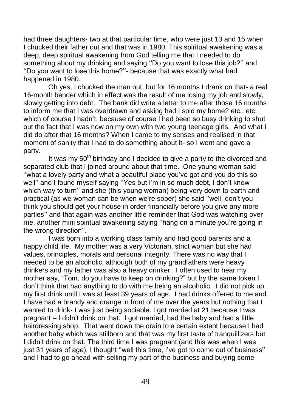had three daughters- two at that particular time, who were just 13 and 15 when I chucked their father out and that was in 1980. This spiritual awakening was a deep, deep spiritual awakening from God telling me that I needed to do something about my drinking and saying ''Do you want to lose this job?'' and ''Do you want to lose this home?''- because that was exactly what had happened in 1980.

 Oh yes, I chucked the man out, but for 16 months I drank on that- a real 16-month bender which in effect was the result of me losing my job and slowly, slowly getting into debt. The bank did write a letter to me after those 16 months to inform me that I was overdrawn and asking had I sold my home? etc., etc. which of course I hadn't, because of course I had been so busy drinking to shut out the fact that I was now on my own with two young teenage girls. And what I did do after that 16 months? When I came to my senses and realised in that moment of sanity that I had to do something about it- so I went and gave a party.

It was my  $50<sup>th</sup>$  birthday and I decided to give a party to the divorced and separated club that I joined around about that time. One young woman said ''what a lovely party and what a beautiful place you've got and you do this so well'' and I found myself saying ''Yes but I'm in so much debt, I don't know which way to turn" and she (this young woman) being very down to earth and practical (as we woman can be when we're sober) she said ''well, don't you think you should get your house in order financially before you give any more parties'' and that again was another little reminder that God was watching over me, another mini spiritual awakening saying ''hang on a minute you're going in the wrong direction''.

I was born into a working class family and had good parents and a happy child life. My mother was a very Victorian, strict woman but she had values, principles, morals and personal integrity. There was no way that I needed to be an alcoholic, although both of my grandfathers were heavy drinkers and my father was also a heavy drinker. I often used to hear my mother say, "Tom, do you have to keep on drinking?" but by the same token I don't think that had anything to do with me being an alcoholic. I did not pick up my first drink until I was at least 39 years of age. I had drinks offered to me and I have had a brandy and orange in front of me over the years but nothing that I wanted to drink- I was just being sociable. I got married at 21 because I was pregnant – I didn't drink on that. I got married, had the baby and had a little hairdressing shop. That went down the drain to a certain extent because I had another baby which was stillborn and that was my first taste of tranquillizers but I didn't drink on that. The third time I was pregnant (and this was when I was just 31 years of age), I thought ''well this time, I've got to come out of business'' and I had to go ahead with selling my part of the business and buying some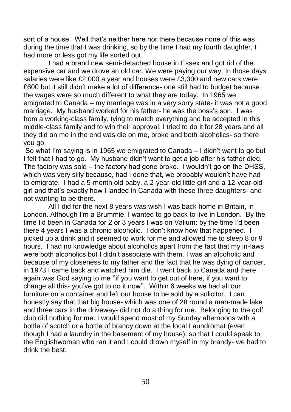sort of a house. Well that's neither here nor there because none of this was during the time that I was drinking, so by the time I had my fourth daughter, I had more or less got my life sorted out.

I had a brand new semi-detached house in Essex and got rid of the expensive car and we drove an old car. We were paying our way. In those days salaries were like £2,000 a year and houses were £3,300 and new cars were £600 but it still didn't make a lot of difference- one still had to budget because the wages were so much different to what they are today. In 1965 we emigrated to Canada – my marriage was in a very sorry state- it was not a good marriage. My husband worked for his father- he was the boss's son. I was from a working-class family, tying to match everything and be accepted in this middle-class family and to win their approval. I tried to do it for 28 years and all they did on me in the end was die on me, broke and both alcoholics- so there you go.

So what I'm saying is in 1965 we emigrated to Canada – I didn't want to go but I felt that I had to go. My husband didn't want to get a job after his father died. The factory was sold – the factory had gone broke. I wouldn't go on the DHSS, which was very silly because, had I done that, we probably wouldn't have had to emigrate. I had a 5-month old baby, a 2-year-old little girl and a 12-year-old girl and that's exactly how I landed in Canada with these three daughters- and not wanting to be there.

All I did for the next 8 years was wish I was back home in Britain, in London. Although I'm a Brummie, I wanted to go back to live in London. By the time I'd been in Canada for 2 or 3 years I was on Valium: by the time I'd been there 4 years I was a chronic alcoholic. I don't know how that happened. I picked up a drink and it seemed to work for me and allowed me to sleep 8 or 9 hours. I had no knowledge about alcoholics apart from the fact that my in-laws were both alcoholics but I didn't associate with them. I was an alcoholic and because of my closeness to my father and the fact that he was dying of cancer, in 1973 I came back and watched him die. I went back to Canada and there again was God saying to me ''if you want to get out of here, if you want to change all this- you've got to do it now''. Within 6 weeks we had all our furniture on a container and left our house to be sold by a solicitor. I can honestly say that that big house- which was one of 28 round a man-made lake and three cars in the driveway- did not do a thing for me. Belonging to the golf club did nothing for me. I would spend most of my Sunday afternoons with a bottle of scotch or a bottle of brandy down at the local Laundromat (even though I had a laundry in the basement of my house), so that I could speak to the Englishwoman who ran it and I could drown myself in my brandy- we had to drink the best.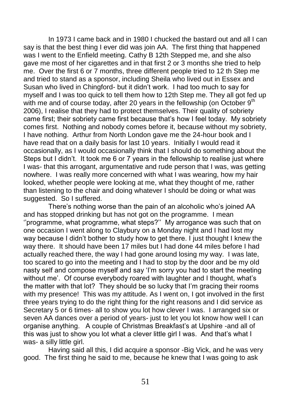In 1973 I came back and in 1980 I chucked the bastard out and all I can say is that the best thing I ever did was join AA. The first thing that happened was I went to the Enfield meeting. Cathy B 12th Stepped me, and she also gave me most of her cigarettes and in that first 2 or 3 months she tried to help me. Over the first 6 or 7 months, three different people tried to 12 th Step me and tried to stand as a sponsor, including Sheila who lived out in Essex and Susan who lived in Chingford- but it didn't work. I had too much to say for myself and I was too quick to tell them how to 12th Step me. They all got fed up with me and of course today, after 20 years in the fellowship (on October  $9<sup>th</sup>$ 2006), I realise that they had to protect themselves. Their quality of sobriety came first; their sobriety came first because that's how I feel today. My sobriety comes first. Nothing and nobody comes before it, because without my sobriety, I have nothing. Arthur from North London gave me the 24-hour book and I have read that on a daily basis for last 10 years. Initially I would read it occasionally, as I would occasionally think that I should do something about the Steps but I didn't. It took me 6 or 7 years in the fellowship to realise just where I was- that this arrogant, argumentative and rude person that I was, was getting nowhere. I was really more concerned with what I was wearing, how my hair looked, whether people were looking at me, what they thought of me, rather than listening to the chair and doing whatever I should be doing or what was suggested. So I suffered.

There's nothing worse than the pain of an alcoholic who's joined AA and has stopped drinking but has not got on the programme. I mean ''programme, what programme, what steps?'' My arrogance was such that on one occasion I went along to Claybury on a Monday night and I had lost my way because I didn't bother to study how to get there. I just thought I knew the way there. It should have been 17 miles but I had done 44 miles before I had actually reached there, the way I had gone around losing my way. I was late, too scared to go into the meeting and I had to stop by the door and be my old nasty self and compose myself and say 'I'm sorry you had to start the meeting without me'. Of course everybody roared with laughter and I thought, what's the matter with that lot? They should be so lucky that I'm gracing their rooms with my presence! This was my attitude. As I went on, I got involved in the first three years trying to do the right thing for the right reasons and I did service as Secretary 5 or 6 times- all to show you lot how clever I was. I arranged six or seven AA dances over a period of years- just to let you lot know how well I can organise anything. A couple of Christmas Breakfast's at Upshire -and all of this was just to show you lot what a clever little girl I was. And that's what I was- a silly little girl.

Having said all this, I did acquire a sponsor -Big Vick, and he was very good. The first thing he said to me, because he knew that I was going to ask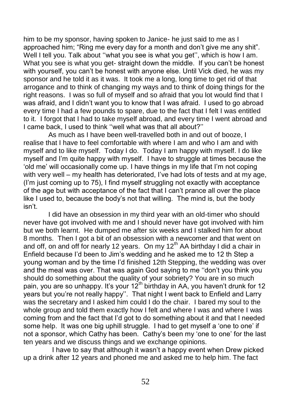him to be my sponsor, having spoken to Janice- he just said to me as I approached him; "Ring me every day for a month and don't give me any shit". Well I tell you. Talk about ''what you see is what you get'', which is how I am. What you see is what you get- straight down the middle. If you can't be honest with yourself, you can't be honest with anyone else. Until Vick died, he was my sponsor and he told it as it was. It took me a long, long time to get rid of that arrogance and to think of changing my ways and to think of doing things for the right reasons. I was so full of myself and so afraid that you lot would find that I was afraid, and I didn't want you to know that I was afraid. I used to go abroad every time I had a few pounds to spare, due to the fact that I felt I was entitled to it. I forgot that I had to take myself abroad, and every time I went abroad and I came back, I used to think ''well what was that all about?''

As much as I have been well-travelled both in and out of booze, I realise that I have to feel comfortable with where I am and who I am and with myself and to like myself. Today I do. Today I am happy with myself. I do like myself and I'm quite happy with myself. I have to struggle at times because the 'old me' will occasionally come up. I have things in my life that I'm not coping with very well – my health has deteriorated, I've had lots of tests and at my age, (I'm just coming up to 75), I find myself struggling not exactly with acceptance of the age but with acceptance of the fact that I can't prance all over the place like I used to, because the body's not that willing. The mind is, but the body isn't.

I did have an obsession in my third year with an old-timer who should never have got involved with me and I should never have got involved with him but we both learnt. He dumped me after six weeks and I stalked him for about 8 months. Then I got a bit of an obsession with a newcomer and that went on and off, on and off for nearly 12 years. On my 12<sup>th</sup> AA birthday I did a chair in Enfield because I'd been to Jim's wedding and he asked me to 12 th Step a young woman and by the time I'd finished 12th Stepping, the wedding was over and the meal was over. That was again God saying to me ''don't you think you should do something about the quality of your sobriety? You are in so much pain, you are so unhappy. It's your 12<sup>th</sup> birthday in AA, you haven't drunk for 12 years but you're not really happy''. That night I went back to Enfield and Larry was the secretary and I asked him could I do the chair. I bared my soul to the whole group and told them exactly how I felt and where I was and where I was coming from and the fact that I'd got to do something about it and that I needed some help. It was one big uphill struggle. I had to get myself a 'one to one' if not a sponsor, which Cathy has been. Cathy's been my 'one to one' for the last ten years and we discuss things and we exchange opinions.

I have to say that although it wasn't a happy event when Drew picked up a drink after 12 years and phoned me and asked me to help him. The fact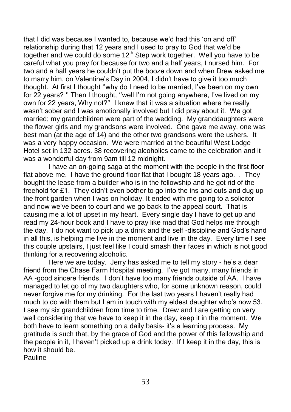that I did was because I wanted to, because we'd had this 'on and off' relationship during that 12 years and I used to pray to God that we'd be together and we could do some  $12<sup>th</sup>$  Step work together. Well you have to be careful what you pray for because for two and a half years, I nursed him. For two and a half years he couldn't put the booze down and when Drew asked me to marry him, on Valentine's Day in 2004, I didn't have to give it too much thought. At first I thought ''why do I need to be married, I've been on my own for 22 years? '' Then I thought, ''well I'm not going anywhere, I've lived on my own for 22 years, Why not?'' I knew that it was a situation where he really wasn't sober and I was emotionally involved but I did pray about it. We got married; my grandchildren were part of the wedding. My granddaughters were the flower girls and my grandsons were involved. One gave me away, one was best man (at the age of 14) and the other two grandsons were the ushers. It was a very happy occasion. We were married at the beautiful West Lodge Hotel set in 132 acres. 38 recovering alcoholics came to the celebration and it was a wonderful day from 9am till 12 midnight.

I have an on-going saga at the moment with the people in the first floor flat above me. I have the ground floor flat that I bought 18 years ago. . They bought the lease from a builder who is in the fellowship and he got rid of the freehold for £1. They didn't even bother to go into the ins and outs and dug up the front garden when I was on holiday. It ended with me going to a solicitor and now we've been to court and we go back to the appeal court. That is causing me a lot of upset in my heart. Every single day I have to get up and read my 24-hour book and I have to pray like mad that God helps me through the day. I do not want to pick up a drink and the self -discipline and God's hand in all this, is helping me live in the moment and live in the day. Every time I see this couple upstairs, I just feel like I could smash their faces in which is not good thinking for a recovering alcoholic.

Here we are today. Jerry has asked me to tell my story - he's a dear friend from the Chase Farm Hospital meeting. I've got many, many friends in AA -good sincere friends. I don't have too many friends outside of AA. I have managed to let go of my two daughters who, for some unknown reason, could never forgive me for my drinking. For the last two years I haven't really had much to do with them but I am in touch with my eldest daughter who's now 53. I see my six grandchildren from time to time. Drew and I are getting on very well considering that we have to keep it in the day, keep it in the moment. We both have to learn something on a daily basis- it's a learning process. My gratitude is such that, by the grace of God and the power of this fellowship and the people in it, I haven't picked up a drink today. If I keep it in the day, this is how it should be. Pauline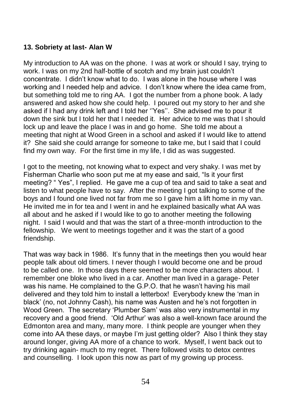#### **13. Sobriety at last- Alan W**

My introduction to AA was on the phone. I was at work or should I say, trying to work. I was on my 2nd half-bottle of scotch and my brain just couldn't concentrate. I didn't know what to do. I was alone in the house where I was working and I needed help and advice. I don't know where the idea came from, but something told me to ring AA. I got the number from a phone book. A lady answered and asked how she could help. I poured out my story to her and she asked if I had any drink left and I told her ''Yes''. She advised me to pour it down the sink but I told her that I needed it. Her advice to me was that I should lock up and leave the place I was in and go home. She told me about a meeting that night at Wood Green in a school and asked if I would like to attend it? She said she could arrange for someone to take me, but I said that I could find my own way. For the first time in my life, I did as was suggested.

I got to the meeting, not knowing what to expect and very shaky. I was met by Fisherman Charlie who soon put me at my ease and said, "Is it your first meeting? " Yes", I replied. He gave me a cup of tea and said to take a seat and listen to what people have to say. After the meeting I got talking to some of the boys and I found one lived not far from me so I gave him a lift home in my van. He invited me in for tea and I went in and he explained basically what AA was all about and he asked if I would like to go to another meeting the following night. I said I would and that was the start of a three-month introduction to the fellowship. We went to meetings together and it was the start of a good friendship.

That was way back in 1986. It's funny that in the meetings then you would hear people talk about old timers. I never though I would become one and be proud to be called one. In those days there seemed to be more characters about. I remember one bloke who lived in a car. Another man lived in a garage- Peter was his name. He complained to the G.P.O. that he wasn't having his mail delivered and they told him to install a letterbox! Everybody knew the 'man in black' (no, not Johnny Cash), his name was Austen and he's not forgotten in Wood Green. The secretary 'Plumber Sam' was also very instrumental in my recovery and a good friend. 'Old Arthur' was also a well-known face around the Edmonton area and many, many more. I think people are younger when they come into AA these days, or maybe I'm just getting older? Also I think they stay around longer, giving AA more of a chance to work. Myself, I went back out to try drinking again- much to my regret. There followed visits to detox centres and counselling. I look upon this now as part of my growing up process.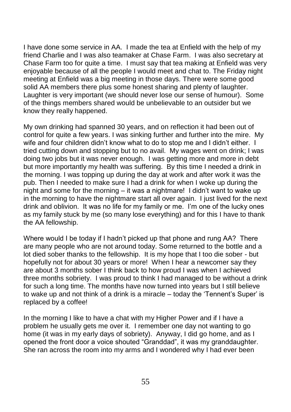I have done some service in AA. I made the tea at Enfield with the help of my friend Charlie and I was also teamaker at Chase Farm. I was also secretary at Chase Farm too for quite a time. I must say that tea making at Enfield was very enjoyable because of all the people I would meet and chat to. The Friday night meeting at Enfield was a big meeting in those days. There were some good solid AA members there plus some honest sharing and plenty of laughter. Laughter is very important (we should never lose our sense of humour). Some of the things members shared would be unbelievable to an outsider but we know they really happened.

My own drinking had spanned 30 years, and on reflection it had been out of control for quite a few years. I was sinking further and further into the mire. My wife and four children didn't know what to do to stop me and I didn't either. I tried cutting down and stopping but to no avail. My wages went on drink; I was doing two jobs but it was never enough. I was getting more and more in debt but more importantly my health was suffering. By this time I needed a drink in the morning. I was topping up during the day at work and after work it was the pub. Then I needed to make sure I had a drink for when I woke up during the night and some for the morning – it was a nightmare! I didn't want to wake up in the morning to have the nightmare start all over again. I just lived for the next drink and oblivion. It was no life for my family or me. I'm one of the lucky ones as my family stuck by me (so many lose everything) and for this I have to thank the AA fellowship.

Where would I be today if I hadn't picked up that phone and rung AA? There are many people who are not around today. Some returned to the bottle and a lot died sober thanks to the fellowship. It is my hope that I too die sober - but hopefully not for about 30 years or more! When I hear a newcomer say they are about 3 months sober I think back to how proud I was when I achieved three months sobriety. I was proud to think I had managed to be without a drink for such a long time. The months have now turned into years but I still believe to wake up and not think of a drink is a miracle – today the 'Tennent's Super' is replaced by a coffee!

In the morning I like to have a chat with my Higher Power and if I have a problem he usually gets me over it. I remember one day not wanting to go home (it was in my early days of sobriety). Anyway, I did go home, and as I opened the front door a voice shouted "Granddad", it was my granddaughter. She ran across the room into my arms and I wondered why I had ever been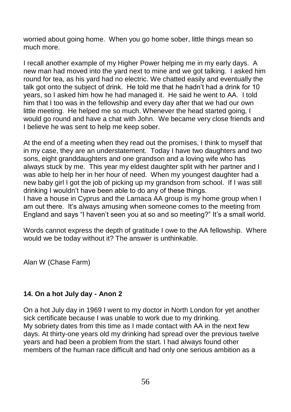worried about going home. When you go home sober, little things mean so much more.

I recall another example of my Higher Power helping me in my early days. A new man had moved into the yard next to mine and we got talking. I asked him round for tea, as his yard had no electric. We chatted easily and eventually the talk got onto the subject of drink. He told me that he hadn't had a drink for 10 years, so I asked him how he had managed it. He said he went to AA. I told him that I too was in the fellowship and every day after that we had our own little meeting. He helped me so much. Whenever the head started going, I would go round and have a chat with John. We became very close friends and I believe he was sent to help me keep sober.

At the end of a meeting when they read out the promises, I think to myself that in my case, they are an understatement. Today I have two daughters and two sons, eight granddaughters and one grandson and a loving wife who has always stuck by me. This year my eldest daughter split with her partner and I was able to help her in her hour of need. When my youngest daughter had a new baby girl I got the job of picking up my grandson from school. If I was still drinking I wouldn't have been able to do any of these things.

I have a house in Cyprus and the Larnaca AA group is my home group when I am out there. It's always amusing when someone comes to the meeting from England and says "I haven't seen you at so and so meeting?" It's a small world.

Words cannot express the depth of gratitude I owe to the AA fellowship. Where would we be today without it? The answer is unthinkable.

Alan W (Chase Farm)

#### **14. On a hot July day - Anon 2**

On a hot July day in 1969 I went to my doctor in North London for yet another sick certificate because I was unable to work due to my drinking. My sobriety dates from this time as I made contact with AA in the next few days. At thirty-one years old my drinking had spread over the previous twelve years and had been a problem from the start. I had always found other members of the human race difficult and had only one serious ambition as a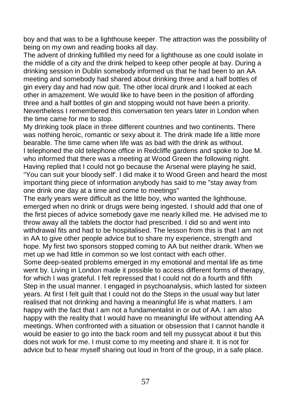boy and that was to be a lighthouse keeper. The attraction was the possibility of being on my own and reading books all day.

The advent of drinking fulfilled my need for a lighthouse as one could isolate in the middle of a city and the drink helped to keep other people at bay. During a drinking session in Dublin somebody informed us that he had been to an AA meeting and somebody had shared about drinking three and a half bottles of gin every day and had now quit. The other local drunk and I looked at each other in amazement. We would like to have been in the position of affording three and a half bottles of gin and stopping would not have been a priority. Nevertheless I remembered this conversation ten years later in London when the time came for me to stop.

My drinking took place in three different countries and two continents. There was nothing heroic, romantic or sexy about it. The drink made life a little more bearable. The time came when life was as bad with the drink as without. I telephoned the old telephone office in Redcliffe gardens and spoke to Joe M. who informed that there was a meeting at Wood Green the following night. Having replied that I could not go because the Arsenal were playing he said, "You can suit your bloody self'. I did make it to Wood Green and heard the most important thing piece of information anybody has said to me "stay away from one drink one day at a time and come to meetings"

The early years were difficult as the little boy, who wanted the lighthouse, emerged when no drink or drugs were being ingested. I should add that one of the first pieces of advice somebody gave me nearly killed me. He advised me to throw away all the tablets the doctor had prescribed. I did so and went into withdrawal fits and had to be hospitalised. The lesson from this is that I am not in AA to give other people advice but to share my experience, strength and hope. My first two sponsors stopped coming to AA but neither drank. When we met up we had little in common so we lost contact with each other.

Some deep-seated problems emerged in my emotional and mental life as time went by. Living in London made it possible to access different forms of therapy, for which I was grateful. I felt repressed that I could not do a fourth and fifth Step in the usual manner. I engaged in psychoanalysis, which lasted for sixteen years. At first I felt guilt that I could not do the Steps in the usual way but later realised that not drinking and having a meaningful life is what matters. I am happy with the fact that I am not a fundamentalist in or out of AA. I am also happy with the reality that I would have no meaningful life without attending AA meetings. When confronted with a situation or obsession that I cannot handle it would be easier to go into the back room and tell my pussycat about it but this does not work for me. I must come to my meeting and share it. It is not for advice but to hear myself sharing out loud in front of the group, in a safe place.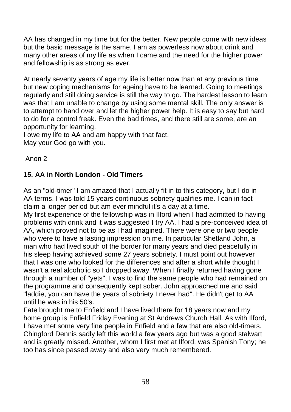AA has changed in my time but for the better. New people come with new ideas but the basic message is the same. I am as powerless now about drink and many other areas of my life as when I came and the need for the higher power and fellowship is as strong as ever.

At nearly seventy years of age my life is better now than at any previous time but new coping mechanisms for ageing have to be learned. Going to meetings regularly and still doing service is still the way to go. The hardest lesson to learn was that I am unable to change by using some mental skill. The only answer is to attempt to hand over and let the higher power help. It is easy to say but hard to do for a control freak. Even the bad times, and there still are some, are an opportunity for learning.

I owe my life to AA and am happy with that fact. May your God go with you.

Anon 2

### **15. AA in North London - Old Timers**

As an "old-timer" I am amazed that I actually fit in to this category, but I do in AA terms. I was told 15 years continuous sobriety qualifies me. I can in fact claim a longer period but am ever mindful it's a day at a time.

My first experience of the fellowship was in Ilford when I had admitted to having problems with drink and it was suggested I try AA. I had a pre-conceived idea of AA, which proved not to be as I had imagined. There were one or two people who were to have a lasting impression on me. In particular Shetland John, a man who had lived south of the border for many years and died peacefully in his sleep having achieved some 27 years sobriety. I must point out however that I was one who looked for the differences and after a short while thought I wasn't a real alcoholic so I dropped away. When I finally returned having gone through a number of "yets", I was to find the same people who had remained on the programme and consequently kept sober. John approached me and said "laddie, you can have the years of sobriety I never had". He didn't get to AA until he was in his 50's.

Fate brought me to Enfield and I have lived there for 18 years now and my home group is Enfield Friday Evening at St Andrews Church Hall. As with Ilford, I have met some very fine people in Enfield and a few that are also old-timers. Chingford Dennis sadly left this world a few years ago but was a good stalwart and is greatly missed. Another, whom I first met at Ilford, was Spanish Tony; he too has since passed away and also very much remembered.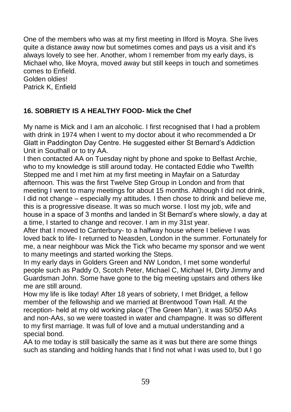One of the members who was at my first meeting in Ilford is Moyra. She lives quite a distance away now but sometimes comes and pays us a visit and it's always lovely to see her. Another, whom I remember from my early days, is Michael who, like Moyra, moved away but still keeps in touch and sometimes comes to Enfield.

Golden oldies! Patrick K, Enfield

# **16. SOBRIETY IS A HEALTHY FOOD- Mick the Chef**

My name is Mick and I am an alcoholic. I first recognised that I had a problem with drink in 1974 when I went to my doctor about it who recommended a Dr Glatt in Paddington Day Centre. He suggested either St Bernard's Addiction Unit in Southall or to try AA.

I then contacted AA on Tuesday night by phone and spoke to Belfast Archie, who to my knowledge is still around today. He contacted Eddie who Twelfth Stepped me and I met him at my first meeting in Mayfair on a Saturday afternoon. This was the first Twelve Step Group in London and from that meeting I went to many meetings for about 15 months. Although I did not drink, I did not change – especially my attitudes. I then chose to drink and believe me, this is a progressive disease. It was so much worse. I lost my job, wife and house in a space of 3 months and landed in St Bernard's where slowly, a day at a time, I started to change and recover. I am in my 31st year.

After that I moved to Canterbury- to a halfway house where I believe I was loved back to life- I returned to Neasden, London in the summer. Fortunately for me, a near neighbour was Mick the Tick who became my sponsor and we went to many meetings and started working the Steps.

In my early days in Golders Green and NW London, I met some wonderful people such as Paddy O, Scotch Peter, Michael C, Michael H, Dirty Jimmy and Guardsman John. Some have gone to the big meeting upstairs and others like me are still around.

How my life is like today! After 18 years of sobriety, I met Bridget, a fellow member of the fellowship and we married at Brentwood Town Hall. At the reception- held at my old working place ('The Green Man'), it was 50/50 AAs and non-AAs, so we were toasted in water and champagne. It was so different to my first marriage. It was full of love and a mutual understanding and a special bond.

AA to me today is still basically the same as it was but there are some things such as standing and holding hands that I find not what I was used to, but I go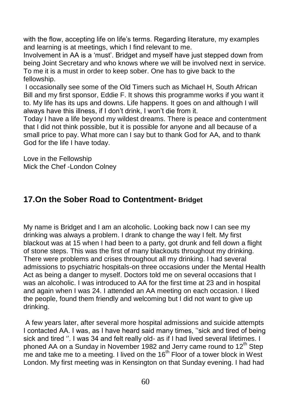with the flow, accepting life on life's terms. Regarding literature, my examples and learning is at meetings, which I find relevant to me.

Involvement in AA is a 'must'. Bridget and myself have just stepped down from being Joint Secretary and who knows where we will be involved next in service. To me it is a must in order to keep sober. One has to give back to the fellowship.

I occasionally see some of the Old Timers such as Michael H, South African Bill and my first sponsor, Eddie F. It shows this programme works if you want it to. My life has its ups and downs. Life happens. It goes on and although I will always have this illness, if I don't drink, I won't die from it.

Today I have a life beyond my wildest dreams. There is peace and contentment that I did not think possible, but it is possible for anyone and all because of a small price to pay. What more can I say but to thank God for AA, and to thank God for the life I have today.

Love in the Fellowship Mick the Chef -London Colney

# **17.On the Sober Road to Contentment- Bridget**

My name is Bridget and I am an alcoholic. Looking back now I can see my drinking was always a problem. I drank to change the way I felt. My first blackout was at 15 when I had been to a party, got drunk and fell down a flight of stone steps. This was the first of many blackouts throughout my drinking. There were problems and crises throughout all my drinking. I had several admissions to psychiatric hospitals-on three occasions under the Mental Health Act as being a danger to myself. Doctors told me on several occasions that I was an alcoholic. I was introduced to AA for the first time at 23 and in hospital and again when I was 24. I attended an AA meeting on each occasion. I liked the people, found them friendly and welcoming but I did not want to give up drinking.

A few years later, after several more hospital admissions and suicide attempts I contacted AA. I was, as I have heard said many times, ''sick and tired of being sick and tired ''. I was 34 and felt really old- as if I had lived several lifetimes. I phoned AA on a Sunday in November 1982 and Jerry came round to 12<sup>th</sup> Step me and take me to a meeting. I lived on the 16<sup>th</sup> Floor of a tower block in West London. My first meeting was in Kensington on that Sunday evening. I had had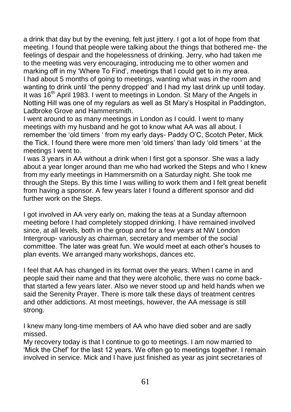a drink that day but by the evening, felt just jittery. I got a lot of hope from that meeting. I found that people were talking about the things that bothered me- the feelings of despair and the hopelessness of drinking. Jerry, who had taken me to the meeting was very encouraging, introducing me to other women and marking off in my 'Where To Find', meetings that I could get to in my area. I had about 5 months of going to meetings, wanting what was in the room and wanting to drink until 'the penny dropped' and I had my last drink up until today. It was 16<sup>th</sup> April 1983. I went to meetings in London. St Mary of the Angels in Notting Hill was one of my regulars as well as St Mary's Hospital in Paddington, Ladbroke Grove and Hammersmith.

I went around to as many meetings in London as I could. I went to many meetings with my husband and he got to know what AA was all about. I remember the 'old timers ' from my early days- Paddy O'C, Scotch Peter, Mick the Tick. I found there were more men 'old timers' than lady 'old timers ' at the meetings I went to.

I was 3 years in AA without a drink when I first got a sponsor. She was a lady about a year longer around than me who had worked the Steps and who I knew from my early meetings in Hammersmith on a Saturday night. She took me through the Steps. By this time I was willing to work them and I felt great benefit from having a sponsor. A few years later I found a different sponsor and did further work on the Steps.

I got involved in AA very early on, making the teas at a Sunday afternoon meeting before I had completely stopped drinking. I have remained involved since, at all levels, both in the group and for a few years at NW London Intergroup- variously as chairman, secretary and member of the social committee. The later was great fun. We would meet at each other's houses to plan events. We arranged many workshops, dances etc.

I feel that AA has changed in its format over the years. When I came in and people said their name and that they were alcoholic, there was no come backthat started a few years later. Also we never stood up and held hands when we said the Serenity Prayer. There is more talk these days of treatment centres and other addictions. At most meetings, however, the AA message is still strong.

I knew many long-time members of AA who have died sober and are sadly missed.

My recovery today is that I continue to go to meetings. I am now married to 'Mick the Chef' for the last 12 years. We often go to meetings together. I remain involved in service. Mick and I have just finished as year as joint secretaries of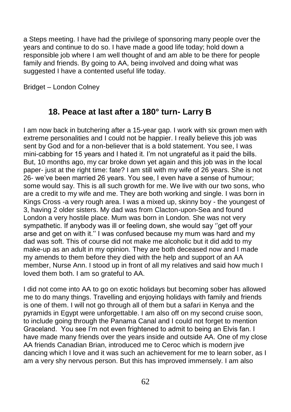a Steps meeting. I have had the privilege of sponsoring many people over the years and continue to do so. I have made a good life today; hold down a responsible job where I am well thought of and am able to be there for people family and friends. By going to AA, being involved and doing what was suggested I have a contented useful life today.

Bridget – London Colney

# **18. Peace at last after a 180° turn- Larry B**

I am now back in butchering after a 15-year gap. I work with six grown men with extreme personalities and I could not be happier. I really believe this job was sent by God and for a non-believer that is a bold statement. You see, I was mini-cabbing for 15 years and I hated it. I'm not ungrateful as it paid the bills. But, 10 months ago, my car broke down yet again and this job was in the local paper- just at the right time: fate? I am still with my wife of 26 years. She is not 26- we've been married 26 years. You see, I even have a sense of humour; some would say. This is all such growth for me. We live with our two sons, who are a credit to my wife and me. They are both working and single. I was born in Kings Cross -a very rough area. I was a mixed up, skinny boy - the youngest of 3, having 2 older sisters. My dad was from Clacton-upon-Sea and found London a very hostile place. Mum was born in London. She was not very sympathetic. If anybody was ill or feeling down, she would say ''get off your arse and get on with it.'' I was confused because my mum was hard and my dad was soft. This of course did not make me alcoholic but it did add to my make-up as an adult in my opinion. They are both deceased now and I made my amends to them before they died with the help and support of an AA member, Nurse Ann. I stood up in front of all my relatives and said how much I loved them both. I am so grateful to AA.

I did not come into AA to go on exotic holidays but becoming sober has allowed me to do many things. Travelling and enjoying holidays with family and friends is one of them. I will not go through all of them but a safari in Kenya and the pyramids in Egypt were unforgettable. I am also off on my second cruise soon, to include going through the Panama Canal and I could not forget to mention Graceland. You see I'm not even frightened to admit to being an Elvis fan. I have made many friends over the years inside and outside AA. One of my close AA friends Canadian Brian, introduced me to Ceroc which is modern jive dancing which I love and it was such an achievement for me to learn sober, as I am a very shy nervous person. But this has improved immensely. I am also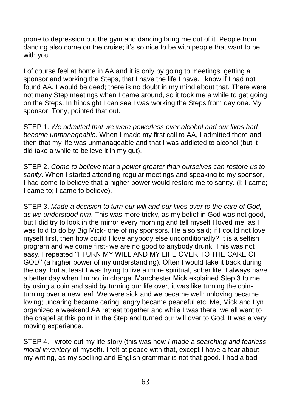prone to depression but the gym and dancing bring me out of it. People from dancing also come on the cruise; it's so nice to be with people that want to be with you.

I of course feel at home in AA and it is only by going to meetings, getting a sponsor and working the Steps, that I have the life I have. I know if I had not found AA, I would be dead; there is no doubt in my mind about that. There were not many Step meetings when I came around, so it took me a while to get going on the Steps. In hindsight I can see I was working the Steps from day one. My sponsor, Tony, pointed that out.

STEP 1. *We admitted that we were powerless over alcohol and our lives had become unmanageable*. When I made my first call to AA, I admitted there and then that my life was unmanageable and that I was addicted to alcohol (but it did take a while to believe it in my gut).

STEP 2. *Come to believe that a power greater than ourselves can restore us to sanity*. When I started attending regular meetings and speaking to my sponsor, I had come to believe that a higher power would restore me to sanity. (I; I came; I came to; I came to believe).

STEP 3. *Made a decision to turn our will and our lives over to the care of God, as we understood him*. This was more tricky, as my belief in God was not good, but I did try to look in the mirror every morning and tell myself I loved me, as I was told to do by Big Mick- one of my sponsors. He also said; if I could not love myself first, then how could I love anybody else unconditionally? It is a selfish program and we come first- we are no good to anybody drunk. This was not easy. I repeated ''I TURN MY WILL AND MY LIFE OVER TO THE CARE OF GOD'' (a higher power of my understanding). Often I would take it back during the day, but at least I was trying to live a more spiritual, sober life. I always have a better day when I'm not in charge. Manchester Mick explained Step 3 to me by using a coin and said by turning our life over, it was like turning the cointurning over a new leaf. We were sick and we became well; unloving became loving; uncaring became caring; angry became peaceful etc. Me, Mick and Lyn organized a weekend AA retreat together and while I was there, we all went to the chapel at this point in the Step and turned our will over to God. It was a very moving experience.

STEP 4. I wrote out my life story (this was how *I made a searching and fearless moral inventory* of myself). I felt at peace with that, except I have a fear about my writing, as my spelling and English grammar is not that good. I had a bad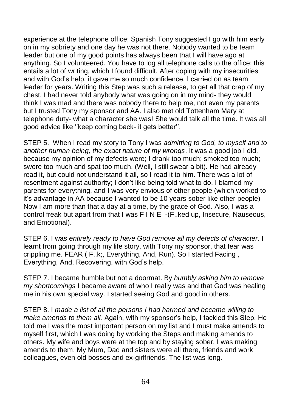experience at the telephone office; Spanish Tony suggested I go with him early on in my sobriety and one day he was not there. Nobody wanted to be team leader but one of my good points has always been that I will have ago at anything. So I volunteered. You have to log all telephone calls to the office; this entails a lot of writing, which I found difficult. After coping with my insecurities and with God's help, it gave me so much confidence. I carried on as team leader for years. Writing this Step was such a release, to get all that crap of my chest. I had never told anybody what was going on in my mind- they would think I was mad and there was nobody there to help me, not even my parents but I trusted Tony my sponsor and AA. I also met old Tottenham Mary at telephone duty- what a character she was! She would talk all the time. It was all good advice like ''keep coming back- it gets better''.

STEP 5. When I read my story to Tony I was *admitting to God, to myself and to another human being, the exact nature of my wrongs*. It was a good job I did, because my opinion of my defects were; I drank too much; smoked too much; swore too much and spat too much. (Well, I still swear a bit). He had already read it, but could not understand it all, so I read it to him. There was a lot of resentment against authority; I don't like being told what to do. I blamed my parents for everything, and I was very envious of other people (which worked to it's advantage in AA because I wanted to be 10 years sober like other people) Now I am more than that a day at a time, by the grace of God. Also, I was a control freak but apart from that I was  $F \perp N$  E -(F. ked up, Insecure, Nauseous, and Emotional).

STEP 6. I was *entirely ready to have God remove all my defects of character*. I learnt from going through my life story, with Tony my sponsor, that fear was crippling me. FEAR ( F..k;, Everything, And, Run). So I started Facing , Everything, And, Recovering, with God's help.

STEP 7. I became humble but not a doormat. By *humbly asking him to remove my shortcomings* I became aware of who I really was and that God was healing me in his own special way. I started seeing God and good in others.

STEP 8. I *made a list of all the persons I had harmed and became willing to make amends to them all.* Again, with my sponsor's help, I tackled this Step. He told me I was the most important person on my list and I must make amends to myself first, which I was doing by working the Steps and making amends to others. My wife and boys were at the top and by staying sober, I was making amends to them. My Mum, Dad and sisters were all there, friends and work colleagues, even old bosses and ex-girlfriends. The list was long.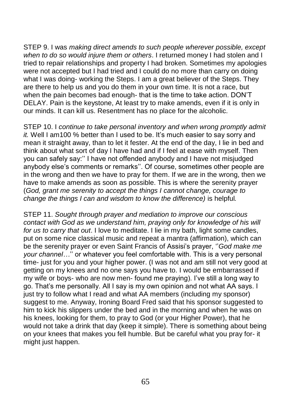STEP 9. I was *making direct amends to such people wherever possible, except when to do so would injure them or others*. I returned money I had stolen and I tried to repair relationships and property I had broken. Sometimes my apologies were not accepted but I had tried and I could do no more than carry on doing what I was doing- working the Steps. I am a great believer of the Steps. They are there to help us and you do them in your own time. It is not a race, but when the pain becomes bad enough- that is the time to take action. DON'T DELAY. Pain is the keystone, At least try to make amends, even if it is only in our minds. It can kill us. Resentment has no place for the alcoholic.

STEP 10. I *continue to take personal inventory and when wrong promptly admit it.* Well I am100 % better than I used to be. It's much easier to say sorry and mean it straight away, than to let it fester. At the end of the day, I lie in bed and think about what sort of day I have had and if I feel at ease with myself. Then you can safely say:'' I have not offended anybody and I have not misjudged anybody else's comments or remarks''. Of course, sometimes other people are in the wrong and then we have to pray for them. If we are in the wrong, then we have to make amends as soon as possible. This is where the serenity prayer (*God, grant me serenity to accept the things I cannot change, courage to change the things I can and wisdom to know the difference)* is helpful*.* 

STEP 11. *Sought through prayer and mediation to improve our conscious contact with God as we understand him, praying only for knowledge of his will for us to carry that out*. I love to meditate. I lie in my bath, light some candles, put on some nice classical music and repeat a mantra (affirmation), which can be the serenity prayer or even Saint Francis of Assisi's prayer, ''*God make me your channel…*'' or whatever you feel comfortable with. This is a very personal time- just for you and your higher power. (I was not and am still not very good at getting on my knees and no one says you have to. I would be embarrassed if my wife or boys- who are now men- found me praying). I've still a long way to go. That's me personally. All I say is my own opinion and not what AA says. I just try to follow what I read and what AA members (including my sponsor) suggest to me. Anyway, Ironing Board Fred said that his sponsor suggested to him to kick his slippers under the bed and in the morning and when he was on his knees, looking for them, to pray to God (or your Higher Power), that he would not take a drink that day (keep it simple). There is something about being on your knees that makes you fell humble. But be careful what you pray for- it might just happen.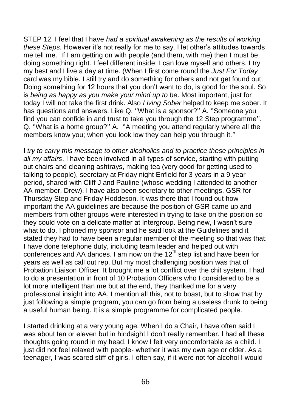STEP 12. I feel that I have *had a spiritual awakening as the results of working these Steps.* However it's not really for me to say. I let other's attitudes towards me tell me. If I am getting on with people (and them, with me) then I must be doing something right. I feel different inside; I can love myself and others. I try my best and I live a day at time. (When I first come round the *Just For Today* card was my bible. I still try and do something for others and not get found out. Doing something for 12 hours that you don't want to do, is good for the soul. So is *being as happy as you make your mind up to be*. Most important, just for today I will not take the first drink. Also *Living Sober* helped to keep me sober. It has questions and answers. Like Q, "What is a sponsor?" A. "Someone you find you can confide in and trust to take you through the 12 Step programme''. Q. ''What is a home group?'' A. ''A meeting you attend regularly where all the members know you; when you look low they can help you through it."

I *try to carry this message to other alcoholics and to practice these principles in all my affairs*. I have been involved in all types of service, starting with putting out chairs and cleaning ashtrays, making tea (very good for getting used to talking to people), secretary at Friday night Enfield for 3 years in a 9 year period, shared with Cliff J and Pauline (whose wedding I attended to another AA member, Drew). I have also been secretary to other meetings, GSR for Thursday Step and Friday Hoddeson. It was there that I found out how important the AA guidelines are because the position of GSR came up and members from other groups were interested in trying to take on the position so they could vote on a delicate matter at Intergroup. Being new, I wasn't sure what to do. I phoned my sponsor and he said look at the Guidelines and it stated they had to have been a regular member of the meeting so that was that. I have done telephone duty, including team leader and helped out with conferences and AA dances. I am now on the  $12<sup>th</sup>$  step list and have been for years as well as call out rep. But my most challenging position was that of Probation Liaison Officer. It brought me a lot conflict over the chit system. I had to do a presentation in front of 10 Probation Officers who I considered to be a lot more intelligent than me but at the end, they thanked me for a very professional insight into AA. I mention all this, not to boast, but to show that by just following a simple program, you can go from being a useless drunk to being a useful human being. It is a simple programme for complicated people.

I started drinking at a very young age. When I do a Chair, I have often said I was about ten or eleven but in hindsight I don't really remember. I had all these thoughts going round in my head. I know I felt very uncomfortable as a child. I just did not feel relaxed with people- whether it was my own age or older. As a teenager, I was scared stiff of girls. I often say, if it were not for alcohol I would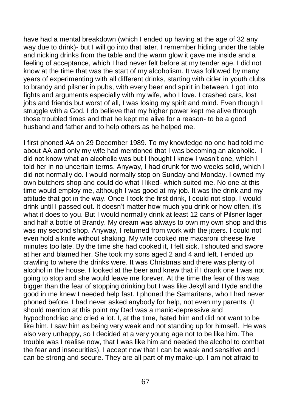have had a mental breakdown (which I ended up having at the age of 32 any way due to drink)- but I will go into that later. I remember hiding under the table and nicking drinks from the table and the warm glow it gave me inside and a feeling of acceptance, which I had never felt before at my tender age. I did not know at the time that was the start of my alcoholism. It was followed by many years of experimenting with all different drinks, starting with cider in youth clubs to brandy and pilsner in pubs, with every beer and spirit in between. I got into fights and arguments especially with my wife, who I love. I crashed cars, lost jobs and friends but worst of all, I was losing my spirit and mind. Even though I struggle with a God. I do believe that my higher power kept me alive through those troubled times and that he kept me alive for a reason- to be a good husband and father and to help others as he helped me.

I first phoned AA on 29 December 1989. To my knowledge no one had told me about AA and only my wife had mentioned that I was becoming an alcoholic. I did not know what an alcoholic was but I thought I knew I wasn't one, which I told her in no uncertain terms. Anyway, I had drunk for two weeks solid, which I did not normally do. I would normally stop on Sunday and Monday. I owned my own butchers shop and could do what I liked- which suited me. No one at this time would employ me, although I was good at my job. It was the drink and my attitude that got in the way. Once I took the first drink, I could not stop. I would drink until I passed out. It doesn't matter how much you drink or how often, it's what it does to you. But I would normally drink at least 12 cans of Pilsner lager and half a bottle of Brandy. My dream was always to own my own shop and this was my second shop. Anyway, I returned from work with the jitters. I could not even hold a knife without shaking. My wife cooked me macaroni cheese five minutes too late. By the time she had cooked it, I felt sick. I shouted and swore at her and blamed her. She took my sons aged 2 and 4 and left. I ended up crawling to where the drinks were. It was Christmas and there was plenty of alcohol in the house. I looked at the beer and knew that if I drank one I was not going to stop and she would leave me forever. At the time the fear of this was bigger than the fear of stopping drinking but I was like Jekyll and Hyde and the good in me knew I needed help fast. I phoned the Samaritans, who I had never phoned before. I had never asked anybody for help, not even my parents. (I should mention at this point my Dad was a manic-depressive and hypochondriac and cried a lot. I, at the time, hated him and did not want to be like him. I saw him as being very weak and not standing up for himself. He was also very unhappy, so I decided at a very young age not to be like him. The trouble was I realise now, that I was like him and needed the alcohol to combat the fear and insecurities). I accept now that I can be weak and sensitive and I can be strong and secure. They are all part of my make-up. I am not afraid to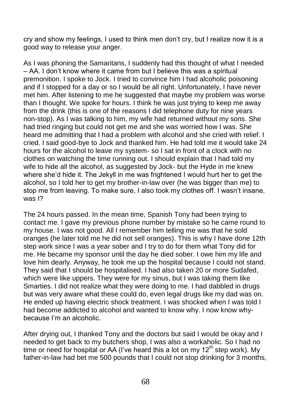cry and show my feelings, I used to think men don't cry, but I realize now it is a good way to release your anger.

As I was phoning the Samaritans, I suddenly had this thought of what I needed – AA. I don't know where it came from but I believe this was a spiritual premonition. I spoke to Jock. I tried to convince him I had alcoholic poisoning and if I stopped for a day or so I would be all right. Unfortunately, I have never met him. After listening to me he suggested that maybe my problem was worse than I thought. We spoke for hours. I think he was just trying to keep me away from the drink (this is one of the reasons I did telephone duty for nine years non-stop). As I was talking to him, my wife had returned without my sons. She had tried ringing but could not get me and she was worried how I was. She heard me admitting that I had a problem with alcohol and she cried with relief. I cried. I said good-bye to Jock and thanked him. He had told me it would take 24 hours for the alcohol to leave my system- so I sat in front of a clock with no clothes on watching the time running out. I should explain that I had told my wife to hide all the alcohol, as suggested by Jock- but the Hyde in me knew where she'd hide it. The Jekyll in me was frightened I would hurt her to get the alcohol, so I told her to get my brother-in-law over (he was bigger than me) to stop me from leaving. To make sure, I also took my clothes off. I wasn't insane, was I?

The 24 hours passed. In the mean time, Spanish Tony had been trying to contact me. I gave my previous phone number by mistake so he came round to my house. I was not good. All I remember him telling me was that he sold oranges (he later told me he did not sell oranges). This is why I have done 12th step work since I was a year sober and I try to do for them what Tony did for me. He became my sponsor until the day he died sober. I owe him my life and love him dearly. Anyway, he took me up the hospital because I could not stand. They said that I should be hospitalised. I had also taken 20 or more Sudafed, which were like uppers. They were for my sinus, but I was taking them like Smarties. I did not realize what they were doing to me. I had dabbled in drugs but was very aware what these could do, even legal drugs like my dad was on. He ended up having electric shock treatment. I was shocked when I was told I had become addicted to alcohol and wanted to know why. I now know whybecause I'm an alcoholic.

After drying out, I thanked Tony and the doctors but said I would be okay and I needed to get back to my butchers shop, I was also a workaholic. So I had no time or need for hospital or AA (I've heard this a lot on my 12<sup>th</sup> step work). My father-in-law had bet me 500 pounds that I could not stop drinking for 3 months,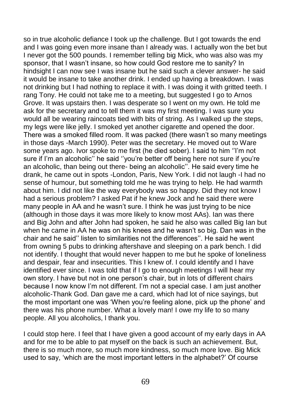so in true alcoholic defiance I took up the challenge. But I got towards the end and I was going even more insane than I already was. I actually won the bet but I never got the 500 pounds. I remember telling big Mick, who was also was my sponsor, that I wasn't insane, so how could God restore me to sanity? In hindsight I can now see I was insane but he said such a clever answer- he said it would be insane to take another drink. I ended up having a breakdown. I was not drinking but I had nothing to replace it with. I was doing it with gritted teeth. I rang Tony. He could not take me to a meeting, but suggested I go to Arnos Grove. It was upstairs then. I was desperate so I went on my own. He told me ask for the secretary and to tell them it was my first meeting. I was sure you would all be wearing raincoats tied with bits of string. As I walked up the steps, my legs were like jelly. I smoked yet another cigarette and opened the door. There was a smoked filled room. It was packed (there wasn't so many meetings in those days -March 1990). Peter was the secretary. He moved out to Ware some years ago. Ivor spoke to me first (he died sober). I said to him ''I'm not sure if I'm an alcoholic'' he said ''you're better off being here not sure if you're an alcoholic, than being out there- being an alcoholic''. He said every time he drank, he came out in spots -London, Paris, New York. I did not laugh -I had no sense of humour, but something told me he was trying to help. He had warmth about him. I did not like the way everybody was so happy. Did they not know I had a serious problem? I asked Pat if he knew Jock and he said there were many people in AA and he wasn't sure. I think he was just trying to be nice (although in those days it was more likely to know most AAs). Ian was there and Big John and after John had spoken, he said he also was called Big Ian but when he came in AA he was on his knees and he wasn't so big. Dan was in the chair and he said'' listen to similarities not the differences''. He said he went from owning 5 pubs to drinking aftershave and sleeping on a park bench. I did not identify. I thought that would never happen to me but he spoke of loneliness and despair, fear and insecurities. This I knew of. I could identify and I have identified ever since. I was told that if I go to enough meetings I will hear my own story. I have but not in one person's chair, but in lots of different chairs because I now know I'm not different. I'm not a special case. I am just another alcoholic-Thank God. Dan gave me a card, which had lot of nice sayings, but the most important one was 'When you're feeling alone, pick up the phone' and there was his phone number. What a lovely man! I owe my life to so many people. All you alcoholics, l thank you.

I could stop here. I feel that I have given a good account of my early days in AA and for me to be able to pat myself on the back is such an achievement. But, there is so much more, so much more kindness, so much more love. Big Mick used to say, 'which are the most important letters in the alphabet?' Of course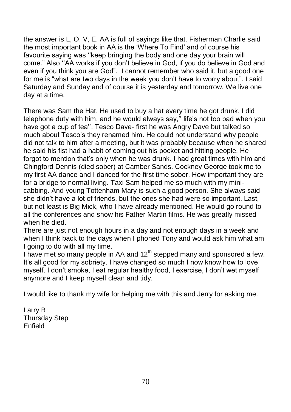the answer is L, O, V, E. AA is full of sayings like that. Fisherman Charlie said the most important book in AA is the 'Where To Find' and of course his favourite saying was ''keep bringing the body and one day your brain will come." Also ''AA works if you don't believe in God, if you do believe in God and even if you think you are God". I cannot remember who said it, but a good one for me is "what are two days in the week you don't have to worry about". I said Saturday and Sunday and of course it is yesterday and tomorrow. We live one day at a time.

There was Sam the Hat. He used to buy a hat every time he got drunk. I did telephone duty with him, and he would always say,'' life's not too bad when you have got a cup of tea". Tesco Dave- first he was Angry Dave but talked so much about Tesco's they renamed him. He could not understand why people did not talk to him after a meeting, but it was probably because when he shared he said his fist had a habit of coming out his pocket and hitting people. He forgot to mention that's only when he was drunk. I had great times with him and Chingford Dennis (died sober) at Camber Sands. Cockney George took me to my first AA dance and I danced for the first time sober. How important they are for a bridge to normal living. Taxi Sam helped me so much with my minicabbing. And young Tottenham Mary is such a good person. She always said she didn't have a lot of friends, but the ones she had were so important. Last, but not least is Big Mick, who I have already mentioned. He would go round to all the conferences and show his Father Martin films. He was greatly missed when he died.

There are just not enough hours in a day and not enough days in a week and when I think back to the days when I phoned Tony and would ask him what am I going to do with all my time.

I have met so many people in AA and 12<sup>th</sup> stepped many and sponsored a few. It's all good for my sobriety. I have changed so much I now know how to love myself. I don't smoke, I eat regular healthy food, I exercise, I don't wet myself anymore and I keep myself clean and tidy.

I would like to thank my wife for helping me with this and Jerry for asking me.

Larry B Thursday Step Enfield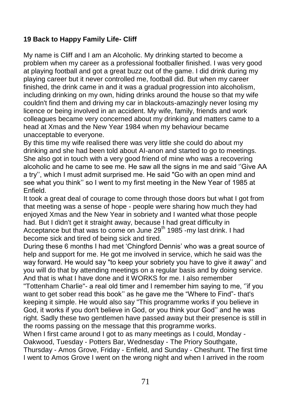### **19 Back to Happy Family Life- Cliff**

My name is Cliff and I am an Alcoholic. My drinking started to become a problem when my career as a professional footballer finished. I was very good at playing football and got a great buzz out of the game. I did drink during my playing career but it never controlled me, football did. But when my career finished, the drink came in and it was a gradual progression into alcoholism, including drinking on my own, hiding drinks around the house so that my wife couldn't find them and driving my car in blackouts-amazingly never losing my licence or being involved in an accident. My wife, family, friends and work colleagues became very concerned about my drinking and matters came to a head at Xmas and the New Year 1984 when my behaviour became unacceptable to everyone.

By this time my wife realised there was very little she could do about my drinking and she had been told about AI-anon and started to go to meetings. She also got in touch with a very good friend of mine who was a recovering alcoholic and he came to see me. He saw all the signs in me and said ''Give AA a try'', which I must admit surprised me. He said "Go with an open mind and see what you think'' so I went to my first meeting in the New Year of 1985 at **Enfield.** 

It took a great deal of courage to come through those doors but what I got from that meeting was a sense of hope - people were sharing how much they had enjoyed Xmas and the New Year in sobriety and I wanted what those people had. But I didn't get it straight away, because I had great difficulty in Acceptance but that was to come on June 29<sup>th</sup> 1985 -my last drink. I had become sick and tired of being sick and tired.

During these 6 months I had met 'Chingford Dennis' who was a great source of help and support for me. He got me involved in service, which he said was the way forward. He would say "to keep your sobriety you have to give it away'' and you will do that by attending meetings on a regular basis and by doing service. And that is what I have done and it WORKS for me. I also remember

"Tottenham Charlie"- a real old timer and I remember him saying to me, ''if you want to get sober read this book'' as he gave me the "Where to Find"- that's keeping it simple. He would also say "This programme works if you believe in God, it works if you don't believe in God, or you think your God'' and he was right. Sadly these two gentlemen have passed away but their presence is still in the rooms passing on the message that this programme works.

When I first came around I got to as many meetings as I could, Monday - Oakwood, Tuesday - Potters Bar, Wednesday - The Priory Southgate,

Thursday - Amos Grove, Friday - Enfield, and Sunday - Cheshunt. The first time I went to Amos Grove I went on the wrong night and when I arrived in the room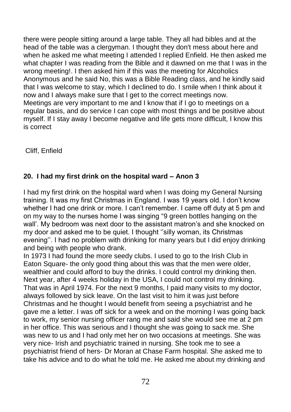there were people sitting around a large table. They all had bibles and at the head of the table was a clergyman. I thought they don't mess about here and when he asked me what meeting I attended I replied Enfield. He then asked me what chapter I was reading from the Bible and it dawned on me that I was in the wrong meeting!. I then asked him if this was the meeting for Alcoholics Anonymous and he said No, this was a Bible Reading class, and he kindly said that I was welcome to stay, which I declined to do. I smile when I think about it now and I always make sure that I get to the correct meetings now. Meetings are very important to me and I know that if I go to meetings on a regular basis, and do service I can cope with most things and be positive about myself. If I stay away I become negative and life gets more difficult, I know this is correct

Cliff, Enfield

# **20. I had my first drink on the hospital ward – Anon 3**

I had my first drink on the hospital ward when I was doing my General Nursing training. It was my first Christmas in England. I was 19 years old. I don't know whether I had one drink or more. I can't remember. I came off duty at 5 pm and on my way to the nurses home I was singing "9 green bottles hanging on the wall'. My bedroom was next door to the assistant matron's and she knocked on my door and asked me to be quiet. I thought ''silly woman, its Christmas evening''. I had no problem with drinking for many years but I did enjoy drinking and being with people who drank.

In 1973 I had found the more seedy clubs. I used to go to the Irish Club in Eaton Square- the only good thing about this was that the men were older, wealthier and could afford to buy the drinks. I could control my drinking then. Next year, after 4 weeks holiday in the USA, I could not control my drinking. That was in April 1974. For the next 9 months, I paid many visits to my doctor, always followed by sick leave. On the last visit to him it was just before Christmas and he thought I would benefit from seeing a psychiatrist and he gave me a letter. I was off sick for a week and on the morning I was going back to work, my senior nursing officer rang me and said she would see me at 2 pm in her office. This was serious and I thought she was going to sack me. She was new to us and I had only met her on two occasions at meetings. She was very nice- Irish and psychiatric trained in nursing. She took me to see a psychiatrist friend of hers- Dr Moran at Chase Farm hospital. She asked me to take his advice and to do what he told me. He asked me about my drinking and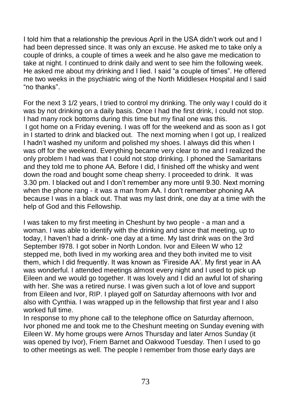I told him that a relationship the previous April in the USA didn't work out and I had been depressed since. It was only an excuse. He asked me to take only a couple of drinks, a couple of times a week and he also gave me medication to take at night. I continued to drink daily and went to see him the following week. He asked me about my drinking and I lied. I said "a couple of times". He offered me two weeks in the psychiatric wing of the North Middlesex Hospital and I said "no thanks".

For the next 3 1/2 years, I tried to control my drinking. The only way I could do it was by not drinking on a daily basis. Once I had the first drink, I could not stop. I had many rock bottoms during this time but my final one was this.

I got home on a Friday evening. I was off for the weekend and as soon as I got in I started to drink and blacked out. The next morning when I got up, I realized I hadn't washed my uniform and polished my shoes. I always did this when I was off for the weekend. Everything became very clear to me and I realized the only problem I had was that I could not stop drinking. I phoned the Samaritans and they told me to phone AA. Before I did, I finished off the whisky and went down the road and bought some cheap sherry. I proceeded to drink. It was 3.30 pm. I blacked out and I don't remember any more until 9.30. Next morning when the phone rang - it was a man from AA. I don't remember phoning AA because I was in a black out. That was my last drink, one day at a time with the help of God and this Fellowship.

I was taken to my first meeting in Cheshunt by two people - a man and a woman. I was able to identify with the drinking and since that meeting, up to today, I haven't had a drink- one day at a time. My last drink was on the 3rd September 1978. I got sober in North London. Ivor and Eileen W who 12 stepped me, both lived in my working area and they both invited me to visit them, which I did frequently. It was known as 'Fireside AA'. My first year in AA was wonderful. I attended meetings almost every night and I used to pick up Eileen and we would go together. It was lovely and I did an awful lot of sharing with her. She was a retired nurse. I was given such a lot of love and support from Eileen and Ivor, RIP. I played golf on Saturday afternoons with Ivor and also with Cynthia. I was wrapped up in the fellowship that first year and I also worked full time.

In response to my phone call to the telephone office on Saturday afternoon, Ivor phoned me and took me to the Cheshunt meeting on Sunday evening with Eileen W. My home groups were Arnos Thursday and later Arnos Sunday (it was opened by Ivor), Friern Barnet and Oakwood Tuesday. Then I used to go to other meetings as well. The people I remember from those early days are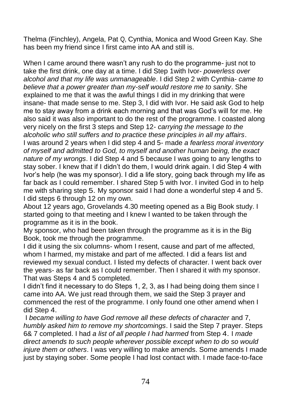Thelma (Finchley), Angela, Pat Q, Cynthia, Monica and Wood Green Kay. She has been my friend since I first came into AA and still is.

When I came around there wasn't any rush to do the programme- just not to take the first drink, one day at a time. I did Step 1with Ivor- *powerless over alcohol and that my life was unmanageable*. I did Step 2 with Cynthia- *came to believe that a power greater than my-self would restore me to sanity*. She explained to me that it was the awful things I did in my drinking that were insane- that made sense to me. Step 3, I did with Ivor. He said ask God to help me to stay away from a drink each morning and that was God's will for me. He also said it was also important to do the rest of the programme. I coasted along very nicely on the first 3 steps and Step 12- *carrying the message to the alcoholic who still suffers and to practice these principles in all my affairs*.

I was around 2 years when I did step 4 and 5- made *a fearless moral inventory of myself and admitted to God, to myself and another human being, the exact nature of my wrongs*. I did Step 4 and 5 because I was going to any lengths to stay sober. I knew that if I didn't do them, I would drink again. I did Step 4 with Ivor's help (he was my sponsor). I did a life story, going back through my life as far back as I could remember. I shared Step 5 with Ivor. I invited God in to help me with sharing step 5. My sponsor said I had done a wonderful step 4 and 5. I did steps 6 through 12 on my own.

About 12 years ago, Grovelands 4.30 meeting opened as a Big Book study. I started going to that meeting and I knew I wanted to be taken through the programme as it is in the book.

My sponsor, who had been taken through the programme as it is in the Big Book, took me through the programme.

I did it using the six columns- whom I resent, cause and part of me affected, whom I harmed, my mistake and part of me affected. I did a fears list and reviewed my sexual conduct. I listed my defects of character. I went back over the years- as far back as I could remember. Then I shared it with my sponsor. That was Steps 4 and 5 completed.

I didn't find it necessary to do Steps 1, 2, 3, as I had being doing them since I came into AA. We just read through them, we said the Step 3 prayer and commenced the rest of the programme. I only found one other amend when I did Step 4.

I *became willing to have God remove all these defects of character* and 7, *humbly asked him to remove my shortcomings*. I said the Step 7 prayer. Steps 6& 7 completed. I had *a list of all people I had harmed* from Step 4. I *made direct amends to such people wherever possible except when to do so would injure them or others*. I was very willing to make amends. Some amends I made just by staying sober. Some people I had lost contact with. I made face-to-face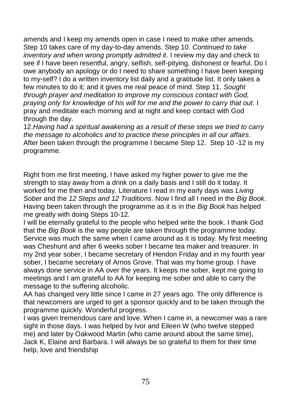amends and I keep my amends open in case I need to make other amends. Step 10 takes care of my day-to-day amends. Step 10. *Continued to take inventory and when wrong promptly admitted it*. I review my day and check to see if I have been resentful, angry, selfish, self-pitying, dishonest or fearful. Do I owe anybody an apology or do I need to share something I have been keeping to my-self? I do a written inventory list daily and a gratitude list. It only takes a few minutes to do it; and it gives me real peace of mind. Step 11. *Sought through prayer and meditation to improve my conscious contact with God, praying only for knowledge of his will for me and the power to carry that out*. I pray and meditate each morning and at night and keep contact with God through the day.

12.*Having had a spiritual awakening as a result of these steps we tried to carry the message to alcoholics and to practice these principles in all our affairs*. After been taken through the programme I became Step 12. Step 10 -12 is my programme.

Right from me first meeting, I have asked my higher power to give me the strength to stay away from a drink on a daily basis and I still do it today. It worked for me then and today. Literature I read in my early days was *Living Sober* and the *12 Steps and 12 Traditions*. Now I find all I need in the *Big Book*. Having been taken through the programme as it is in the *Big Book* has helped me greatly with doing Steps 10-12.

I will be eternally grateful to the people who helped write the book. I thank God that the *Big Book* is the way people are taken through the programme today. Service was much the same when I came around as it is today. My first meeting was Cheshunt and after 6 weeks sober I became tea maker and treasurer. In my 2nd year sober, I became secretary of Hendon Friday and in my fourth year sober, I became secretary of Arnos Grove. That was my home group. I have always done service in AA over the years. It keeps me sober, kept me going to meetings and I am grateful to AA for keeping me sober and able to carry the message to the suffering alcoholic.

AA has changed very little since I came in 27 years ago. The only difference is that newcomers are urged to get a sponsor quickly and to be taken through the programme quickly. Wonderful progress.

I was given tremendous care and love. When I came in, a newcomer was a rare sight in those days. I was helped by Ivor and Eileen W (who twelve stepped me) and later by Oakwood Martin (who came around about the same time), Jack K, Elaine and Barbara. I will always be so grateful to them for their time help, love and friendship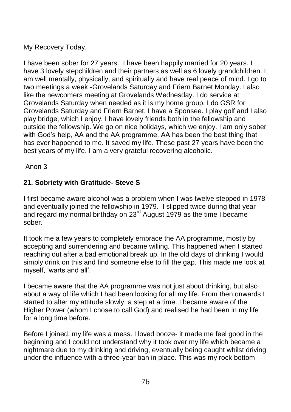My Recovery Today.

I have been sober for 27 years. I have been happily married for 20 years. I have 3 lovely stepchildren and their partners as well as 6 lovely grandchildren. I am well mentally, physically, and spiritually and have real peace of mind. I go to two meetings a week -Grovelands Saturday and Friern Barnet Monday. I also like the newcomers meeting at Grovelands Wednesday. I do service at Grovelands Saturday when needed as it is my home group. I do GSR for Grovelands Saturday and Friern Barnet. I have a Sponsee. I play golf and I also play bridge, which I enjoy. I have lovely friends both in the fellowship and outside the fellowship. We go on nice holidays, which we enjoy. I am only sober with God's help, AA and the AA programme. AA has been the best thing that has ever happened to me. It saved my life. These past 27 years have been the best years of my life. I am a very grateful recovering alcoholic.

Anon 3

## **21. Sobriety with Gratitude- Steve S**

I first became aware alcohol was a problem when I was twelve stepped in 1978 and eventually joined the fellowship in 1979. I slipped twice during that year and regard my normal birthday on 23rd August 1979 as the time I became sober.

It took me a few years to completely embrace the AA programme, mostly by accepting and surrendering and became willing. This happened when I started reaching out after a bad emotional break up. In the old days of drinking I would simply drink on this and find someone else to fill the gap. This made me look at myself, 'warts and all'.

I became aware that the AA programme was not just about drinking, but also about a way of life which I had been looking for all my life. From then onwards I started to alter my attitude slowly, a step at a time. I became aware of the Higher Power (whom I chose to call God) and realised he had been in my life for a long time before.

Before I joined, my life was a mess. I loved booze- it made me feel good in the beginning and I could not understand why it took over my life which became a nightmare due to my drinking and driving, eventually being caught whilst driving under the influence with a three-year ban in place. This was my rock bottom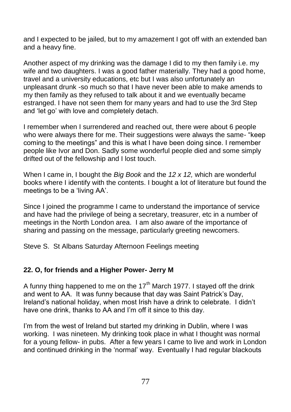and I expected to be jailed, but to my amazement I got off with an extended ban and a heavy fine.

Another aspect of my drinking was the damage I did to my then family i.e. my wife and two daughters. I was a good father materially. They had a good home, travel and a university educations, etc but I was also unfortunately an unpleasant drunk -so much so that I have never been able to make amends to my then family as they refused to talk about it and we eventually became estranged. I have not seen them for many years and had to use the 3rd Step and 'let go' with love and completely detach.

I remember when I surrendered and reached out, there were about 6 people who were always there for me. Their suggestions were always the same- "keep coming to the meetings" and this is what I have been doing since. I remember people like Ivor and Don. Sadly some wonderful people died and some simply drifted out of the fellowship and I lost touch.

When I came in, I bought the *Big Book* and the *12 x 12,* which are wonderful books where I identify with the contents. I bought a lot of literature but found the meetings to be a 'living AA'.

Since I joined the programme I came to understand the importance of service and have had the privilege of being a secretary, treasurer, etc in a number of meetings in the North London area. I am also aware of the importance of sharing and passing on the message, particularly greeting newcomers.

Steve S. St Albans Saturday Afternoon Feelings meeting

### **22. O, for friends and a Higher Power- Jerry M**

A funny thing happened to me on the  $17<sup>th</sup>$  March 1977. I stayed off the drink and went to AA. It was funny because that day was Saint Patrick's Day, Ireland's national holiday, when most Irish have a drink to celebrate. I didn't have one drink, thanks to AA and I'm off it since to this day.

I'm from the west of Ireland but started my drinking in Dublin, where I was working. I was nineteen. My drinking took place in what I thought was normal for a young fellow- in pubs. After a few years I came to live and work in London and continued drinking in the 'normal' way. Eventually I had regular blackouts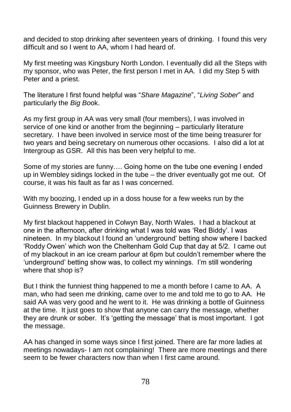and decided to stop drinking after seventeen years of drinking. I found this very difficult and so I went to AA, whom I had heard of.

My first meeting was Kingsbury North London. I eventually did all the Steps with my sponsor, who was Peter, the first person I met in AA. I did my Step 5 with Peter and a priest.

The literature I first found helpful was "*Share Magazine*", "*Living Sober*" and particularly the *Big Bo*ok.

As my first group in AA was very small (four members), I was involved in service of one kind or another from the beginning – particularly literature secretary. I have been involved in service most of the time being treasurer for two years and being secretary on numerous other occasions. I also did a lot at Intergroup as GSR. All this has been very helpful to me.

Some of my stories are funny…. Going home on the tube one evening I ended up in Wembley sidings locked in the tube – the driver eventually got me out. Of course, it was his fault as far as I was concerned.

With my boozing, I ended up in a doss house for a few weeks run by the Guinness Brewery in Dublin.

My first blackout happened in Colwyn Bay, North Wales. I had a blackout at one in the afternoon, after drinking what I was told was 'Red Biddy'. I was nineteen. In my blackout I found an 'underground' betting show where I backed 'Roddy Owen' which won the Cheltenham Gold Cup that day at 5/2. I came out of my blackout in an ice cream parlour at 6pm but couldn't remember where the 'underground' betting show was, to collect my winnings. I'm still wondering where that shop is?

But I think the funniest thing happened to me a month before I came to AA. A man, who had seen me drinking, came over to me and told me to go to AA. He said AA was very good and he went to it. He was drinking a bottle of Guinness at the time. It just goes to show that anyone can carry the message, whether they are drunk or sober. It's 'getting the message' that is most important. I got the message.

AA has changed in some ways since I first joined. There are far more ladies at meetings nowadays- I am not complaining! There are more meetings and there seem to be fewer characters now than when I first came around.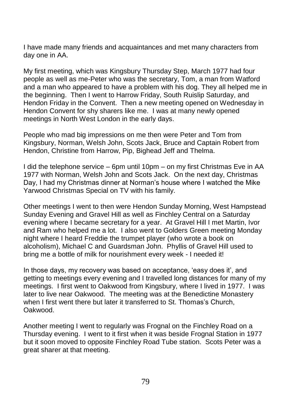I have made many friends and acquaintances and met many characters from day one in AA.

My first meeting, which was Kingsbury Thursday Step, March 1977 had four people as well as me-Peter who was the secretary, Tom, a man from Watford and a man who appeared to have a problem with his dog. They all helped me in the beginning. Then I went to Harrow Friday, South Ruislip Saturday, and Hendon Friday in the Convent. Then a new meeting opened on Wednesday in Hendon Convent for shy sharers like me. I was at many newly opened meetings in North West London in the early days.

People who mad big impressions on me then were Peter and Tom from Kingsbury, Norman, Welsh John, Scots Jack, Bruce and Captain Robert from Hendon, Christine from Harrow, Pip, Bighead Jeff and Thelma.

I did the telephone service – 6pm until 10pm – on my first Christmas Eve in AA 1977 with Norman, Welsh John and Scots Jack. On the next day, Christmas Day, I had my Christmas dinner at Norman's house where I watched the Mike Yarwood Christmas Special on TV with his family.

Other meetings I went to then were Hendon Sunday Morning, West Hampstead Sunday Evening and Gravel Hill as well as Finchley Central on a Saturday evening where I became secretary for a year. At Gravel Hill I met Martin, Ivor and Ram who helped me a lot. I also went to Golders Green meeting Monday night where I heard Freddie the trumpet player (who wrote a book on alcoholism), Michael C and Guardsman John. Phyllis of Gravel Hill used to bring me a bottle of milk for nourishment every week - I needed it!

In those days, my recovery was based on acceptance, 'easy does it', and getting to meetings every evening and I travelled long distances for many of my meetings. I first went to Oakwood from Kingsbury, where I lived in 1977. I was later to live near Oakwood. The meeting was at the Benedictine Monastery when I first went there but later it transferred to St. Thomas's Church, Oakwood.

Another meeting I went to regularly was Frognal on the Finchley Road on a Thursday evening. I went to it first when it was beside Frognal Station in 1977 but it soon moved to opposite Finchley Road Tube station. Scots Peter was a great sharer at that meeting.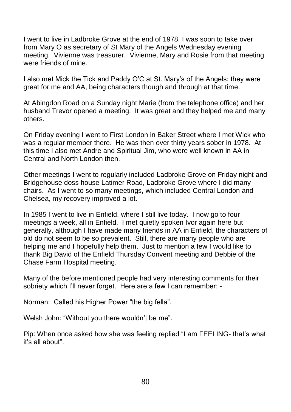I went to live in Ladbroke Grove at the end of 1978. I was soon to take over from Mary O as secretary of St Mary of the Angels Wednesday evening meeting. Vivienne was treasurer. Vivienne, Mary and Rosie from that meeting were friends of mine.

I also met Mick the Tick and Paddy O'C at St. Mary's of the Angels; they were great for me and AA, being characters though and through at that time.

At Abingdon Road on a Sunday night Marie (from the telephone office) and her husband Trevor opened a meeting. It was great and they helped me and many others.

On Friday evening I went to First London in Baker Street where I met Wick who was a regular member there. He was then over thirty years sober in 1978. At this time I also met Andre and Spiritual Jim, who were well known in AA in Central and North London then.

Other meetings I went to regularly included Ladbroke Grove on Friday night and Bridgehouse doss house Latimer Road, Ladbroke Grove where I did many chairs. As I went to so many meetings, which included Central London and Chelsea, my recovery improved a lot.

In 1985 I went to live in Enfield, where I still live today. I now go to four meetings a week, all in Enfield. I met quietly spoken Ivor again here but generally, although I have made many friends in AA in Enfield, the characters of old do not seem to be so prevalent. Still, there are many people who are helping me and I hopefully help them. Just to mention a few I would like to thank Big David of the Enfield Thursday Convent meeting and Debbie of the Chase Farm Hospital meeting.

Many of the before mentioned people had very interesting comments for their sobriety which I'll never forget. Here are a few I can remember: -

Norman: Called his Higher Power "the big fella".

Welsh John: "Without you there wouldn't be me".

Pip: When once asked how she was feeling replied "I am FEELING- that's what it's all about".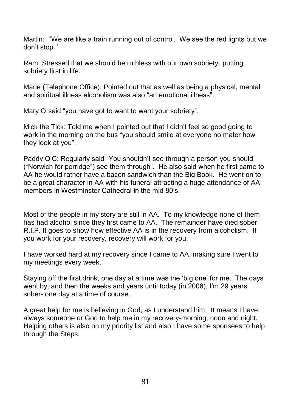Martin: ''We are like a train running out of control. We see the red lights but we don't stop.''

Ram: Stressed that we should be ruthless with our own sobriety, putting sobriety first in life.

Marie (Telephone Office): Pointed out that as well as being a physical, mental and spiritual illness alcoholism was also "an emotional illness".

Mary O: said "you have got to want to want your sobriety".

Mick the Tick: Told me when I pointed out that I didn't feel so good going to work in the morning on the bus "you should smile at everyone no mater how they look at you".

Paddy O'C: Regularly said "You shouldn't see through a person you should ("Norwich for porridge") see them through". He also said when he first came to AA he would rather have a bacon sandwich than the Big Book. He went on to be a great character in AA with his funeral attracting a huge attendance of AA members in Westminster Cathedral in the mid 80's.

Most of the people in my story are still in AA. To my knowledge none of them has had alcohol since they first came to AA. The remainder have died sober R.I.P. It goes to show how effective AA is in the recovery from alcoholism. If you work for your recovery, recovery will work for you.

I have worked hard at my recovery since I came to AA, making sure I went to my meetings every week.

Staying off the first drink, one day at a time was the 'big one' for me. The days went by, and then the weeks and years until today (in 2006), I'm 29 years sober- one day at a time of course.

A great help for me is believing in God, as I understand him. It means I have always someone or God to help me in my recovery-morning, noon and night. Helping others is also on my priority list and also I have some sponsees to help through the Steps.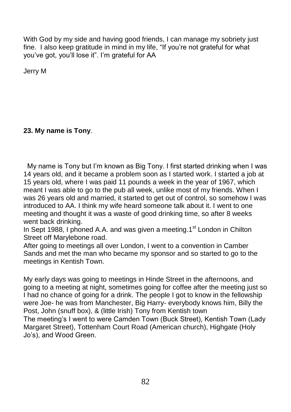With God by my side and having good friends, I can manage my sobriety just fine. I also keep gratitude in mind in my life, "If you're not grateful for what you've got, you'll lose it". I'm grateful for AA

Jerry M

## **23. My name is Tony**.

My name is Tony but I'm known as Big Tony. I first started drinking when I was 14 years old, and it became a problem soon as I started work. I started a job at 15 years old, where I was paid 11 pounds a week in the year of 1967, which meant I was able to go to the pub all week, unlike most of my friends. When I was 26 years old and married, it started to get out of control, so somehow I was introduced to AA. I think my wife heard someone talk about it. I went to one meeting and thought it was a waste of good drinking time, so after 8 weeks went back drinking.

In Sept 1988, I phoned A.A. and was given a meeting  $1<sup>st</sup>$  London in Chilton Street off Marylebone road.

After going to meetings all over London, I went to a convention in Camber Sands and met the man who became my sponsor and so started to go to the meetings in Kentish Town.

My early days was going to meetings in Hinde Street in the afternoons, and going to a meeting at night, sometimes going for coffee after the meeting just so I had no chance of going for a drink. The people I got to know in the fellowship were Joe- he was from Manchester, Big Harry- everybody knows him, Billy the Post, John (snuff box), & (little Irish) Tony from Kentish town The meeting's I went to were Camden Town (Buck Street), Kentish Town (Lady Margaret Street), Tottenham Court Road (American church), Highgate (Holy Jo's), and Wood Green.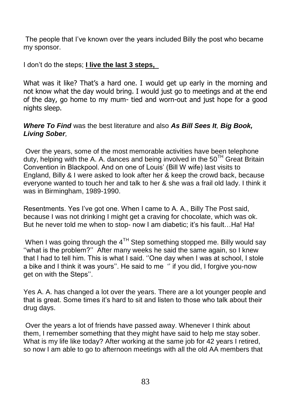The people that I've known over the years included Billy the post who became my sponsor.

I don't do the steps; **I live the last 3 steps,** 

What was it like? That's a hard one. I would get up early in the morning and not know what the day would bring. I would just go to meetings and at the end of the day, go home to my mum- tied and worn-out and just hope for a good nights sleep.

#### *Where To Find* was the best literature and also *As Bill Sees It, Big Book, Living Sober,*

Over the years, some of the most memorable activities have been telephone duty, helping with the A. A. dances and being involved in the 50<sup>TH</sup> Great Britain Convention in Blackpool. And on one of Louis' (Bill W wife) last visits to England, Billy & I were asked to look after her & keep the crowd back, because everyone wanted to touch her and talk to her & she was a frail old lady. I think it was in Birmingham, 1989-1990.

Resentments. Yes I've got one. When I came to A. A., Billy The Post said, because I was not drinking I might get a craving for chocolate, which was ok. But he never told me when to stop- now I am diabetic; it's his fault...Ha! Ha!

When I was going through the  $4^{TH}$  Step something stopped me. Billy would say ''what is the problem?'' After many weeks he said the same again, so I knew that I had to tell him. This is what I said. ''One day when I was at school, I stole a bike and I think it was yours''. He said to me '' if you did, I forgive you-now get on with the Steps''.

Yes A. A. has changed a lot over the years. There are a lot younger people and that is great. Some times it's hard to sit and listen to those who talk about their drug days.

Over the years a lot of friends have passed away. Whenever I think about them, I remember something that they might have said to help me stay sober. What is my life like today? After working at the same job for 42 years I retired. so now I am able to go to afternoon meetings with all the old AA members that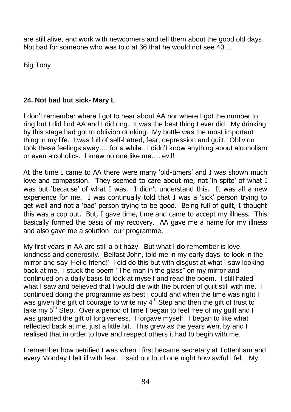are still alive, and work with newcomers and tell them about the good old days. Not bad for someone who was told at 36 that he would not see 40 …

Big Tony

## **24. Not bad but sick- Mary L**

I don't remember where I got to hear about AA nor where I got the number to ring but I did find AA and I did ring. It was the best thing I ever did. My drinking by this stage had got to oblivion drinking. My bottle was the most important thing in my life. I was full of self-hatred, fear, depression and guilt. Oblivion took these feelings away…. for a while. I didn't know anything about alcoholism or even alcoholics. I knew no one like me…. evil!

At the time I came to AA there were many 'old-timers' and I was shown much love and compassion. They seemed to care about me, not 'in spite' of what I was but 'because' of what I was. I didn't understand this. It was all a new experience for me. I was continually told that I was a 'sick' person trying to get well and not a 'bad' person trying to be good. Being full of guilt, I thought this was a cop out. But, I gave time, time and came to accept my illness. This basically formed the basis of my recovery. AA gave me a name for my illness and also gave me a solution- our programme.

My first years in AA are still a bit hazy. But what I **do** remember is love, kindness and generosity. Belfast John, told me in my early days, to look in the mirror and say 'Hello friend!' I did do this but with disgust at what I saw looking back at me. I stuck the poem ''The man in the glass" on my mirror and continued on a daily basis to look at myself and read the poem. I still hated what I saw and believed that I would die with the burden of guilt still with me. I continued doing the programme as best I could and when the time was right I was given the gift of courage to write my  $4<sup>th</sup>$  Step and then the gift of trust to take my  $5<sup>th</sup>$  Step. Over a period of time I began to feel free of my guilt and I was granted the gift of forgiveness. I forgave myself. I began to like what reflected back at me, just a little bit. This grew as the years went by and I realised that in order to love and respect others it had to begin with me.

I remember how petrified I was when I first became secretary at Tottenham and every Monday I felt ill with fear. I said out loud one night how awful I felt. My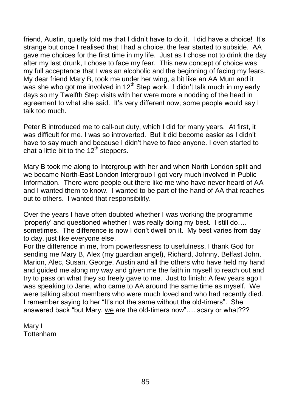friend, Austin, quietly told me that I didn't have to do it. I did have a choice! It's strange but once I realised that I had a choice, the fear started to subside. AA gave me choices for the first time in my life. Just as I chose not to drink the day after my last drunk, I chose to face my fear. This new concept of choice was my full acceptance that I was an alcoholic and the beginning of facing my fears. My dear friend Mary B, took me under her wing, a bit like an AA Mum and it was she who got me involved in  $12^{th}$  Step work. I didn't talk much in my early days so my Twelfth Step visits with her were more a nodding of the head in agreement to what she said. It's very different now; some people would say I talk too much.

Peter B introduced me to call-out duty, which I did for many years. At first, it was difficult for me. I was so introverted. But it did become easier as I didn't have to say much and because I didn't have to face anyone. I even started to  $\frac{1}{2}$  chat a little bit to the  $12<sup>th</sup>$  steppers.

Mary B took me along to Intergroup with her and when North London split and we became North-East London Intergroup I got very much involved in Public Information. There were people out there like me who have never heard of AA and I wanted them to know. I wanted to be part of the hand of AA that reaches out to others. I wanted that responsibility.

Over the years I have often doubted whether I was working the programme 'properly' and questioned whether I was really doing my best. I still do…. sometimes. The difference is now I don't dwell on it. My best varies from day to day, just like everyone else.

For the difference in me, from powerlessness to usefulness, I thank God for sending me Mary B, Alex (my guardian angel), Richard, Johnny, Belfast John, Marion, Alec, Susan, George, Austin and all the others who have held my hand and guided me along my way and given me the faith in myself to reach out and try to pass on what they so freely gave to me. Just to finish: A few years ago I was speaking to Jane, who came to AA around the same time as myself. We were talking about members who were much loved and who had recently died. I remember saying to her "It's not the same without the old-timers". She answered back "but Mary, we are the old-timers now"…. scary or what???

Mary L Tottenham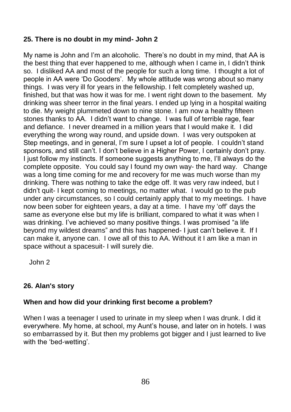### **25. There is no doubt in my mind- John 2**

My name is John and I'm an alcoholic. There's no doubt in my mind, that AA is the best thing that ever happened to me, although when I came in, I didn't think so. I disliked AA and most of the people for such a long time. I thought a lot of people in AA were 'Do Gooders'. My whole attitude was wrong about so many things. I was very ill for years in the fellowship. I felt completely washed up, finished, but that was how it was for me. I went right down to the basement. My drinking was sheer terror in the final years. I ended up lying in a hospital waiting to die. My weight plummeted down to nine stone. I am now a healthy fifteen stones thanks to AA. I didn't want to change. I was full of terrible rage, fear and defiance. I never dreamed in a million years that I would make it. I did everything the wrong way round, and upside down. I was very outspoken at Step meetings, and in general, I'm sure I upset a lot of people. I couldn't stand sponsors, and still can't. I don't believe in a Higher Power, I certainly don't pray. I just follow my instincts. If someone suggests anything to me, I'll always do the complete opposite. You could say I found my own way- the hard way. Change was a long time coming for me and recovery for me was much worse than my drinking. There was nothing to take the edge off. It was very raw indeed, but I didn't quit- I kept coming to meetings, no matter what. I would go to the pub under any circumstances, so I could certainly apply that to my meetings. I have now been sober for eighteen years, a day at a time. I have my 'off' days the same as everyone else but my life is brilliant, compared to what it was when I was drinking. I've achieved so many positive things. I was promised "a life beyond my wildest dreams" and this has happened- I just can't believe it. If I can make it, anyone can. I owe all of this to AA. Without it I am like a man in space without a spacesuit- I will surely die.

John 2

### **26. Alan's story**

## **When and how did your drinking first become a problem?**

When I was a teenager I used to urinate in my sleep when I was drunk. I did it everywhere. My home, at school, my Aunt's house, and later on in hotels. I was so embarrassed by it. But then my problems got bigger and I just learned to live with the 'bed-wetting'.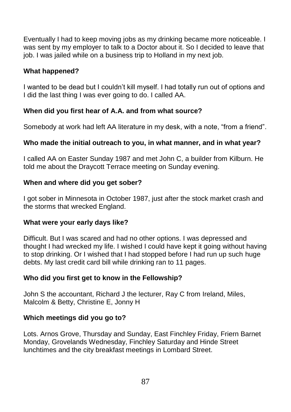Eventually I had to keep moving jobs as my drinking became more noticeable. I was sent by my employer to talk to a Doctor about it. So I decided to leave that job. I was jailed while on a business trip to Holland in my next job.

### **What happened?**

I wanted to be dead but I couldn't kill myself. I had totally run out of options and I did the last thing I was ever going to do. I called AA.

## **When did you first hear of A.A. and from what source?**

Somebody at work had left AA literature in my desk, with a note, "from a friend".

### **Who made the initial outreach to you, in what manner, and in what year?**

I called AA on Easter Sunday 1987 and met John C, a builder from Kilburn. He told me about the Draycott Terrace meeting on Sunday evening.

### **When and where did you get sober?**

I got sober in Minnesota in October 1987, just after the stock market crash and the storms that wrecked England.

#### **What were your early days like?**

Difficult. But I was scared and had no other options. I was depressed and thought I had wrecked my life. I wished I could have kept it going without having to stop drinking. Or I wished that I had stopped before I had run up such huge debts. My last credit card bill while drinking ran to 11 pages.

### **Who did you first get to know in the Fellowship?**

John S the accountant, Richard J the lecturer, Ray C from Ireland, Miles, Malcolm & Betty, Christine E, Jonny H

### **Which meetings did you go to?**

Lots. Arnos Grove, Thursday and Sunday, East Finchley Friday, Friern Barnet Monday, Grovelands Wednesday, Finchley Saturday and Hinde Street lunchtimes and the city breakfast meetings in Lombard Street.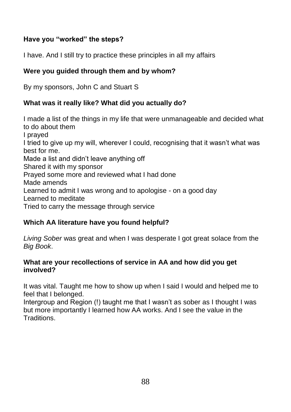## **Have you "worked" the steps?**

I have. And I still try to practice these principles in all my affairs

## **Were you guided through them and by whom?**

By my sponsors, John C and Stuart S

## **What was it really like? What did you actually do?**

I made a list of the things in my life that were unmanageable and decided what to do about them I prayed I tried to give up my will, wherever I could, recognising that it wasn't what was best for me. Made a list and didn't leave anything off Shared it with my sponsor Prayed some more and reviewed what I had done Made amends Learned to admit I was wrong and to apologise - on a good day Learned to meditate Tried to carry the message through service

## **Which AA literature have you found helpful?**

*Living Sober* was great and when I was desperate I got great solace from the *Big Book*.

#### **What are your recollections of service in AA and how did you get involved?**

It was vital. Taught me how to show up when I said I would and helped me to feel that I belonged.

Intergroup and Region (!) taught me that I wasn't as sober as I thought I was but more importantly I learned how AA works. And I see the value in the **Traditions**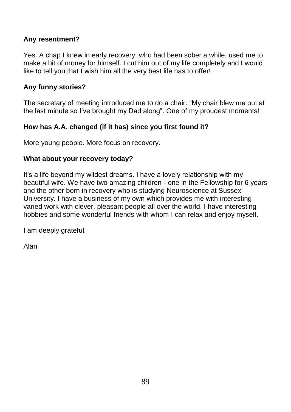### **Any resentment?**

Yes. A chap I knew in early recovery, who had been sober a while, used me to make a bit of money for himself. I cut him out of my life completely and I would like to tell you that I wish him all the very best life has to offer!

#### **Any funny stories?**

The secretary of meeting introduced me to do a chair: "My chair blew me out at the last minute so I've brought my Dad along". One of my proudest moments!

### **How has A.A. changed (if it has) since you first found it?**

More young people. More focus on recovery.

#### **What about your recovery today?**

It's a life beyond my wildest dreams. I have a lovely relationship with my beautiful wife. We have two amazing children - one in the Fellowship for 6 years and the other born in recovery who is studying Neuroscience at Sussex University. I have a business of my own which provides me with interesting varied work with clever, pleasant people all over the world. I have interesting hobbies and some wonderful friends with whom I can relax and enjoy myself.

I am deeply grateful.

Alan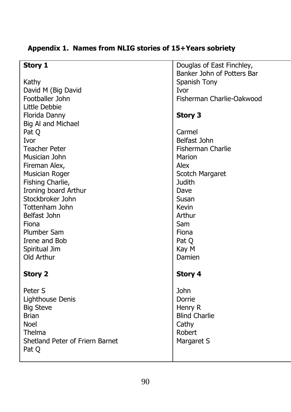| <b>Story 1</b>                  | Douglas of East Finchley,<br>Banker John of Potters Bar |
|---------------------------------|---------------------------------------------------------|
| Kathy                           | Spanish Tony                                            |
| David M (Big David              | <b>Ivor</b>                                             |
| Footballer John                 | Fisherman Charlie-Oakwood                               |
| Little Debbie                   |                                                         |
| Florida Danny                   | Story 3                                                 |
| Big Al and Michael              |                                                         |
| Pat Q                           | Carmel                                                  |
| <b>Ivor</b>                     | Belfast John                                            |
| <b>Teacher Peter</b>            | <b>Fisherman Charlie</b>                                |
| Musician John                   | Marion                                                  |
| Fireman Alex,                   | Alex                                                    |
| Musician Roger                  | Scotch Margaret                                         |
| Fishing Charlie,                | <b>Judith</b>                                           |
| Ironing board Arthur            | Dave                                                    |
| Stockbroker John                | Susan                                                   |
| Tottenham John                  | Kevin                                                   |
| Belfast John                    | Arthur                                                  |
| Fiona                           | Sam                                                     |
| Plumber Sam                     | Fiona                                                   |
| Irene and Bob                   | Pat Q                                                   |
| Spiritual Jim                   | Kay M                                                   |
| Old Arthur                      | Damien                                                  |
|                                 |                                                         |
| <b>Story 2</b>                  | Story 4                                                 |
| Peter S                         | John                                                    |
| Lighthouse Denis                | Dorrie                                                  |
| <b>Big Steve</b>                | Henry R                                                 |
| <b>Brian</b>                    | <b>Blind Charlie</b>                                    |
| <b>Noel</b>                     | Cathy                                                   |
| Thelma                          | Robert                                                  |
| Shetland Peter of Friern Barnet | Margaret S                                              |
| Pat Q                           |                                                         |
|                                 |                                                         |
|                                 |                                                         |

# **Appendix 1. Names from NLIG stories of 15+Years sobriety**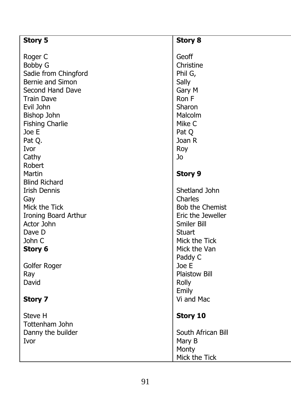| <b>Story 5</b>         | <b>Story 8</b>       |
|------------------------|----------------------|
| Roger C                | Geoff                |
| <b>Bobby G</b>         | Christine            |
| Sadie from Chingford   | Phil G,              |
| Bernie and Simon       | Sally                |
| Second Hand Dave       | Gary M               |
| <b>Train Dave</b>      | Ron F                |
| Evil John              | Sharon               |
| Bishop John            | Malcolm              |
| <b>Fishing Charlie</b> | Mike C               |
| Joe E                  | Pat Q                |
| Pat Q.                 | Joan R               |
| Ivor                   |                      |
| Cathy                  | Roy<br>Jo            |
| Robert                 |                      |
| Martin                 |                      |
| <b>Blind Richard</b>   | Story 9              |
|                        |                      |
| <b>Irish Dennis</b>    | Shetland John        |
| Gay                    | Charles              |
| Mick the Tick          | Bob the Chemist      |
| Ironing Board Arthur   | Eric the Jeweller    |
| Actor John             | Smiler Bill          |
| Dave D                 | Stuart               |
| John C                 | Mick the Tick        |
| Story 6                | Mick the Van         |
|                        | Paddy C              |
| Golfer Roger           | Joe E                |
| Ray                    | <b>Plaistow Bill</b> |
| David                  | Rolly                |
|                        | Emily                |
| Story 7                | Vi and Mac           |
| Steve H                | Story 10             |
| Tottenham John         |                      |
| Danny the builder      | South African Bill   |
| Ivor                   | Mary B               |
|                        | Monty                |
|                        | Mick the Tick        |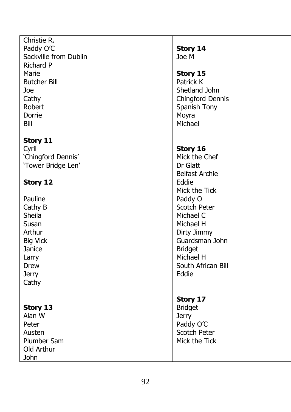Christie R. Paddy O'C Sackville from Dublin Richard P Marie Butcher Bill Joe Cathy Robert Dorrie Bill

# **Story 11**

Cyril 'Chingford Dennis ' 'Tower Bridge Len '

# **Story 12**

Pauline Cathy B Sheila Susan Arthur Big Vick **Janice** Larry Drew **Jerry** Cathy

# **Story 13**

Alan W Peter Austen Plumber Sam Old Arthur John

## **Story 14** Joe M

## **Story 15**

Patrick K Shetland John Chingford Dennis Spanish Tony Moyra Michael

## **Story 16**

Mick the Chef Dr Glatt Belfast Archie Eddie Mick the Tick Paddy O Scotch Peter Michael C Michael H Dirty Jimmy Guardsman John **Bridget** Michael H South African Bill Eddie

## **Story 17**

Bridget **Jerry** Paddy O'C Scotch Peter Mick the Tick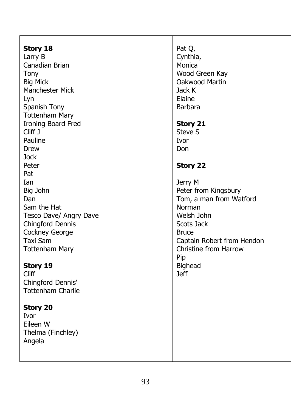| <b>Story 18</b><br>Larry B<br>Canadian Brian<br>Tony<br><b>Big Mick</b><br><b>Manchester Mick</b><br>Lyn<br>Spanish Tony<br><b>Tottenham Mary</b><br>Ironing Board Fred<br>Cliff J<br>Pauline<br>Drew<br><b>Jock</b><br>Peter<br>Pat<br>Ian<br>Big John<br>Dan<br>Sam the Hat<br>Tesco Dave/ Angry Dave<br>Chingford Dennis<br>Cockney George<br><b>Taxi Sam</b><br><b>Tottenham Mary</b> |
|-------------------------------------------------------------------------------------------------------------------------------------------------------------------------------------------------------------------------------------------------------------------------------------------------------------------------------------------------------------------------------------------|
| <b>Story 19</b><br>Cliff<br>Chingford Dennis'<br><b>Tottenham Charlie</b>                                                                                                                                                                                                                                                                                                                 |
| <b>Story 20</b><br>Ivor<br>Eileen W<br>Thelma (Finchley)<br>Angela                                                                                                                                                                                                                                                                                                                        |

 $\Gamma$ 

Pat Q, Cynthia, Monica Wood Green Kay Oakwood Martin Jack K Elaine Barbara

## **Story 21**

Steve S Ivor Don

# **Story 22**

Jerry M Peter from Kingsbury Tom, a man from Watford Norman Welsh John Scots Jack **Bruce** Captain Robert from Hendon Christine from Harrow Pip Bighead Jeff